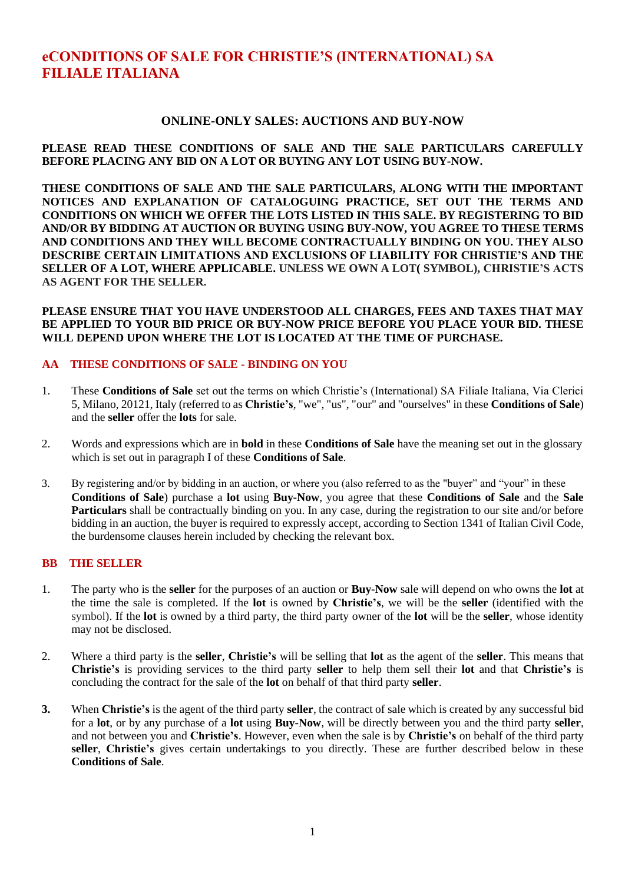# **eCONDITIONS OF SALE FOR CHRISTIE'S (INTERNATIONAL) SA FILIALE ITALIANA**

## **ONLINE-ONLY SALES: AUCTIONS AND BUY-NOW**

### **PLEASE READ THESE CONDITIONS OF SALE AND THE SALE PARTICULARS CAREFULLY BEFORE PLACING ANY BID ON A LOT OR BUYING ANY LOT USING BUY-NOW.**

**THESE CONDITIONS OF SALE AND THE SALE PARTICULARS, ALONG WITH THE IMPORTANT NOTICES AND EXPLANATION OF CATALOGUING PRACTICE, SET OUT THE TERMS AND CONDITIONS ON WHICH WE OFFER THE LOTS LISTED IN THIS SALE. BY REGISTERING TO BID AND/OR BY BIDDING AT AUCTION OR BUYING USING BUY-NOW, YOU AGREE TO THESE TERMS AND CONDITIONS AND THEY WILL BECOME CONTRACTUALLY BINDING ON YOU. THEY ALSO DESCRIBE CERTAIN LIMITATIONS AND EXCLUSIONS OF LIABILITY FOR CHRISTIE'S AND THE SELLER OF A LOT, WHERE APPLICABLE. UNLESS WE OWN A LOT( SYMBOL), CHRISTIE'S ACTS AS AGENT FOR THE SELLER.**

**PLEASE ENSURE THAT YOU HAVE UNDERSTOOD ALL CHARGES, FEES AND TAXES THAT MAY BE APPLIED TO YOUR BID PRICE OR BUY-NOW PRICE BEFORE YOU PLACE YOUR BID. THESE WILL DEPEND UPON WHERE THE LOT IS LOCATED AT THE TIME OF PURCHASE.**

## **AA THESE CONDITIONS OF SALE - BINDING ON YOU**

- 1. These **Conditions of Sale** set out the terms on which Christie's (International) SA Filiale Italiana, Via Clerici 5, Milano, 20121, Italy (referred to as **Christie's**, "we", "us", "our" and "ourselves" in these **Conditions of Sale**) and the **seller** offer the **lots** for sale.
- 2. Words and expressions which are in **bold** in these **Conditions of Sale** have the meaning set out in the glossary which is set out in paragraph I of these **Conditions of Sale**.
- 3. By registering and/or by bidding in an auction, or where you (also referred to as the "buyer" and "your" in these **Conditions of Sale**) purchase a **lot** using **Buy-Now**, you agree that these **Conditions of Sale** and the **Sale Particulars** shall be contractually binding on you. In any case, during the registration to our site and/or before bidding in an auction, the buyer is required to expressly accept, according to Section 1341 of Italian Civil Code, the burdensome clauses herein included by checking the relevant box.

#### **BB THE SELLER**

- 1. The party who is the **seller** for the purposes of an auction or **Buy-Now** sale will depend on who owns the **lot** at the time the sale is completed. If the **lot** is owned by **Christie's**, we will be the **seller** (identified with the symbol). If the **lot** is owned by a third party, the third party owner of the **lot** will be the **seller**, whose identity may not be disclosed.
- 2. Where a third party is the **seller**, **Christie's** will be selling that **lot** as the agent of the **seller**. This means that **Christie's** is providing services to the third party **seller** to help them sell their **lot** and that **Christie's** is concluding the contract for the sale of the **lot** on behalf of that third party **seller**.
- **3.** When **Christie's** is the agent of the third party **seller**, the contract of sale which is created by any successful bid for a **lot**, or by any purchase of a **lot** using **Buy-Now**, will be directly between you and the third party **seller**, and not between you and **Christie's**. However, even when the sale is by **Christie's** on behalf of the third party **seller**, **Christie's** gives certain undertakings to you directly. These are further described below in these **Conditions of Sale**.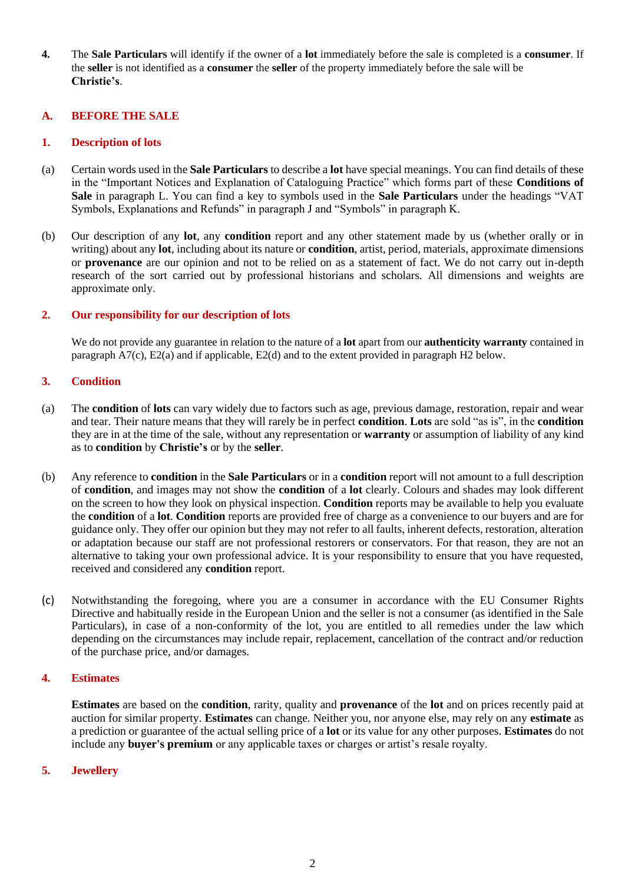**4.** The **Sale Particulars** will identify if the owner of a **lot** immediately before the sale is completed is a **consumer**. If the **seller** is not identified as a **consumer** the **seller** of the property immediately before the sale will be **Christie's**.

## **A. BEFORE THE SALE**

#### **1. Description of lots**

- (a) Certain words used in the **Sale Particulars** to describe a **lot** have special meanings. You can find details of these in the "Important Notices and Explanation of Cataloguing Practice" which forms part of these **Conditions of Sale** in paragraph L. You can find a key to symbols used in the **Sale Particulars** under the headings "VAT Symbols, Explanations and Refunds" in paragraph J and "Symbols" in paragraph K.
- (b) Our description of any **lot**, any **condition** report and any other statement made by us (whether orally or in writing) about any **lot**, including about its nature or **condition**, artist, period, materials, approximate dimensions or **provenance** are our opinion and not to be relied on as a statement of fact. We do not carry out in-depth research of the sort carried out by professional historians and scholars. All dimensions and weights are approximate only.

#### **2. Our responsibility for our description of lots**

We do not provide any guarantee in relation to the nature of a **lot** apart from our **authenticity warranty** contained in paragraph A7(c), E2(a) and if applicable, E2(d) and to the extent provided in paragraph H2 below.

#### **3. Condition**

- (a) The **condition** of **lots** can vary widely due to factors such as age, previous damage, restoration, repair and wear and tear. Their nature means that they will rarely be in perfect **condition**. **Lots** are sold "as is", in the **condition** they are in at the time of the sale, without any representation or **warranty** or assumption of liability of any kind as to **condition** by **Christie's** or by the **seller**.
- (b) Any reference to **condition** in the **Sale Particulars** or in a **condition** report will not amount to a full description of **condition**, and images may not show the **condition** of a **lot** clearly. Colours and shades may look different on the screen to how they look on physical inspection. **Condition** reports may be available to help you evaluate the **condition** of a **lot**. **Condition** reports are provided free of charge as a convenience to our buyers and are for guidance only. They offer our opinion but they may not refer to all faults, inherent defects, restoration, alteration or adaptation because our staff are not professional restorers or conservators. For that reason, they are not an alternative to taking your own professional advice. It is your responsibility to ensure that you have requested, received and considered any **condition** report.
- (c) Notwithstanding the foregoing, where you are a consumer in accordance with the EU Consumer Rights Directive and habitually reside in the European Union and the seller is not a consumer (as identified in the Sale Particulars), in case of a non-conformity of the lot, you are entitled to all remedies under the law which depending on the circumstances may include repair, replacement, cancellation of the contract and/or reduction of the purchase price, and/or damages.

#### **4. Estimates**

**Estimates** are based on the **condition**, rarity, quality and **provenance** of the **lot** and on prices recently paid at auction for similar property. **Estimates** can change. Neither you, nor anyone else, may rely on any **estimate** as a prediction or guarantee of the actual selling price of a **lot** or its value for any other purposes. **Estimates** do not include any **buyer's premium** or any applicable taxes or charges or artist's resale royalty.

### **5. Jewellery**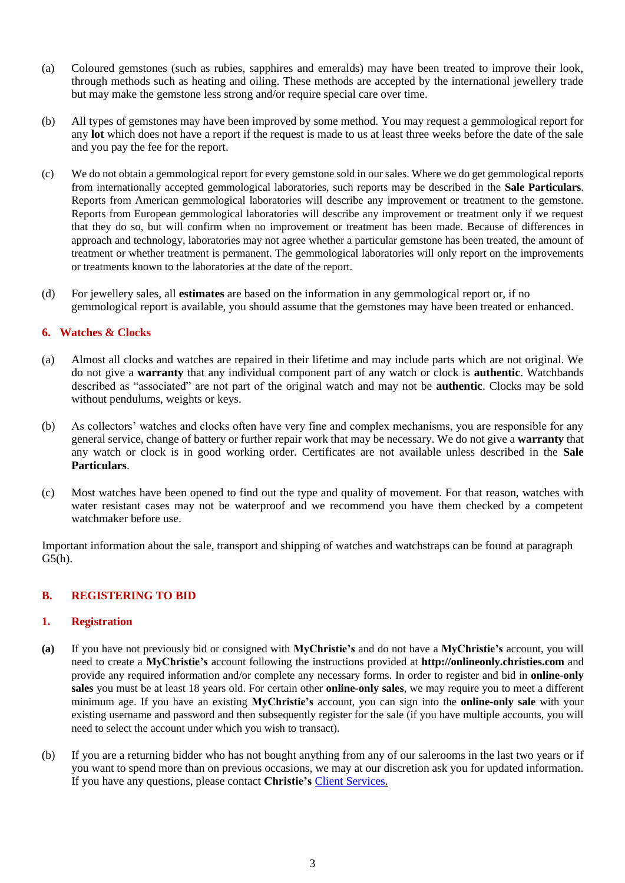- (a) Coloured gemstones (such as rubies, sapphires and emeralds) may have been treated to improve their look, through methods such as heating and oiling. These methods are accepted by the international jewellery trade but may make the gemstone less strong and/or require special care over time.
- (b) All types of gemstones may have been improved by some method. You may request a gemmological report for any **lot** which does not have a report if the request is made to us at least three weeks before the date of the sale and you pay the fee for the report.
- (c) We do not obtain a gemmological report for every gemstone sold in our sales. Where we do get gemmological reports from internationally accepted gemmological laboratories, such reports may be described in the **Sale Particulars**. Reports from American gemmological laboratories will describe any improvement or treatment to the gemstone. Reports from European gemmological laboratories will describe any improvement or treatment only if we request that they do so, but will confirm when no improvement or treatment has been made. Because of differences in approach and technology, laboratories may not agree whether a particular gemstone has been treated, the amount of treatment or whether treatment is permanent. The gemmological laboratories will only report on the improvements or treatments known to the laboratories at the date of the report.
- (d) For jewellery sales, all **estimates** are based on the information in any gemmological report or, if no gemmological report is available, you should assume that the gemstones may have been treated or enhanced.

### **6. Watches & Clocks**

- (a) Almost all clocks and watches are repaired in their lifetime and may include parts which are not original. We do not give a **warranty** that any individual component part of any watch or clock is **authentic**. Watchbands described as "associated" are not part of the original watch and may not be **authentic**. Clocks may be sold without pendulums, weights or keys.
- (b) As collectors' watches and clocks often have very fine and complex mechanisms, you are responsible for any general service, change of battery or further repair work that may be necessary. We do not give a **warranty** that any watch or clock is in good working order. Certificates are not available unless described in the **Sale Particulars**.
- (c) Most watches have been opened to find out the type and quality of movement. For that reason, watches with water resistant cases may not be waterproof and we recommend you have them checked by a competent watchmaker before use.

Important information about the sale, transport and shipping of watches and watchstraps can be found at paragraph G5(h).

### **B. REGISTERING TO BID**

### **1. Registration**

- **(a)** If you have not previously bid or consigned with **MyChristie's** and do not have a **MyChristie's** account, you will need to create a **MyChristie's** account following the instructions provided at **[http://onlineonly.christies.com](http://www.onlineonly.christies.com/)** and provide any required information and/or complete any necessary forms. In order to register and bid in **online-only sales** you must be at least 18 years old. For certain other **online-only sales**, we may require you to meet a different minimum age. If you have an existing **MyChristie's** account, you can sign into the **online-only sale** with your existing username and password and then subsequently register for the sale (if you have multiple accounts, you will need to select the account under which you wish to transact).
- (b) If you are a returning bidder who has not bought anything from any of our salerooms in the last two years or if you want to spend more than on previous occasions, we may at our discretion ask you for updated information. If you have any questions, please contact **Christie's** [Client Services.](http://www.christies.com/about-us/contact/client-services/)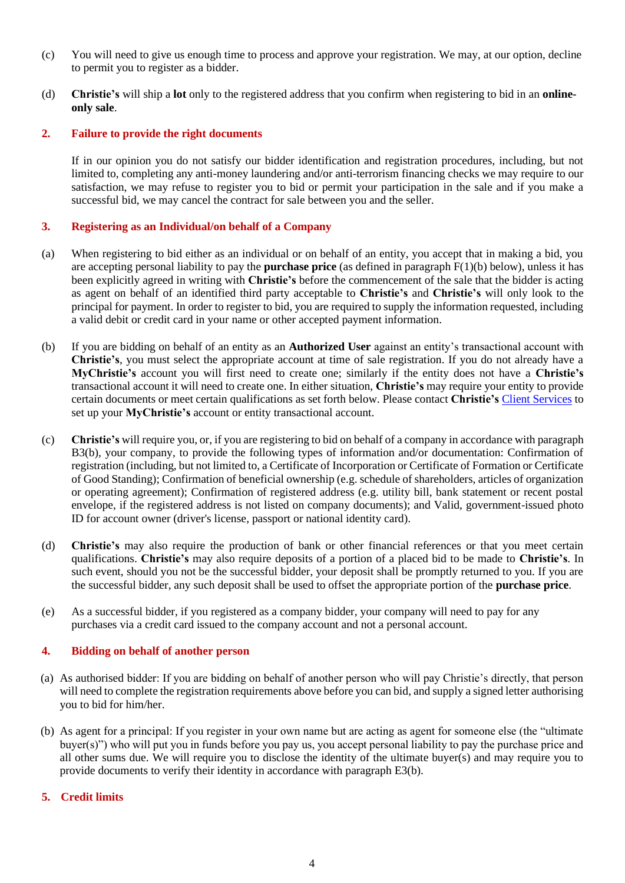- (c) You will need to give us enough time to process and approve your registration. We may, at our option, decline to permit you to register as a bidder.
- (d) **Christie's** will ship a **lot** only to the registered address that you confirm when registering to bid in an **onlineonly sale**.

## **2. Failure to provide the right documents**

If in our opinion you do not satisfy our bidder identification and registration procedures, including, but not limited to, completing any anti-money laundering and/or anti-terrorism financing checks we may require to our satisfaction, we may refuse to register you to bid or permit your participation in the sale and if you make a successful bid, we may cancel the contract for sale between you and the seller.

## **3. Registering as an Individual/on behalf of a Company**

- (a) When registering to bid either as an individual or on behalf of an entity, you accept that in making a bid, you are accepting personal liability to pay the **purchase price** (as defined in paragraph F(1)(b) below), unless it has been explicitly agreed in writing with **Christie's** before the commencement of the sale that the bidder is acting as agent on behalf of an identified third party acceptable to **Christie's** and **Christie's** will only look to the principal for payment. In order to register to bid, you are required to supply the information requested, including a valid debit or credit card in your name or other accepted payment information.
- (b) If you are bidding on behalf of an entity as an **Authorized User** against an entity's transactional account with **Christie's**, you must select the appropriate account at time of sale registration. If you do not already have a **MyChristie's** account you will first need to create one; similarly if the entity does not have a **Christie's**  transactional account it will need to create one. In either situation, **Christie's** may require your entity to provide certain documents or meet certain qualifications as set forth below. Please contact **Christie's** [Client Services](http://www.christies.com/about-us/contact/client-services/) to set up your **MyChristie's** account or entity transactional account.
- (c) **Christie's** will require you, or, if you are registering to bid on behalf of a company in accordance with paragraph B3(b), your company, to provide the following types of information and/or documentation: Confirmation of registration (including, but not limited to, a Certificate of Incorporation or Certificate of Formation or Certificate of Good Standing); Confirmation of beneficial ownership (e.g. schedule of shareholders, articles of organization or operating agreement); Confirmation of registered address (e.g. utility bill, bank statement or recent postal envelope, if the registered address is not listed on company documents); and Valid, government-issued photo ID for account owner (driver's license, passport or national identity card).
- (d) **Christie's** may also require the production of bank or other financial references or that you meet certain qualifications. **Christie's** may also require deposits of a portion of a placed bid to be made to **Christie's**. In such event, should you not be the successful bidder, your deposit shall be promptly returned to you. If you are the successful bidder, any such deposit shall be used to offset the appropriate portion of the **purchase price**.
- (e) As a successful bidder, if you registered as a company bidder, your company will need to pay for any purchases via a credit card issued to the company account and not a personal account.

### **4. Bidding on behalf of another person**

- (a) As authorised bidder: If you are bidding on behalf of another person who will pay Christie's directly, that person will need to complete the registration requirements above before you can bid, and supply a signed letter authorising you to bid for him/her.
- (b) As agent for a principal: If you register in your own name but are acting as agent for someone else (the "ultimate buyer(s)") who will put you in funds before you pay us, you accept personal liability to pay the purchase price and all other sums due. We will require you to disclose the identity of the ultimate buyer(s) and may require you to provide documents to verify their identity in accordance with paragraph E3(b).

### **5. Credit limits**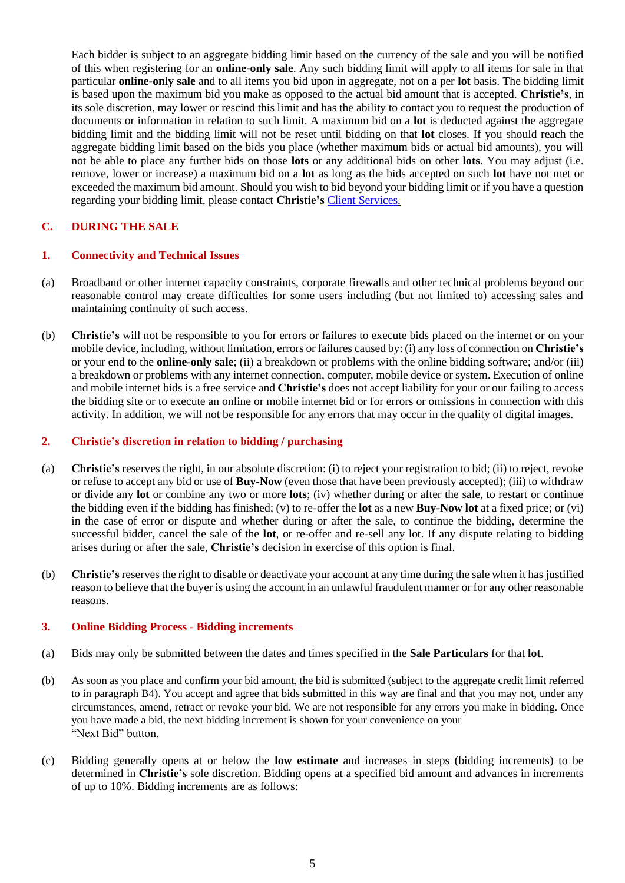Each bidder is subject to an aggregate bidding limit based on the currency of the sale and you will be notified of this when registering for an **online-only sale**. Any such bidding limit will apply to all items for sale in that particular **online-only sale** and to all items you bid upon in aggregate, not on a per **lot** basis. The bidding limit is based upon the maximum bid you make as opposed to the actual bid amount that is accepted. **Christie's**, in its sole discretion, may lower or rescind this limit and has the ability to contact you to request the production of documents or information in relation to such limit. A maximum bid on a **lot** is deducted against the aggregate bidding limit and the bidding limit will not be reset until bidding on that **lot** closes. If you should reach the aggregate bidding limit based on the bids you place (whether maximum bids or actual bid amounts), you will not be able to place any further bids on those **lots** or any additional bids on other **lots**. You may adjust (i.e. remove, lower or increase) a maximum bid on a **lot** as long as the bids accepted on such **lot** have not met or exceeded the maximum bid amount. Should you wish to bid beyond your bidding limit or if you have a question regarding your bidding limit, please contact **Christie's** [Client Services.](http://www.christies.com/about-us/contact/client-services/)

## **C. DURING THE SALE**

#### **1. Connectivity and Technical Issues**

- (a) Broadband or other internet capacity constraints, corporate firewalls and other technical problems beyond our reasonable control may create difficulties for some users including (but not limited to) accessing sales and maintaining continuity of such access.
- (b) **Christie's** will not be responsible to you for errors or failures to execute bids placed on the internet or on your mobile device, including, without limitation, errors or failures caused by: (i) any loss of connection on **Christie's**  or your end to the **online-only sale**; (ii) a breakdown or problems with the online bidding software; and/or (iii) a breakdown or problems with any internet connection, computer, mobile device or system. Execution of online and mobile internet bids is a free service and **Christie's** does not accept liability for your or our failing to access the bidding site or to execute an online or mobile internet bid or for errors or omissions in connection with this activity. In addition, we will not be responsible for any errors that may occur in the quality of digital images.

#### **2. Christie's discretion in relation to bidding / purchasing**

- (a) **Christie's** reserves the right, in our absolute discretion: (i) to reject your registration to bid; (ii) to reject, revoke or refuse to accept any bid or use of **Buy-Now** (even those that have been previously accepted); (iii) to withdraw or divide any **lot** or combine any two or more **lots**; (iv) whether during or after the sale, to restart or continue the bidding even if the bidding has finished; (v) to re-offer the **lot** as a new **Buy-Now lot** at a fixed price; or (vi) in the case of error or dispute and whether during or after the sale, to continue the bidding, determine the successful bidder, cancel the sale of the **lot**, or re-offer and re-sell any lot. If any dispute relating to bidding arises during or after the sale, **Christie's** decision in exercise of this option is final.
- (b) **Christie's** reserves the right to disable or deactivate your account at any time during the sale when it has justified reason to believe that the buyer is using the account in an unlawful fraudulent manner or for any other reasonable reasons.

### **3. Online Bidding Process - Bidding increments**

- (a) Bids may only be submitted between the dates and times specified in the **Sale Particulars** for that **lot**.
- (b) As soon as you place and confirm your bid amount, the bid is submitted (subject to the aggregate credit limit referred to in paragraph B4). You accept and agree that bids submitted in this way are final and that you may not, under any circumstances, amend, retract or revoke your bid. We are not responsible for any errors you make in bidding. Once you have made a bid, the next bidding increment is shown for your convenience on your "Next Bid" button.
- (c) Bidding generally opens at or below the **low estimate** and increases in steps (bidding increments) to be determined in **Christie's** sole discretion. Bidding opens at a specified bid amount and advances in increments of up to 10%. Bidding increments are as follows: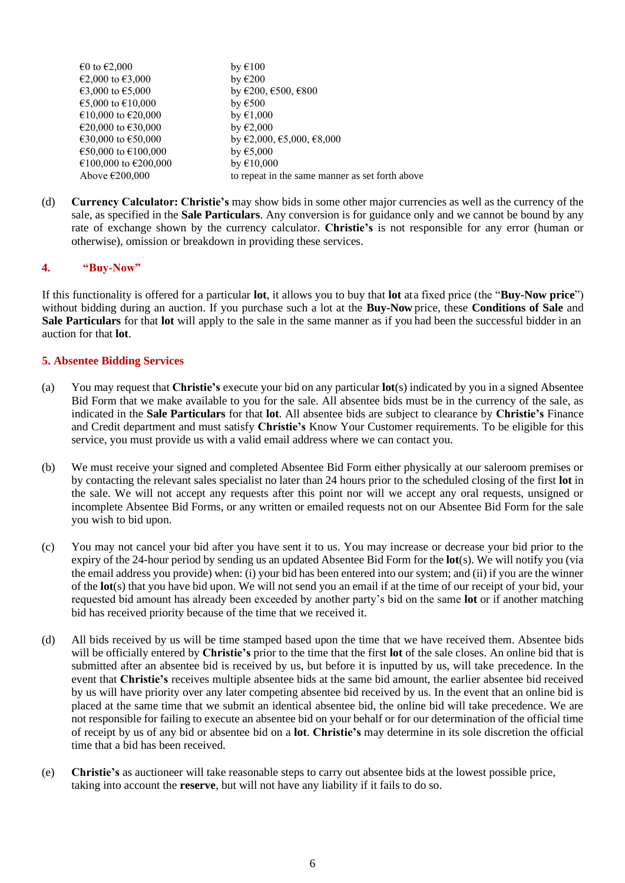| €0 to $€2,000$           | by $€100$                                               |
|--------------------------|---------------------------------------------------------|
| €2,000 to €3,000         | by $\epsilon$ 200                                       |
| €3,000 to $€5,000$       | by $\epsilon$ 200, $\epsilon$ 500, $\epsilon$ 800       |
| €5,000 to €10,000        | by $\epsilon$ 500                                       |
| €10,000 to €20,000       | by $\epsilon$ 1,000                                     |
| €20,000 to €30,000       | by $\epsilon$ 2,000                                     |
| €30,000 to $€50,000$     | by $\epsilon$ 2,000, $\epsilon$ 5,000, $\epsilon$ 8,000 |
| €50,000 to €100,000      | by $\epsilon$ 5,000                                     |
| €100,000 to €200,000     | by $€10,000$                                            |
| Above $\epsilon$ 200,000 | to repeat in the same manner as set forth above         |
|                          |                                                         |

(d) **Currency Calculator: Christie's** may show bids in some other major currencies as well as the currency of the sale, as specified in the **Sale Particulars**. Any conversion is for guidance only and we cannot be bound by any rate of exchange shown by the currency calculator. **Christie's** is not responsible for any error (human or otherwise), omission or breakdown in providing these services.

### **4. "Buy-Now"**

If this functionality is offered for a particular **lot**, it allows you to buy that **lot** at a fixed price (the "Buy-Now price") without bidding during an auction. If you purchase such a lot at the **Buy-Now** price, these **Conditions of Sale** and **Sale Particulars** for that **lot** will apply to the sale in the same manner as if you had been the successful bidder in an auction for that **lot**.

## **5. Absentee Bidding Services**

- (a) You may request that **Christie's** execute your bid on any particular **lot**(s) indicated by you in a signed Absentee Bid Form that we make available to you for the sale. All absentee bids must be in the currency of the sale, as indicated in the **Sale Particulars** for that **lot**. All absentee bids are subject to clearance by **Christie's** Finance and Credit department and must satisfy **Christie's** Know Your Customer requirements. To be eligible for this service, you must provide us with a valid email address where we can contact you.
- (b) We must receive your signed and completed Absentee Bid Form either physically at our saleroom premises or by contacting the relevant sales specialist no later than 24 hours prior to the scheduled closing of the first **lot** in the sale. We will not accept any requests after this point nor will we accept any oral requests, unsigned or incomplete Absentee Bid Forms, or any written or emailed requests not on our Absentee Bid Form for the sale you wish to bid upon.
- (c) You may not cancel your bid after you have sent it to us. You may increase or decrease your bid prior to the expiry of the 24-hour period by sending us an updated Absentee Bid Form for the **lot**(s). We will notify you (via the email address you provide) when: (i) your bid has been entered into our system; and (ii) if you are the winner of the **lot**(s) that you have bid upon. We will not send you an email if at the time of our receipt of your bid, your requested bid amount has already been exceeded by another party's bid on the same **lot** or if another matching bid has received priority because of the time that we received it.
- (d) All bids received by us will be time stamped based upon the time that we have received them. Absentee bids will be officially entered by **Christie's** prior to the time that the first **lot** of the sale closes. An online bid that is submitted after an absentee bid is received by us, but before it is inputted by us, will take precedence. In the event that **Christie's** receives multiple absentee bids at the same bid amount, the earlier absentee bid received by us will have priority over any later competing absentee bid received by us. In the event that an online bid is placed at the same time that we submit an identical absentee bid, the online bid will take precedence. We are not responsible for failing to execute an absentee bid on your behalf or for our determination of the official time of receipt by us of any bid or absentee bid on a **lot**. **Christie's** may determine in its sole discretion the official time that a bid has been received.
- (e) **Christie's** as auctioneer will take reasonable steps to carry out absentee bids at the lowest possible price, taking into account the **reserve**, but will not have any liability if it fails to do so.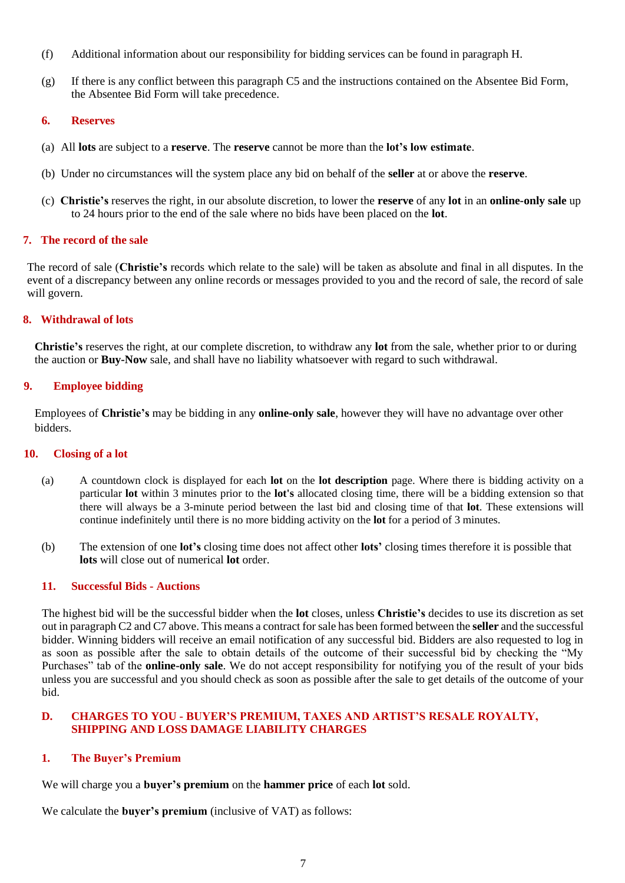- (f) Additional information about our responsibility for bidding services can be found in paragraph H.
- (g) If there is any conflict between this paragraph C5 and the instructions contained on the Absentee Bid Form, the Absentee Bid Form will take precedence.

## **6. Reserves**

- (a) All **lots** are subject to a **reserve**. The **reserve** cannot be more than the **lot's low estimate**.
- (b) Under no circumstances will the system place any bid on behalf of the **seller** at or above the **reserve**.
- (c) **Christie's** reserves the right, in our absolute discretion, to lower the **reserve** of any **lot** in an **online-only sale** up to 24 hours prior to the end of the sale where no bids have been placed on the **lot**.

## **7. The record of the sale**

The record of sale (**Christie's** records which relate to the sale) will be taken as absolute and final in all disputes. In the event of a discrepancy between any online records or messages provided to you and the record of sale, the record of sale will govern.

## **8. Withdrawal of lots**

**Christie's** reserves the right, at our complete discretion, to withdraw any **lot** from the sale, whether prior to or during the auction or **Buy-Now** sale, and shall have no liability whatsoever with regard to such withdrawal.

## **9. Employee bidding**

Employees of **Christie's** may be bidding in any **online-only sale**, however they will have no advantage over other bidders.

### **10. Closing of a lot**

- (a) A countdown clock is displayed for each **lot** on the **lot description** page. Where there is bidding activity on a particular **lot** within 3 minutes prior to the **lot's** allocated closing time, there will be a bidding extension so that there will always be a 3-minute period between the last bid and closing time of that **lot**. These extensions will continue indefinitely until there is no more bidding activity on the **lot** for a period of 3 minutes.
- (b) The extension of one **lot's** closing time does not affect other **lots'** closing times therefore it is possible that **lots** will close out of numerical **lot** order.

## **11. Successful Bids - Auctions**

The highest bid will be the successful bidder when the **lot** closes, unless **Christie's** decides to use its discretion as set out in paragraph C2 and C7 above. This means a contract for sale has been formed between the **seller** and the successful bidder. Winning bidders will receive an email notification of any successful bid. Bidders are also requested to log in as soon as possible after the sale to obtain details of the outcome of their successful bid by checking the "My Purchases" tab of the **online-only sale**. We do not accept responsibility for notifying you of the result of your bids unless you are successful and you should check as soon as possible after the sale to get details of the outcome of your bid.

## **D. CHARGES TO YOU - BUYER'S PREMIUM, TAXES AND ARTIST'S RESALE ROYALTY, SHIPPING AND LOSS DAMAGE LIABILITY CHARGES**

## **1. The Buyer's Premium**

We will charge you a **buyer's premium** on the **hammer price** of each **lot** sold.

We calculate the **buyer's premium** (inclusive of VAT) as follows: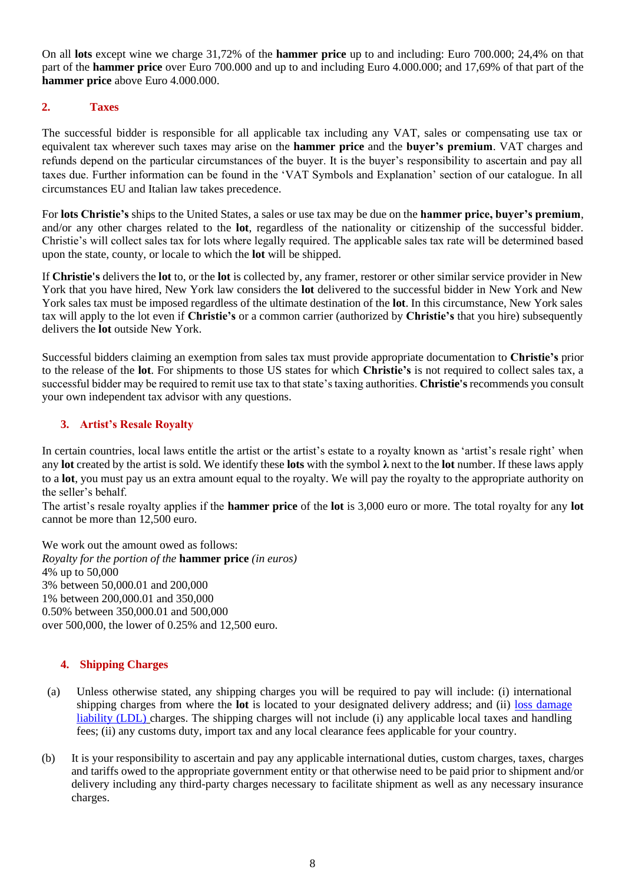On all **lots** except wine we charge 31,72% of the **hammer price** up to and including: Euro 700.000; 24,4% on that part of the **hammer price** over Euro 700.000 and up to and including Euro 4.000.000; and 17,69% of that part of the **hammer price** above Euro 4.000.000.

## **2. Taxes**

The successful bidder is responsible for all applicable tax including any VAT, sales or compensating use tax or equivalent tax wherever such taxes may arise on the **hammer price** and the **buyer's premium**. VAT charges and refunds depend on the particular circumstances of the buyer. It is the buyer's responsibility to ascertain and pay all taxes due. Further information can be found in the 'VAT Symbols and Explanation' section of our catalogue. In all circumstances EU and Italian law takes precedence.

For **lots Christie's** ships to the United States, a sales or use tax may be due on the **hammer price, buyer's premium**, and/or any other charges related to the **lot**, regardless of the nationality or citizenship of the successful bidder. Christie's will collect sales tax for lots where legally required. The applicable sales tax rate will be determined based upon the state, county, or locale to which the **lot** will be shipped.

If **Christie's** delivers the **lot** to, or the **lot** is collected by, any framer, restorer or other similar service provider in New York that you have hired, New York law considers the **lot** delivered to the successful bidder in New York and New York sales tax must be imposed regardless of the ultimate destination of the **lot**. In this circumstance, New York sales tax will apply to the lot even if **Christie's** or a common carrier (authorized by **Christie's** that you hire) subsequently delivers the **lot** outside New York.

Successful bidders claiming an exemption from sales tax must provide appropriate documentation to **Christie's** prior to the release of the **lot**. For shipments to those US states for which **Christie's** is not required to collect sales tax, a successful bidder may be required to remit use tax to that state's taxing authorities. **Christie's** recommends you consult your own independent tax advisor with any questions.

## **3. Artist's Resale Royalty**

In certain countries, local laws entitle the artist or the artist's estate to a royalty known as 'artist's resale right' when any **lot** created by the artist is sold. We identify these **lots** with the symbol **λ** next to the **lot** number. If these laws apply to a **lot**, you must pay us an extra amount equal to the royalty. We will pay the royalty to the appropriate authority on the seller's behalf.

The artist's resale royalty applies if the **hammer price** of the **lot** is 3,000 euro or more. The total royalty for any **lot** cannot be more than 12,500 euro.

We work out the amount owed as follows: *Royalty for the portion of the* **hammer price** *(in euros)* 4% up to 50,000 3% between 50,000.01 and 200,000 1% between 200,000.01 and 350,000 0.50% between 350,000.01 and 500,000 over 500,000, the lower of 0.25% and 12,500 euro.

## **4. Shipping Charges**

- (a) Unless otherwise stated, any shipping charges you will be required to pay will include: (i) international shipping charges from where the **lot** is located to your designated delivery address; and (ii) [loss damage](http://www.christies.com/selling-services/selling-guide/financial-information/#Liability-Terms-Conditions)  [liability \(LDL\)](http://www.christies.com/selling-services/selling-guide/financial-information/#Liability-Terms-Conditions) charges. The shipping charges will not include (i) any applicable local taxes and handling fees; (ii) any customs duty, import tax and any local clearance fees applicable for your country.
- (b) It is your responsibility to ascertain and pay any applicable international duties, custom charges, taxes, charges and tariffs owed to the appropriate government entity or that otherwise need to be paid prior to shipment and/or delivery including any third-party charges necessary to facilitate shipment as well as any necessary insurance charges.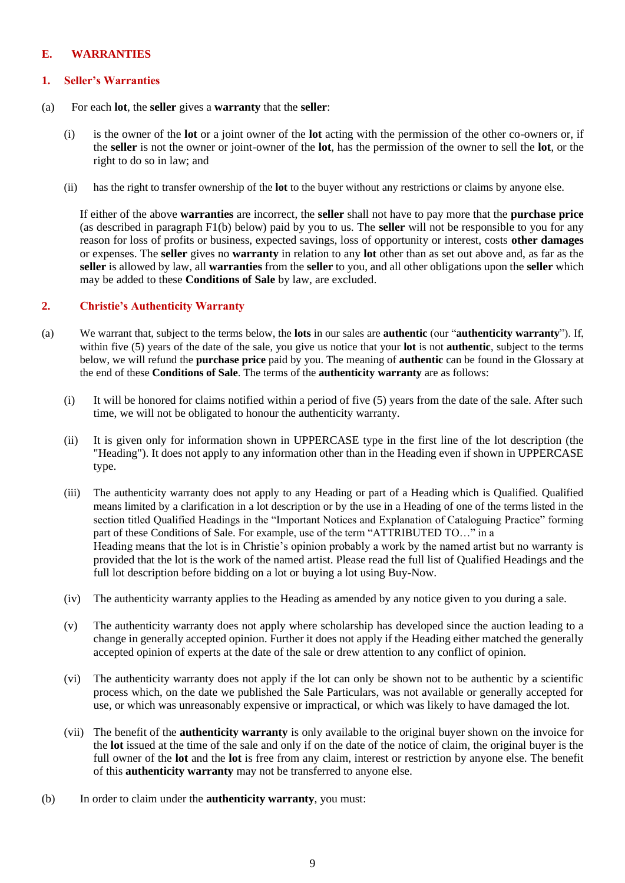## **E. WARRANTIES**

### **1. Seller's Warranties**

- (a) For each **lot**, the **seller** gives a **warranty** that the **seller**:
	- (i) is the owner of the **lot** or a joint owner of the **lot** acting with the permission of the other co-owners or, if the **seller** is not the owner or joint-owner of the **lot**, has the permission of the owner to sell the **lot**, or the right to do so in law; and
	- (ii) has the right to transfer ownership of the **lot** to the buyer without any restrictions or claims by anyone else.

If either of the above **warranties** are incorrect, the **seller** shall not have to pay more that the **purchase price** (as described in paragraph F1(b) below) paid by you to us. The **seller** will not be responsible to you for any reason for loss of profits or business, expected savings, loss of opportunity or interest, costs **other damages** or expenses. The **seller** gives no **warranty** in relation to any **lot** other than as set out above and, as far as the **seller** is allowed by law, all **warranties** from the **seller** to you, and all other obligations upon the **seller** which may be added to these **Conditions of Sale** by law, are excluded.

### **2. Christie's Authenticity Warranty**

- (a) We warrant that, subject to the terms below, the **lots** in our sales are **authentic** (our "**authenticity warranty**"). If, within five (5) years of the date of the sale, you give us notice that your **lot** is not **authentic**, subject to the terms below, we will refund the **purchase price** paid by you. The meaning of **authentic** can be found in the Glossary at the end of these **Conditions of Sale**. The terms of the **authenticity warranty** are as follows:
	- (i) It will be honored for claims notified within a period of five (5) years from the date of the sale. After such time, we will not be obligated to honour the authenticity warranty.
	- (ii) It is given only for information shown in UPPERCASE type in the first line of the lot description (the "Heading"). It does not apply to any information other than in the Heading even if shown in UPPERCASE type.
	- (iii) The authenticity warranty does not apply to any Heading or part of a Heading which is Qualified. Qualified means limited by a clarification in a lot description or by the use in a Heading of one of the terms listed in the section titled Qualified Headings in the "Important Notices and Explanation of Cataloguing Practice" forming part of these Conditions of Sale. For example, use of the term "ATTRIBUTED TO…" in a Heading means that the lot is in Christie's opinion probably a work by the named artist but no warranty is provided that the lot is the work of the named artist. Please read the full list of Qualified Headings and the full lot description before bidding on a lot or buying a lot using Buy-Now.
	- (iv) The authenticity warranty applies to the Heading as amended by any notice given to you during a sale.
	- (v) The authenticity warranty does not apply where scholarship has developed since the auction leading to a change in generally accepted opinion. Further it does not apply if the Heading either matched the generally accepted opinion of experts at the date of the sale or drew attention to any conflict of opinion.
	- (vi) The authenticity warranty does not apply if the lot can only be shown not to be authentic by a scientific process which, on the date we published the Sale Particulars, was not available or generally accepted for use, or which was unreasonably expensive or impractical, or which was likely to have damaged the lot.
	- (vii) The benefit of the **authenticity warranty** is only available to the original buyer shown on the invoice for the **lot** issued at the time of the sale and only if on the date of the notice of claim, the original buyer is the full owner of the **lot** and the **lot** is free from any claim, interest or restriction by anyone else. The benefit of this **authenticity warranty** may not be transferred to anyone else.
- (b) In order to claim under the **authenticity warranty**, you must: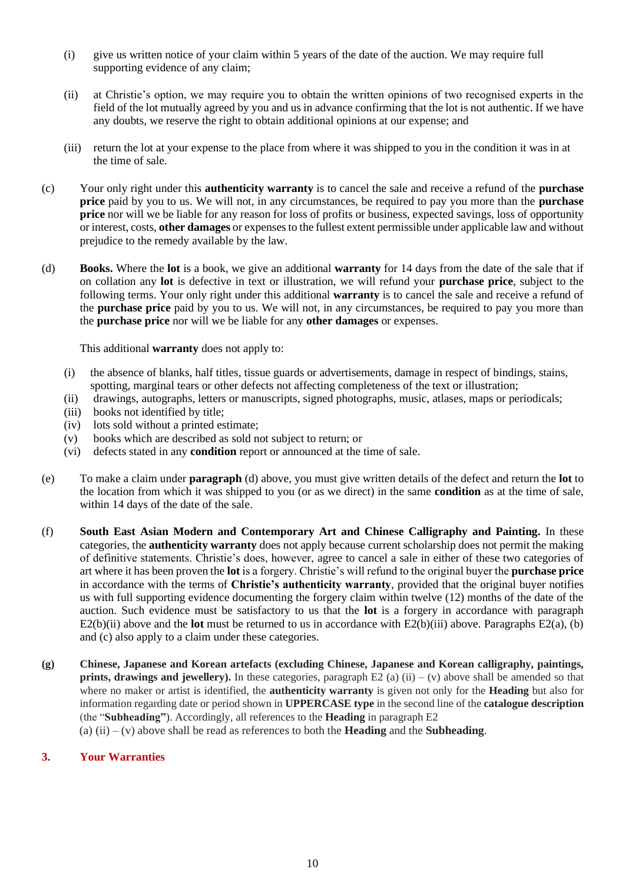- (i) give us written notice of your claim within 5 years of the date of the auction. We may require full supporting evidence of any claim;
- (ii) at Christie's option, we may require you to obtain the written opinions of two recognised experts in the field of the lot mutually agreed by you and us in advance confirming that the lot is not authentic. If we have any doubts, we reserve the right to obtain additional opinions at our expense; and
- (iii) return the lot at your expense to the place from where it was shipped to you in the condition it was in at the time of sale.
- (c) Your only right under this **authenticity warranty** is to cancel the sale and receive a refund of the **purchase price** paid by you to us. We will not, in any circumstances, be required to pay you more than the **purchase price** nor will we be liable for any reason for loss of profits or business, expected savings, loss of opportunity or interest, costs, **other damages** or expenses to the fullest extent permissible under applicable law and without prejudice to the remedy available by the law.
- (d) **Books.** Where the **lot** is a book, we give an additional **warranty** for 14 days from the date of the sale that if on collation any **lot** is defective in text or illustration, we will refund your **purchase price**, subject to the following terms. Your only right under this additional **warranty** is to cancel the sale and receive a refund of the **purchase price** paid by you to us. We will not, in any circumstances, be required to pay you more than the **purchase price** nor will we be liable for any **other damages** or expenses.

This additional **warranty** does not apply to:

- (i) the absence of blanks, half titles, tissue guards or advertisements, damage in respect of bindings, stains, spotting, marginal tears or other defects not affecting completeness of the text or illustration;
- (ii) drawings, autographs, letters or manuscripts, signed photographs, music, atlases, maps or periodicals;
- (iii) books not identified by title;
- (iv) lots sold without a printed estimate;
- (v) books which are described as sold not subject to return; or
- (vi) defects stated in any **condition** report or announced at the time of sale.
- (e) To make a claim under **paragraph** (d) above, you must give written details of the defect and return the **lot** to the location from which it was shipped to you (or as we direct) in the same **condition** as at the time of sale, within 14 days of the date of the sale.
- (f) **South East Asian Modern and Contemporary Art and Chinese Calligraphy and Painting.** In these categories, the **authenticity warranty** does not apply because current scholarship does not permit the making of definitive statements. Christie's does, however, agree to cancel a sale in either of these two categories of art where it has been proven the **lot** is a forgery. Christie's will refund to the original buyer the **purchase price**  in accordance with the terms of **Christie's authenticity warranty**, provided that the original buyer notifies us with full supporting evidence documenting the forgery claim within twelve (12) months of the date of the auction. Such evidence must be satisfactory to us that the **lot** is a forgery in accordance with paragraph E2(b)(ii) above and the **lot** must be returned to us in accordance with E2(b)(iii) above. Paragraphs E2(a), (b) and (c) also apply to a claim under these categories.
- **(g) Chinese, Japanese and Korean artefacts (excluding Chinese, Japanese and Korean calligraphy, paintings, prints, drawings and jewellery).** In these categories, paragraph  $E(2(a)$  (ii) – (v) above shall be amended so that where no maker or artist is identified, the **authenticity warranty** is given not only for the **Heading** but also for information regarding date or period shown in **UPPERCASE type** in the second line of the **catalogue description** (the "**Subheading"**). Accordingly, all references to the **Heading** in paragraph E2

# (a)  $(ii) - (v)$  above shall be read as references to both the **Heading** and the **Subheading**.

## **3. Your Warranties**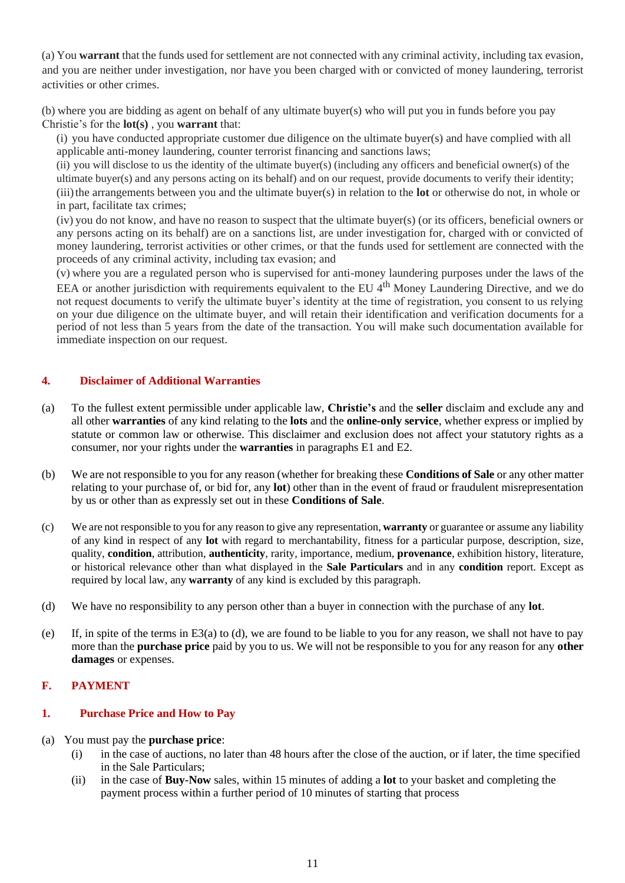(a) You **warrant** that the funds used for settlement are not connected with any criminal activity, including tax evasion, and you are neither under investigation, nor have you been charged with or convicted of money laundering, terrorist activities or other crimes.

(b) where you are bidding as agent on behalf of any ultimate buyer(s) who will put you in funds before you pay Christie's for the **lot(s)** , you **warrant** that:

(i) you have conducted appropriate customer due diligence on the ultimate buyer(s) and have complied with all applicable anti-money laundering, counter terrorist financing and sanctions laws;

(ii) you will disclose to us the identity of the ultimate buyer(s) (including any officers and beneficial owner(s) of the ultimate buyer(s) and any persons acting on its behalf) and on our request, provide documents to verify their identity; (iii) the arrangements between you and the ultimate buyer(s) in relation to the **lot** or otherwise do not, in whole or in part, facilitate tax crimes;

(iv) you do not know, and have no reason to suspect that the ultimate buyer(s) (or its officers, beneficial owners or any persons acting on its behalf) are on a sanctions list, are under investigation for, charged with or convicted of money laundering, terrorist activities or other crimes, or that the funds used for settlement are connected with the proceeds of any criminal activity, including tax evasion; and

(v) where you are a regulated person who is supervised for anti-money laundering purposes under the laws of the EEA or another jurisdiction with requirements equivalent to the EU 4<sup>th</sup> Money Laundering Directive, and we do not request documents to verify the ultimate buyer's identity at the time of registration, you consent to us relying on your due diligence on the ultimate buyer, and will retain their identification and verification documents for a period of not less than 5 years from the date of the transaction. You will make such documentation available for immediate inspection on our request.

## **4. Disclaimer of Additional Warranties**

- (a) To the fullest extent permissible under applicable law, **Christie's** and the **seller** disclaim and exclude any and all other **warranties** of any kind relating to the **lots** and the **online-only service**, whether express or implied by statute or common law or otherwise. This disclaimer and exclusion does not affect your statutory rights as a consumer, nor your rights under the **warranties** in paragraphs E1 and E2.
- (b) We are not responsible to you for any reason (whether for breaking these **Conditions of Sale** or any other matter relating to your purchase of, or bid for, any **lot**) other than in the event of fraud or fraudulent misrepresentation by us or other than as expressly set out in these **Conditions of Sale**.
- (c) We are not responsible to you for any reason to give any representation, **warranty** or guarantee or assume any liability of any kind in respect of any **lot** with regard to merchantability, fitness for a particular purpose, description, size, quality, **condition**, attribution, **authenticity**, rarity, importance, medium, **provenance**, exhibition history, literature, or historical relevance other than what displayed in the **Sale Particulars** and in any **condition** report. Except as required by local law, any **warranty** of any kind is excluded by this paragraph.
- (d) We have no responsibility to any person other than a buyer in connection with the purchase of any **lot**.
- (e) If, in spite of the terms in E3(a) to (d), we are found to be liable to you for any reason, we shall not have to pay more than the **purchase price** paid by you to us. We will not be responsible to you for any reason for any **other damages** or expenses.

## **F. PAYMENT**

## **1. Purchase Price and How to Pay**

- (a) You must pay the **purchase price**:
	- (i) in the case of auctions, no later than 48 hours after the close of the auction, or if later, the time specified in the Sale Particulars;
	- (ii) in the case of **Buy-Now** sales, within 15 minutes of adding a **lot** to your basket and completing the payment process within a further period of 10 minutes of starting that process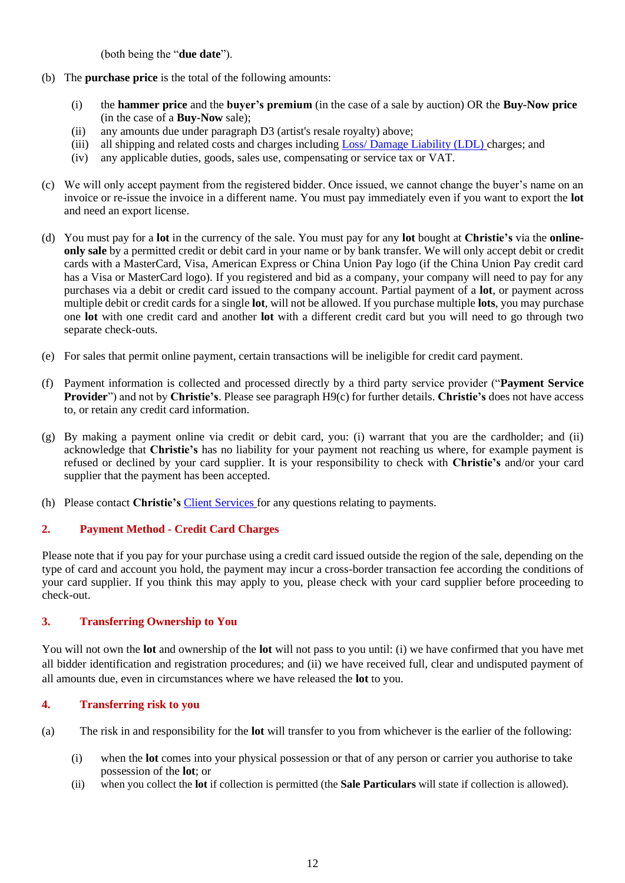(both being the "**due date**").

- (b) The **purchase price** is the total of the following amounts:
	- (i) the **hammer price** and the **buyer's premium** (in the case of a sale by auction) OR the **Buy-Now price** (in the case of a **Buy-Now** sale);
	- (ii) any amounts due under paragraph D3 (artist's resale royalty) above;
	- (iii) all shipping and related costs and charges including [Loss/ Damage Liability \(LDL\)](http://www.christies.com/selling-services/selling-guide/financial-information/#Liability-Terms-Conditions) charges; and
	- (iv) any applicable duties, goods, sales use, compensating or service tax or VAT.
- (c) We will only accept payment from the registered bidder. Once issued, we cannot change the buyer's name on an invoice or re-issue the invoice in a different name. You must pay immediately even if you want to export the **lot** and need an export license.
- (d) You must pay for a **lot** in the currency of the sale. You must pay for any **lot** bought at **Christie's** via the **onlineonly sale** by a permitted credit or debit card in your name or by bank transfer. We will only accept debit or credit cards with a MasterCard, Visa, American Express or China Union Pay logo (if the China Union Pay credit card has a Visa or MasterCard logo). If you registered and bid as a company, your company will need to pay for any purchases via a debit or credit card issued to the company account. Partial payment of a **lot**, or payment across multiple debit or credit cards for a single **lot**, will not be allowed. If you purchase multiple **lots**, you may purchase one **lot** with one credit card and another **lot** with a different credit card but you will need to go through two separate check-outs.
- (e) For sales that permit online payment, certain transactions will be ineligible for credit card payment.
- (f) Payment information is collected and processed directly by a third party service provider ("**Payment Service Provider**") and not by **Christie's**. Please see paragraph H9(c) for further details. **Christie's** does not have access to, or retain any credit card information.
- (g) By making a payment online via credit or debit card, you: (i) warrant that you are the cardholder; and (ii) acknowledge that **Christie's** has no liability for your payment not reaching us where, for example payment is refused or declined by your card supplier. It is your responsibility to check with **Christie's** and/or your card supplier that the payment has been accepted.
- (h) Please contact **Christie's** [Client Services](http://www.christies.com/about-us/contact/client-services/) for any questions relating to payments.

## **2. Payment Method - Credit Card Charges**

Please note that if you pay for your purchase using a credit card issued outside the region of the sale, depending on the type of card and account you hold, the payment may incur a cross-border transaction fee according the conditions of your card supplier. If you think this may apply to you, please check with your card supplier before proceeding to check-out.

## **3. Transferring Ownership to You**

You will not own the **lot** and ownership of the **lot** will not pass to you until: (i) we have confirmed that you have met all bidder identification and registration procedures; and (ii) we have received full, clear and undisputed payment of all amounts due, even in circumstances where we have released the **lot** to you.

### **4. Transferring risk to you**

- (a) The risk in and responsibility for the **lot** will transfer to you from whichever is the earlier of the following:
	- (i) when the **lot** comes into your physical possession or that of any person or carrier you authorise to take possession of the **lot**; or
	- (ii) when you collect the **lot** if collection is permitted (the **Sale Particulars** will state if collection is allowed).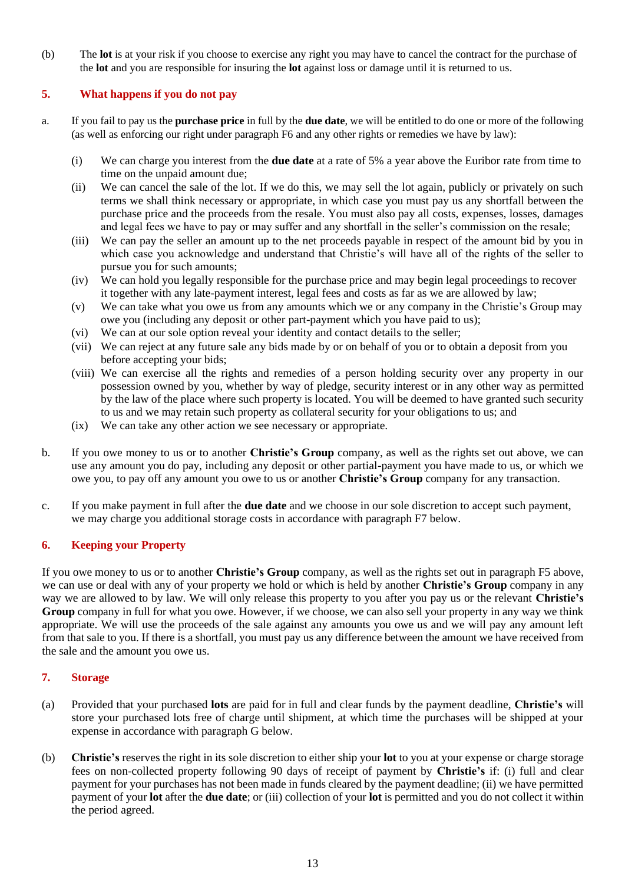(b) The **lot** is at your risk if you choose to exercise any right you may have to cancel the contract for the purchase of the **lot** and you are responsible for insuring the **lot** against loss or damage until it is returned to us.

## **5. What happens if you do not pay**

- a. If you fail to pay us the **purchase price** in full by the **due date**, we will be entitled to do one or more of the following (as well as enforcing our right under paragraph F6 and any other rights or remedies we have by law):
	- (i) We can charge you interest from the **due date** at a rate of 5% a year above the Euribor rate from time to time on the unpaid amount due;
	- (ii) We can cancel the sale of the lot. If we do this, we may sell the lot again, publicly or privately on such terms we shall think necessary or appropriate, in which case you must pay us any shortfall between the purchase price and the proceeds from the resale. You must also pay all costs, expenses, losses, damages and legal fees we have to pay or may suffer and any shortfall in the seller's commission on the resale;
	- (iii) We can pay the seller an amount up to the net proceeds payable in respect of the amount bid by you in which case you acknowledge and understand that Christie's will have all of the rights of the seller to pursue you for such amounts;
	- (iv) We can hold you legally responsible for the purchase price and may begin legal proceedings to recover it together with any late-payment interest, legal fees and costs as far as we are allowed by law;
	- (v) We can take what you owe us from any amounts which we or any company in the Christie's Group may owe you (including any deposit or other part-payment which you have paid to us);
	- (vi) We can at our sole option reveal your identity and contact details to the seller;
	- (vii) We can reject at any future sale any bids made by or on behalf of you or to obtain a deposit from you before accepting your bids;
	- (viii) We can exercise all the rights and remedies of a person holding security over any property in our possession owned by you, whether by way of pledge, security interest or in any other way as permitted by the law of the place where such property is located. You will be deemed to have granted such security to us and we may retain such property as collateral security for your obligations to us; and
	- (ix) We can take any other action we see necessary or appropriate.
- b. If you owe money to us or to another **Christie's Group** company, as well as the rights set out above, we can use any amount you do pay, including any deposit or other partial-payment you have made to us, or which we owe you, to pay off any amount you owe to us or another **Christie's Group** company for any transaction.
- c. If you make payment in full after the **due date** and we choose in our sole discretion to accept such payment, we may charge you additional storage costs in accordance with paragraph F7 below.

## **6. Keeping your Property**

If you owe money to us or to another **Christie's Group** company, as well as the rights set out in paragraph F5 above, we can use or deal with any of your property we hold or which is held by another **Christie's Group** company in any way we are allowed to by law. We will only release this property to you after you pay us or the relevant **Christie's Group** company in full for what you owe. However, if we choose, we can also sell your property in any way we think appropriate. We will use the proceeds of the sale against any amounts you owe us and we will pay any amount left from that sale to you. If there is a shortfall, you must pay us any difference between the amount we have received from the sale and the amount you owe us.

## **7. Storage**

- (a) Provided that your purchased **lots** are paid for in full and clear funds by the payment deadline, **Christie's** will store your purchased lots free of charge until shipment, at which time the purchases will be shipped at your expense in accordance with paragraph G below.
- (b) **Christie's** reserves the right in its sole discretion to either ship your **lot** to you at your expense or charge storage fees on non-collected property following 90 days of receipt of payment by **Christie's** if: (i) full and clear payment for your purchases has not been made in funds cleared by the payment deadline; (ii) we have permitted payment of your **lot** after the **due date**; or (iii) collection of your **lot** is permitted and you do not collect it within the period agreed.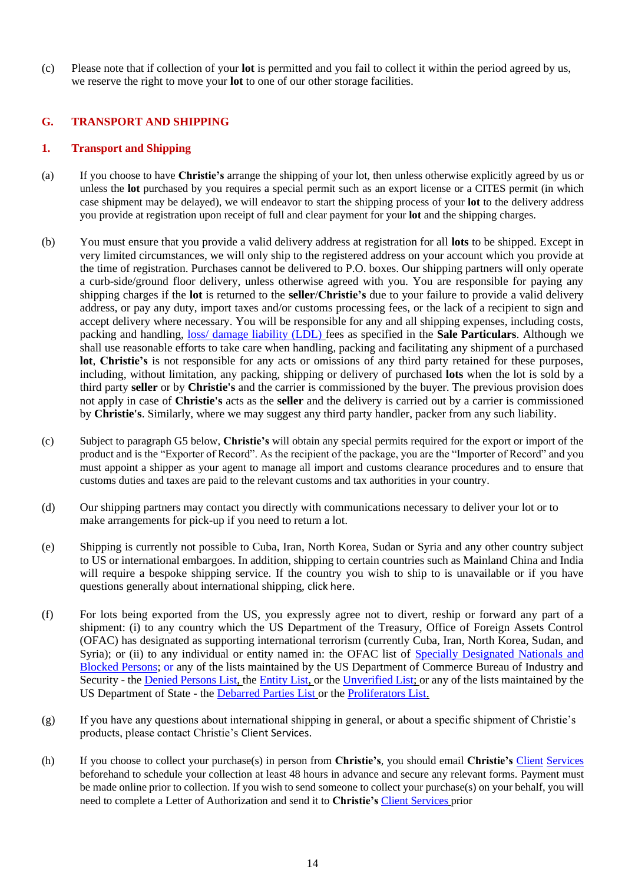(c) Please note that if collection of your **lot** is permitted and you fail to collect it within the period agreed by us, we reserve the right to move your **lot** to one of our other storage facilities.

## **G. TRANSPORT AND SHIPPING**

#### **1. Transport and Shipping**

- (a) If you choose to have **Christie's** arrange the shipping of your lot, then unless otherwise explicitly agreed by us or unless the **lot** purchased by you requires a special permit such as an export license or a CITES permit (in which case shipment may be delayed), we will endeavor to start the shipping process of your **lot** to the delivery address you provide at registration upon receipt of full and clear payment for your **lot** and the shipping charges.
- (b) You must ensure that you provide a valid delivery address at registration for all **lots** to be shipped. Except in very limited circumstances, we will only ship to the registered address on your account which you provide at the time of registration. Purchases cannot be delivered to P.O. boxes. Our shipping partners will only operate a curb-side/ground floor delivery, unless otherwise agreed with you. You are responsible for paying any shipping charges if the **lot** is returned to the **seller**/**Christie's** due to your failure to provide a valid delivery address, or pay any duty, import taxes and/or customs processing fees, or the lack of a recipient to sign and accept delivery where necessary. You will be responsible for any and all shipping expenses, including costs, packing and handling, [loss/ damage liability \(LDL\)](http://www.christies.com/selling-services/selling-guide/financial-information/#Liability-Terms-Conditions) fees as specified in the **Sale Particulars**. Although we shall use reasonable efforts to take care when handling, packing and facilitating any shipment of a purchased **lot**, **Christie's** is not responsible for any acts or omissions of any third party retained for these purposes, including, without limitation, any packing, shipping or delivery of purchased **lots** when the lot is sold by a third party **seller** or by **Christie's** and the carrier is commissioned by the buyer. The previous provision does not apply in case of **Christie's** acts as the **seller** and the delivery is carried out by a carrier is commissioned by **Christie's**. Similarly, where we may suggest any third party handler, packer from any such liability.
- (c) Subject to paragraph G5 below, **Christie's** will obtain any special permits required for the export or import of the product and is the "Exporter of Record". As the recipient of the package, you are the "Importer of Record" and you must appoint a shipper as your agent to manage all import and customs clearance procedures and to ensure that customs duties and taxes are paid to the relevant customs and tax authorities in your country.
- (d) Our shipping partners may contact you directly with communications necessary to deliver your lot or to make arrangements for pick-up if you need to return a lot.
- (e) Shipping is currently not possible to Cuba, Iran, North Korea, Sudan or Syria and any other country subject to US or international embargoes. In addition, shipping to certain countries such as Mainland China and India will require a bespoke shipping service. If the country you wish to ship to is unavailable or if you have questions generally about international shipping, [click here](https://onlineonly.christies.com/contact-us).
- (f) For lots being exported from the US, you expressly agree not to divert, reship or forward any part of a shipment: (i) to any country which the US Department of the Treasury, Office of Foreign Assets Control (OFAC) has designated as supporting international terrorism (currently Cuba, Iran, North Korea, Sudan, and Syria); or (ii) to any individual or entity named in: the OFAC list of [Specially Designated Nationals and](http://www.treasury.gov/resource-center/sanctions/SDN-List/Pages/default.aspx) [Blocked Persons; o](http://www.treasury.gov/resource-center/sanctions/SDN-List/Pages/default.aspx)r any of the lists maintained by the US Department of Commerce Bureau of Industry and Security - the **Denied Persons List, the [Entity List, o](http://www.bis.doc.gov/index.php/policy-guidance/lists-of-parties-of-concern/entity-list)r th[e Unverified List; o](http://www.bis.doc.gov/index.php/policy-guidance/lists-of-parties-of-concern/unverified-list)r any of the lists maintained by the** US Department of State - th[e Debarred Parties List](http://pmddtc.state.gov/compliance/debar.html) or the [Proliferators List.](http://www.treasury.gov/resource-center/sanctions/Programs/Documents/wmd.pdf)
- (g) If you have any questions about international shipping in general, or about a specific shipment of Christie's products, please contact Christie's [Client Services](http://www.christies.com/about-us/contact/client-services/).
- (h) If you choose to collect your purchase(s) in person from **Christie's**, you should email **Christie's** [Client](http://www.christies.com/about-us/contact/client-services/) [Services](http://www.christies.com/about-us/contact/client-services/) beforehand to schedule your collection at least 48 hours in advance and secure any relevant forms. Payment must be made online prior to collection. If you wish to send someone to collect your purchase(s) on your behalf, you will need to complete a Letter of Authorization and send it to **Christie's** [Client Services](http://www.christies.com/about-us/contact/client-services/) prior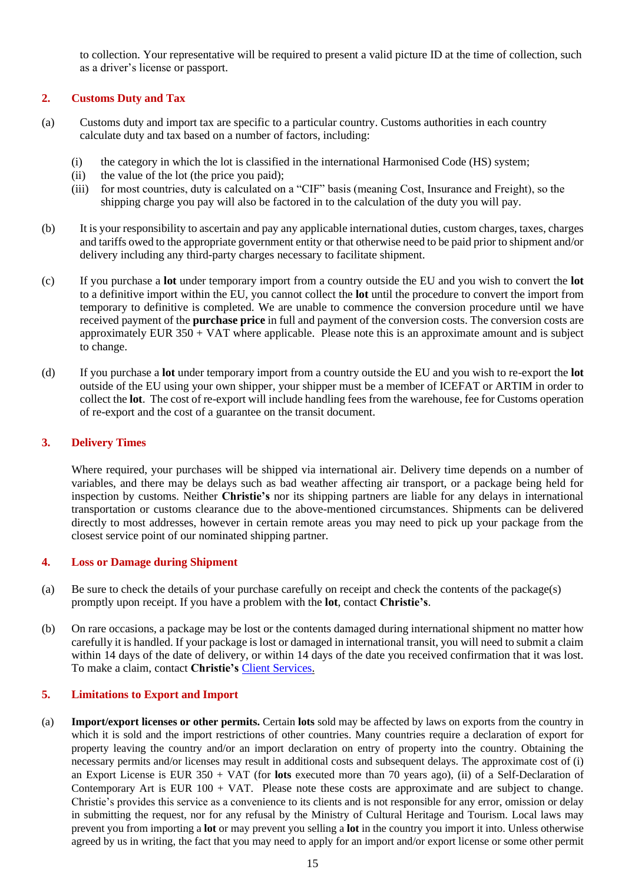to collection. Your representative will be required to present a valid picture ID at the time of collection, such as a driver's license or passport.

## **2. Customs Duty and Tax**

- (a) Customs duty and import tax are specific to a particular country. Customs authorities in each country calculate duty and tax based on a number of factors, including:
	- (i) the category in which the lot is classified in the international Harmonised Code (HS) system;
	- (ii) the value of the lot (the price you paid);
	- (iii) for most countries, duty is calculated on a "CIF" basis (meaning Cost, Insurance and Freight), so the shipping charge you pay will also be factored in to the calculation of the duty you will pay.
- (b) It is your responsibility to ascertain and pay any applicable international duties, custom charges, taxes, charges and tariffs owed to the appropriate government entity or that otherwise need to be paid prior to shipment and/or delivery including any third-party charges necessary to facilitate shipment.
- (c) If you purchase a **lot** under temporary import from a country outside the EU and you wish to convert the **lot**  to a definitive import within the EU, you cannot collect the **lot** until the procedure to convert the import from temporary to definitive is completed. We are unable to commence the conversion procedure until we have received payment of the **purchase price** in full and payment of the conversion costs. The conversion costs are approximately EUR  $350 + VAT$  where applicable. Please note this is an approximate amount and is subject to change.
- (d) If you purchase a **lot** under temporary import from a country outside the EU and you wish to re-export the **lot**  outside of the EU using your own shipper, your shipper must be a member of ICEFAT or ARTIM in order to collect the **lot**. The cost of re-export will include handling fees from the warehouse, fee for Customs operation of re-export and the cost of a guarantee on the transit document.

### **3. Delivery Times**

Where required, your purchases will be shipped via international air. Delivery time depends on a number of variables, and there may be delays such as bad weather affecting air transport, or a package being held for inspection by customs. Neither **Christie's** nor its shipping partners are liable for any delays in international transportation or customs clearance due to the above-mentioned circumstances. Shipments can be delivered directly to most addresses, however in certain remote areas you may need to pick up your package from the closest service point of our nominated shipping partner.

## **4. Loss or Damage during Shipment**

- (a) Be sure to check the details of your purchase carefully on receipt and check the contents of the package(s) promptly upon receipt. If you have a problem with the **lot**, contact **Christie's**.
- (b) On rare occasions, a package may be lost or the contents damaged during international shipment no matter how carefully it is handled. If your package is lost or damaged in international transit, you will need to submit a claim within 14 days of the date of delivery, or within 14 days of the date you received confirmation that it was lost. To make a claim, contact **Christie's** [Client Services.](http://www.christies.com/about-us/contact/client-services/)

## **5. Limitations to Export and Import**

(a) **Import/export licenses or other permits.** Certain **lots** sold may be affected by laws on exports from the country in which it is sold and the import restrictions of other countries. Many countries require a declaration of export for property leaving the country and/or an import declaration on entry of property into the country. Obtaining the necessary permits and/or licenses may result in additional costs and subsequent delays. The approximate cost of (i) an Export License is EUR 350 + VAT (for **lots** executed more than 70 years ago), (ii) of a Self-Declaration of Contemporary Art is EUR  $100 + \text{VAT}$ . Please note these costs are approximate and are subject to change. Christie's provides this service as a convenience to its clients and is not responsible for any error, omission or delay in submitting the request, nor for any refusal by the Ministry of Cultural Heritage and Tourism. Local laws may prevent you from importing a **lot** or may prevent you selling a **lot** in the country you import it into. Unless otherwise agreed by us in writing, the fact that you may need to apply for an import and/or export license or some other permit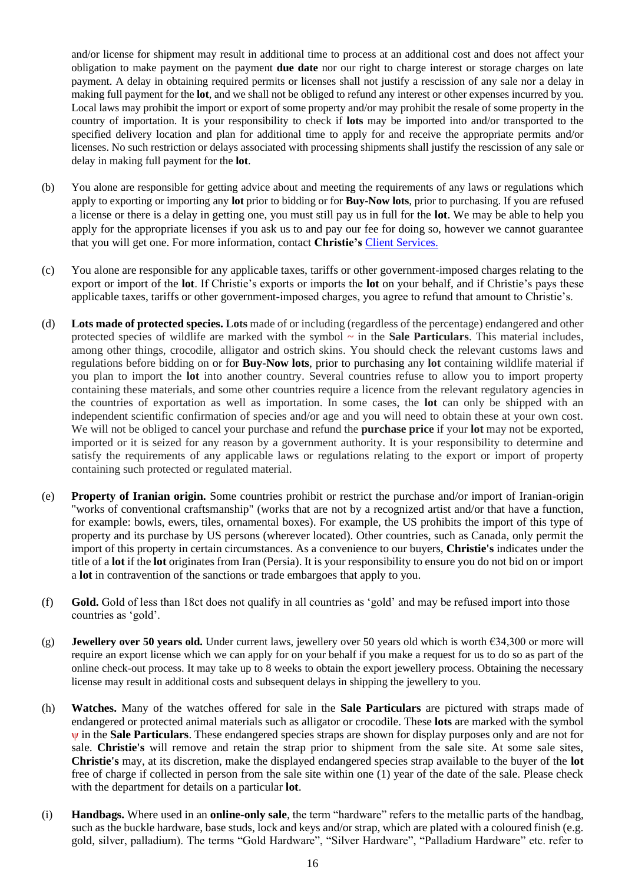and/or license for shipment may result in additional time to process at an additional cost and does not affect your obligation to make payment on the payment **due date** nor our right to charge interest or storage charges on late payment. A delay in obtaining required permits or licenses shall not justify a rescission of any sale nor a delay in making full payment for the **lot**, and we shall not be obliged to refund any interest or other expenses incurred by you. Local laws may prohibit the import or export of some property and/or may prohibit the resale of some property in the country of importation. It is your responsibility to check if **lots** may be imported into and/or transported to the specified delivery location and plan for additional time to apply for and receive the appropriate permits and/or licenses. No such restriction or delays associated with processing shipments shall justify the rescission of any sale or delay in making full payment for the **lot**.

- (b) You alone are responsible for getting advice about and meeting the requirements of any laws or regulations which apply to exporting or importing any **lot** prior to bidding or for **Buy-Now lots**, prior to purchasing. If you are refused a license or there is a delay in getting one, you must still pay us in full for the **lot**. We may be able to help you apply for the appropriate licenses if you ask us to and pay our fee for doing so, however we cannot guarantee that you will get one. For more information, contact **Christie's** [Client Services.](http://www.christies.com/about-us/contact/client-services/)
- (c) You alone are responsible for any applicable taxes, tariffs or other government-imposed charges relating to the export or import of the **lot**. If Christie's exports or imports the **lot** on your behalf, and if Christie's pays these applicable taxes, tariffs or other government-imposed charges, you agree to refund that amount to Christie's.
- (d) **Lots made of protected species. Lots** made of or including (regardless of the percentage) endangered and other protected species of wildlife are marked with the symbol **~** in the **Sale Particulars**. This material includes, among other things, crocodile, alligator and ostrich skins. You should check the relevant customs laws and regulations before bidding on or for **Buy-Now lots**, prior to purchasing any **lot** containing wildlife material if you plan to import the **lot** into another country. Several countries refuse to allow you to import property containing these materials, and some other countries require a licence from the relevant regulatory agencies in the countries of exportation as well as importation. In some cases, the **lot** can only be shipped with an independent scientific confirmation of species and/or age and you will need to obtain these at your own cost. We will not be obliged to cancel your purchase and refund the **purchase price** if your **lot** may not be exported, imported or it is seized for any reason by a government authority. It is your responsibility to determine and satisfy the requirements of any applicable laws or regulations relating to the export or import of property containing such protected or regulated material.
- (e) **Property of Iranian origin.** Some countries prohibit or restrict the purchase and/or import of Iranian-origin "works of conventional craftsmanship" (works that are not by a recognized artist and/or that have a function, for example: bowls, ewers, tiles, ornamental boxes). For example, the US prohibits the import of this type of property and its purchase by US persons (wherever located). Other countries, such as Canada, only permit the import of this property in certain circumstances. As a convenience to our buyers, **Christie's** indicates under the title of a **lot** if the **lot** originates from Iran (Persia). It is your responsibility to ensure you do not bid on or import a **lot** in contravention of the sanctions or trade embargoes that apply to you.
- (f) **Gold.** Gold of less than 18ct does not qualify in all countries as 'gold' and may be refused import into those countries as 'gold'.
- (g) **Jewellery over 50 years old.** Under current laws, jewellery over 50 years old which is worth €34,300 or more will require an export license which we can apply for on your behalf if you make a request for us to do so as part of the online check-out process. It may take up to 8 weeks to obtain the export jewellery process. Obtaining the necessary license may result in additional costs and subsequent delays in shipping the jewellery to you.
- (h) **Watches.** Many of the watches offered for sale in the **Sale Particulars** are pictured with straps made of endangered or protected animal materials such as alligator or crocodile. These **lots** are marked with the symbol ψ in the **Sale Particulars**. These endangered species straps are shown for display purposes only and are not for sale. **Christie's** will remove and retain the strap prior to shipment from the sale site. At some sale sites, **Christie's** may, at its discretion, make the displayed endangered species strap available to the buyer of the **lot**  free of charge if collected in person from the sale site within one (1) year of the date of the sale. Please check with the department for details on a particular **lot**.
- (i) **Handbags.** Where used in an **online-only sale**, the term "hardware" refers to the metallic parts of the handbag, such as the buckle hardware, base studs, lock and keys and/or strap, which are plated with a coloured finish (e.g. gold, silver, palladium). The terms "Gold Hardware", "Silver Hardware", "Palladium Hardware" etc. refer to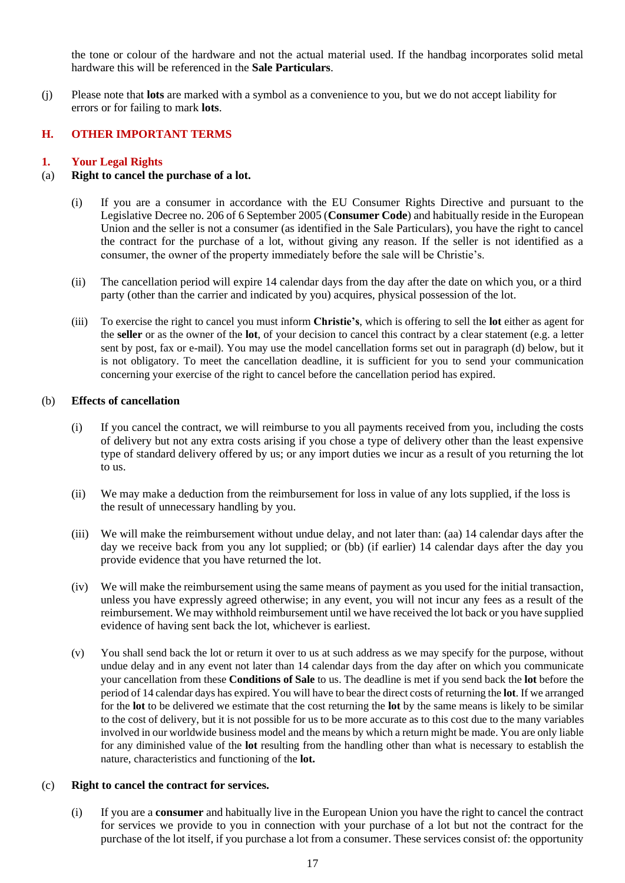the tone or colour of the hardware and not the actual material used. If the handbag incorporates solid metal hardware this will be referenced in the **Sale Particulars**.

(j) Please note that **lots** are marked with a symbol as a convenience to you, but we do not accept liability for errors or for failing to mark **lots**.

### **H. OTHER IMPORTANT TERMS**

## **1. Your Legal Rights**

## (a) **Right to cancel the purchase of a lot.**

- (i) If you are a consumer in accordance with the EU Consumer Rights Directive and pursuant to the Legislative Decree no. 206 of 6 September 2005 (**Consumer Code**) and habitually reside in the European Union and the seller is not a consumer (as identified in the Sale Particulars), you have the right to cancel the contract for the purchase of a lot, without giving any reason. If the seller is not identified as a consumer, the owner of the property immediately before the sale will be Christie's.
- (ii) The cancellation period will expire 14 calendar days from the day after the date on which you, or a third party (other than the carrier and indicated by you) acquires, physical possession of the lot.
- (iii) To exercise the right to cancel you must inform **Christie's**, which is offering to sell the **lot** either as agent for the **seller** or as the owner of the **lot**, of your decision to cancel this contract by a clear statement (e.g. a letter sent by post, fax or e-mail). You may use the model cancellation forms set out in paragraph (d) below, but it is not obligatory. To meet the cancellation deadline, it is sufficient for you to send your communication concerning your exercise of the right to cancel before the cancellation period has expired.

### (b) **Effects of cancellation**

- (i) If you cancel the contract, we will reimburse to you all payments received from you, including the costs of delivery but not any extra costs arising if you chose a type of delivery other than the least expensive type of standard delivery offered by us; or any import duties we incur as a result of you returning the lot to us.
- (ii) We may make a deduction from the reimbursement for loss in value of any lots supplied, if the loss is the result of unnecessary handling by you.
- (iii) We will make the reimbursement without undue delay, and not later than: (aa) 14 calendar days after the day we receive back from you any lot supplied; or (bb) (if earlier) 14 calendar days after the day you provide evidence that you have returned the lot.
- (iv) We will make the reimbursement using the same means of payment as you used for the initial transaction, unless you have expressly agreed otherwise; in any event, you will not incur any fees as a result of the reimbursement. We may withhold reimbursement until we have received the lot back or you have supplied evidence of having sent back the lot, whichever is earliest.
- (v) You shall send back the lot or return it over to us at such address as we may specify for the purpose, without undue delay and in any event not later than 14 calendar days from the day after on which you communicate your cancellation from these **Conditions of Sale** to us. The deadline is met if you send back the **lot** before the period of 14 calendar days has expired. You will have to bear the direct costs of returning the **lot**. If we arranged for the **lot** to be delivered we estimate that the cost returning the **lot** by the same means is likely to be similar to the cost of delivery, but it is not possible for us to be more accurate as to this cost due to the many variables involved in our worldwide business model and the means by which a return might be made. You are only liable for any diminished value of the **lot** resulting from the handling other than what is necessary to establish the nature, characteristics and functioning of the **lot.**

### (c) **Right to cancel the contract for services.**

(i) If you are a **consumer** and habitually live in the European Union you have the right to cancel the contract for services we provide to you in connection with your purchase of a lot but not the contract for the purchase of the lot itself, if you purchase a lot from a consumer. These services consist of: the opportunity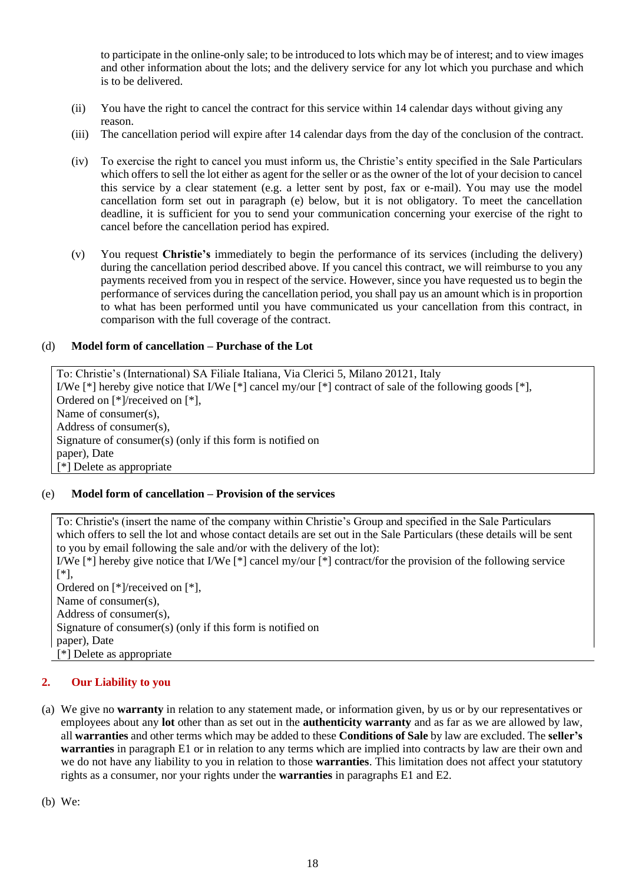to participate in the online-only sale; to be introduced to lots which may be of interest; and to view images and other information about the lots; and the delivery service for any lot which you purchase and which is to be delivered.

- (ii) You have the right to cancel the contract for this service within 14 calendar days without giving any reason.
- (iii) The cancellation period will expire after 14 calendar days from the day of the conclusion of the contract.
- (iv) To exercise the right to cancel you must inform us, the Christie's entity specified in the Sale Particulars which offers to sell the lot either as agent for the seller or as the owner of the lot of your decision to cancel this service by a clear statement (e.g. a letter sent by post, fax or e-mail). You may use the model cancellation form set out in paragraph (e) below, but it is not obligatory. To meet the cancellation deadline, it is sufficient for you to send your communication concerning your exercise of the right to cancel before the cancellation period has expired.
- (v) You request **Christie's** immediately to begin the performance of its services (including the delivery) during the cancellation period described above. If you cancel this contract, we will reimburse to you any payments received from you in respect of the service. However, since you have requested us to begin the performance of services during the cancellation period, you shall pay us an amount which is in proportion to what has been performed until you have communicated us your cancellation from this contract, in comparison with the full coverage of the contract.

## (d) **Model form of cancellation – Purchase of the Lot**

To: Christie's (International) SA Filiale Italiana, Via Clerici 5, Milano 20121, Italy I/We [\*] hereby give notice that I/We [\*] cancel my/our [\*] contract of sale of the following goods [\*], Ordered on [\*]/received on [\*], Name of consumer(s), Address of consumer(s), Signature of consumer(s) (only if this form is notified on paper), Date [\*] Delete as appropriate

### (e) **Model form of cancellation – Provision of the services**

To: Christie's (insert the name of the company within Christie's Group and specified in the Sale Particulars which offers to sell the lot and whose contact details are set out in the Sale Particulars (these details will be sent to you by email following the sale and/or with the delivery of the lot):

I/We [\*] hereby give notice that I/We [\*] cancel my/our [\*] contract/for the provision of the following service [\*], Ordered on [\*]/received on [\*], Name of consumer(s), Address of consumer(s), Signature of consumer(s) (only if this form is notified on paper), Date [\*] Delete as appropriate

## **2. Our Liability to you**

(a) We give no **warranty** in relation to any statement made, or information given, by us or by our representatives or employees about any **lot** other than as set out in the **authenticity warranty** and as far as we are allowed by law, all **warranties** and other terms which may be added to these **Conditions of Sale** by law are excluded. The **seller's warranties** in paragraph E1 or in relation to any terms which are implied into contracts by law are their own and we do not have any liability to you in relation to those **warranties**. This limitation does not affect your statutory rights as a consumer, nor your rights under the **warranties** in paragraphs E1 and E2.

(b) We: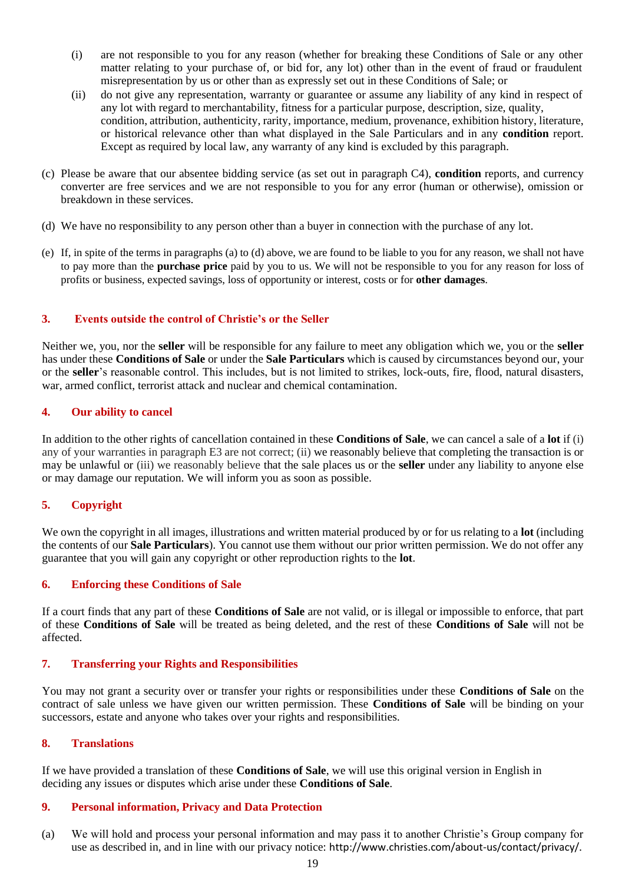- (i) are not responsible to you for any reason (whether for breaking these Conditions of Sale or any other matter relating to your purchase of, or bid for, any lot) other than in the event of fraud or fraudulent misrepresentation by us or other than as expressly set out in these Conditions of Sale; or
- (ii) do not give any representation, warranty or guarantee or assume any liability of any kind in respect of any lot with regard to merchantability, fitness for a particular purpose, description, size, quality, condition, attribution, authenticity, rarity, importance, medium, provenance, exhibition history, literature, or historical relevance other than what displayed in the Sale Particulars and in any **condition** report. Except as required by local law, any warranty of any kind is excluded by this paragraph.
- (c) Please be aware that our absentee bidding service (as set out in paragraph C4), **condition** reports, and currency converter are free services and we are not responsible to you for any error (human or otherwise), omission or breakdown in these services.
- (d) We have no responsibility to any person other than a buyer in connection with the purchase of any lot.
- (e) If, in spite of the terms in paragraphs (a) to (d) above, we are found to be liable to you for any reason, we shall not have to pay more than the **purchase price** paid by you to us. We will not be responsible to you for any reason for loss of profits or business, expected savings, loss of opportunity or interest, costs or for **other damages**.

## **3. Events outside the control of Christie's or the Seller**

Neither we, you, nor the **seller** will be responsible for any failure to meet any obligation which we, you or the **seller** has under these **Conditions of Sale** or under the **Sale Particulars** which is caused by circumstances beyond our, your or the **seller**'s reasonable control. This includes, but is not limited to strikes, lock-outs, fire, flood, natural disasters, war, armed conflict, terrorist attack and nuclear and chemical contamination.

### **4. Our ability to cancel**

In addition to the other rights of cancellation contained in these **Conditions of Sale**, we can cancel a sale of a **lot** if (i) any of your warranties in paragraph E3 are not correct; (ii) we reasonably believe that completing the transaction is or may be unlawful or (iii) we reasonably believe that the sale places us or the **seller** under any liability to anyone else or may damage our reputation. We will inform you as soon as possible.

### **5. Copyright**

We own the copyright in all images, illustrations and written material produced by or for us relating to a **lot** (including the contents of our **Sale Particulars**). You cannot use them without our prior written permission. We do not offer any guarantee that you will gain any copyright or other reproduction rights to the **lot**.

### **6. Enforcing these Conditions of Sale**

If a court finds that any part of these **Conditions of Sale** are not valid, or is illegal or impossible to enforce, that part of these **Conditions of Sale** will be treated as being deleted, and the rest of these **Conditions of Sale** will not be affected.

### **7. Transferring your Rights and Responsibilities**

You may not grant a security over or transfer your rights or responsibilities under these **Conditions of Sale** on the contract of sale unless we have given our written permission. These **Conditions of Sale** will be binding on your successors, estate and anyone who takes over your rights and responsibilities.

### **8. Translations**

If we have provided a translation of these **Conditions of Sale**, we will use this original version in English in deciding any issues or disputes which arise under these **Conditions of Sale**.

### **9. Personal information, Privacy and Data Protection**

(a) We will hold and process your personal information and may pass it to another Christie's Group company for use as described in, and in line with our privacy notice: <http://www.christies.com/about-us/contact/privacy/>.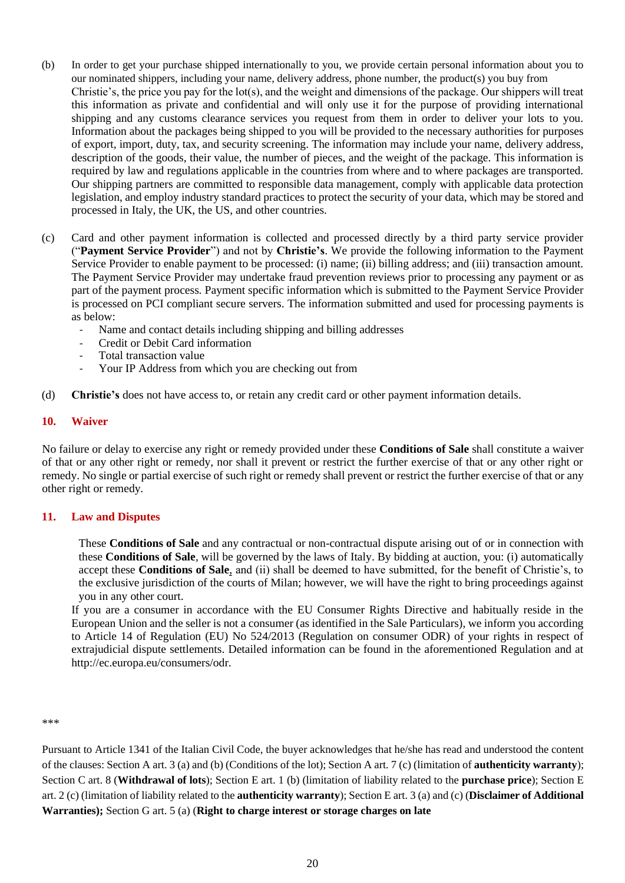- (b) In order to get your purchase shipped internationally to you, we provide certain personal information about you to our nominated shippers, including your name, delivery address, phone number, the product(s) you buy from Christie's, the price you pay for the lot(s), and the weight and dimensions of the package. Our shippers will treat this information as private and confidential and will only use it for the purpose of providing international shipping and any customs clearance services you request from them in order to deliver your lots to you. Information about the packages being shipped to you will be provided to the necessary authorities for purposes of export, import, duty, tax, and security screening. The information may include your name, delivery address, description of the goods, their value, the number of pieces, and the weight of the package. This information is required by law and regulations applicable in the countries from where and to where packages are transported. Our shipping partners are committed to responsible data management, comply with applicable data protection legislation, and employ industry standard practices to protect the security of your data, which may be stored and processed in Italy, the UK, the US, and other countries.
- (c) Card and other payment information is collected and processed directly by a third party service provider ("**Payment Service Provider**") and not by **Christie's**. We provide the following information to the Payment Service Provider to enable payment to be processed: (i) name; (ii) billing address; and (iii) transaction amount. The Payment Service Provider may undertake fraud prevention reviews prior to processing any payment or as part of the payment process. Payment specific information which is submitted to the Payment Service Provider is processed on PCI compliant secure servers. The information submitted and used for processing payments is as below:
	- Name and contact details including shipping and billing addresses
	- Credit or Debit Card information
	- Total transaction value
	- Your IP Address from which you are checking out from
- (d) **Christie's** does not have access to, or retain any credit card or other payment information details.

#### **10. Waiver**

No failure or delay to exercise any right or remedy provided under these **Conditions of Sale** shall constitute a waiver of that or any other right or remedy, nor shall it prevent or restrict the further exercise of that or any other right or remedy. No single or partial exercise of such right or remedy shall prevent or restrict the further exercise of that or any other right or remedy.

#### **11. Law and Disputes**

These **Conditions of Sale** and any contractual or non-contractual dispute arising out of or in connection with these **Conditions of Sale**, will be governed by the laws of Italy. By bidding at auction, you: (i) automatically accept these **Conditions of Sale**, and (ii) shall be deemed to have submitted, for the benefit of Christie's, to the exclusive jurisdiction of the courts of Milan; however, we will have the right to bring proceedings against you in any other court.

If you are a consumer in accordance with the EU Consumer Rights Directive and habitually reside in the European Union and the seller is not a consumer (as identified in the Sale Particulars), we inform you according to Article 14 of Regulation (EU) No 524/2013 (Regulation on consumer ODR) of your rights in respect of extrajudicial dispute settlements. Detailed information can be found in the aforementioned Regulation and at http://ec.europa.eu/consumers/odr.

#### \*\*\*

Pursuant to Article 1341 of the Italian Civil Code, the buyer acknowledges that he/she has read and understood the content of the clauses: Section A art. 3 (a) and (b) (Conditions of the lot); Section A art. 7 (c) (limitation of **authenticity warranty**); Section C art. 8 (**Withdrawal of lots**); Section E art. 1 (b) (limitation of liability related to the **purchase price**); Section E art. 2 (c) (limitation of liability related to the **authenticity warranty**); Section E art. 3 (a) and (c) (**Disclaimer of Additional Warranties);** Section G art. 5 (a) (**Right to charge interest or storage charges on late**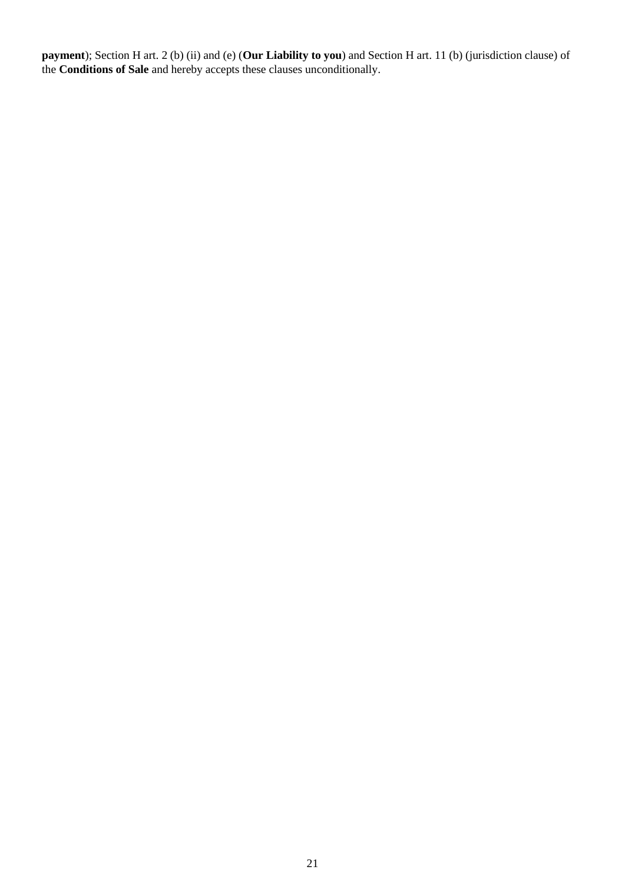**payment**); Section H art. 2 (b) (ii) and (e) (**Our Liability to you**) and Section H art. 11 (b) (jurisdiction clause) of the **Conditions of Sale** and hereby accepts these clauses unconditionally.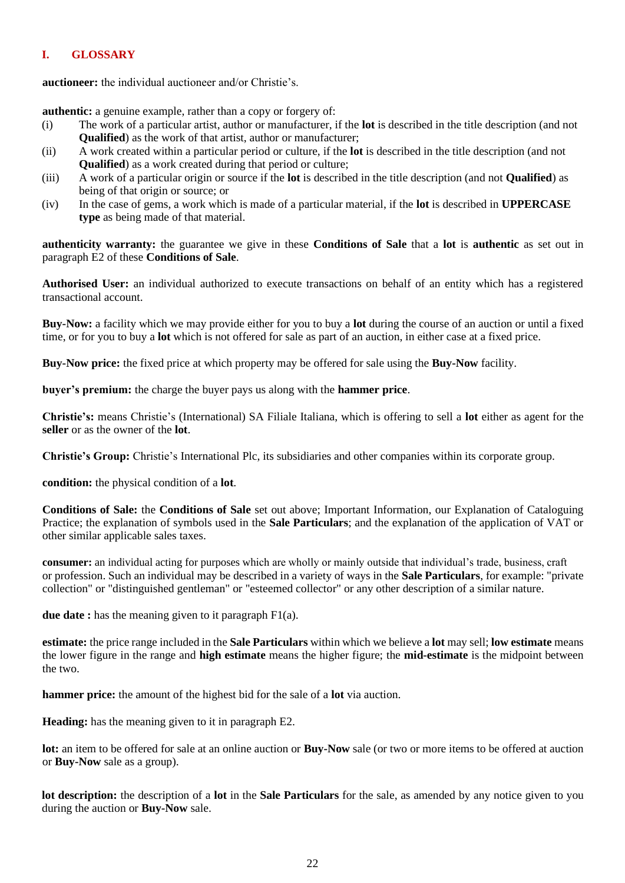## **I. GLOSSARY**

**auctioneer:** the individual auctioneer and/or Christie's.

**authentic:** a genuine example, rather than a copy or forgery of:

- (i) The work of a particular artist, author or manufacturer, if the **lot** is described in the title description (and not **Qualified**) as the work of that artist, author or manufacturer;
- (ii) A work created within a particular period or culture, if the **lot** is described in the title description (and not **Qualified**) as a work created during that period or culture;
- (iii) A work of a particular origin or source if the **lot** is described in the title description (and not **Qualified**) as being of that origin or source; or
- (iv) In the case of gems, a work which is made of a particular material, if the **lot** is described in **UPPERCASE type** as being made of that material.

**authenticity warranty:** the guarantee we give in these **Conditions of Sale** that a **lot** is **authentic** as set out in paragraph E2 of these **Conditions of Sale**.

**Authorised User:** an individual authorized to execute transactions on behalf of an entity which has a registered transactional account.

**Buy-Now:** a facility which we may provide either for you to buy a **lot** during the course of an auction or until a fixed time, or for you to buy a **lot** which is not offered for sale as part of an auction, in either case at a fixed price.

**Buy-Now price:** the fixed price at which property may be offered for sale using the **Buy-Now** facility.

**buyer's premium:** the charge the buyer pays us along with the **hammer price**.

**Christie's:** means Christie's (International) SA Filiale Italiana, which is offering to sell a **lot** either as agent for the **seller** or as the owner of the **lot**.

**Christie's Group:** Christie's International Plc, its subsidiaries and other companies within its corporate group.

**condition:** the physical condition of a **lot**.

**Conditions of Sale:** the **Conditions of Sale** set out above; Important Information, our Explanation of Cataloguing Practice; the explanation of symbols used in the **Sale Particulars**; and the explanation of the application of VAT or other similar applicable sales taxes.

**consumer:** an individual acting for purposes which are wholly or mainly outside that individual's trade, business, craft or profession. Such an individual may be described in a variety of ways in the **Sale Particulars**, for example: "private collection" or "distinguished gentleman" or "esteemed collector" or any other description of a similar nature.

**due date :** has the meaning given to it paragraph F1(a).

**estimate:** the price range included in the **Sale Particulars** within which we believe a **lot** may sell; **low estimate** means the lower figure in the range and **high estimate** means the higher figure; the **mid-estimate** is the midpoint between the two.

**hammer price:** the amount of the highest bid for the sale of a **lot** via auction.

**Heading:** has the meaning given to it in paragraph E2.

**lot:** an item to be offered for sale at an online auction or **Buy-Now** sale (or two or more items to be offered at auction or **Buy-Now** sale as a group).

**lot description:** the description of a **lot** in the **Sale Particulars** for the sale, as amended by any notice given to you during the auction or **Buy-Now** sale.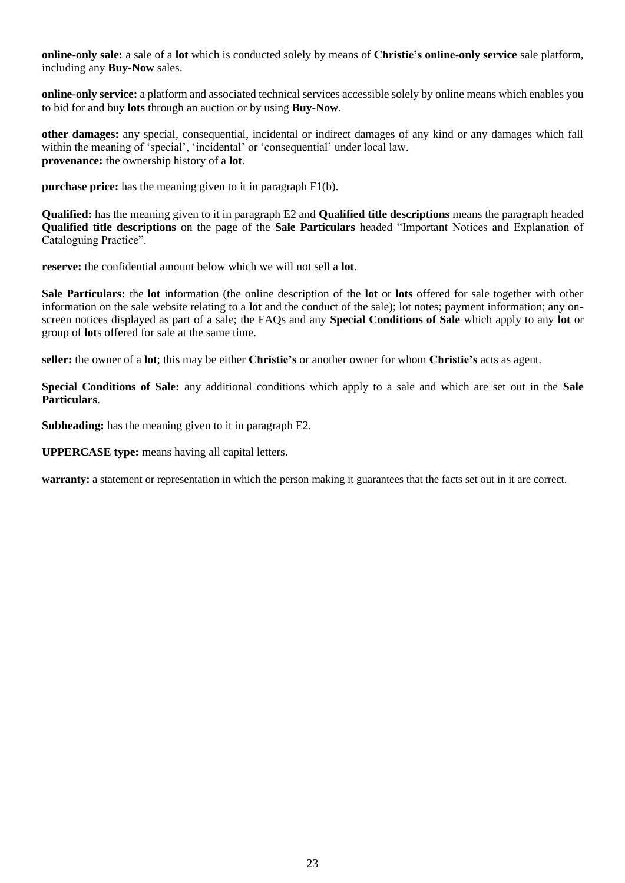**online-only sale:** a sale of a **lot** which is conducted solely by means of **Christie's online-only service** sale platform, including any **Buy-Now** sales.

**online-only service:** a platform and associated technical services accessible solely by online means which enables you to bid for and buy **lots** through an auction or by using **Buy-Now**.

**other damages:** any special, consequential, incidental or indirect damages of any kind or any damages which fall within the meaning of 'special', 'incidental' or 'consequential' under local law. **provenance:** the ownership history of a **lot**.

**purchase price:** has the meaning given to it in paragraph F1(b).

**Qualified:** has the meaning given to it in paragraph E2 and **Qualified title descriptions** means the paragraph headed **Qualified title descriptions** on the page of the **Sale Particulars** headed "Important Notices and Explanation of Cataloguing Practice".

**reserve:** the confidential amount below which we will not sell a **lot**.

**Sale Particulars:** the **lot** information (the online description of the **lot** or **lots** offered for sale together with other information on the sale website relating to a **lot** and the conduct of the sale); lot notes; payment information; any onscreen notices displayed as part of a sale; the FAQs and any **Special Conditions of Sale** which apply to any **lot** or group of **lot**s offered for sale at the same time.

**seller:** the owner of a **lot**; this may be either **Christie's** or another owner for whom **Christie's** acts as agent.

**Special Conditions of Sale:** any additional conditions which apply to a sale and which are set out in the **Sale Particulars**.

**Subheading:** has the meaning given to it in paragraph E2.

**UPPERCASE type:** means having all capital letters.

**warranty:** a statement or representation in which the person making it guarantees that the facts set out in it are correct.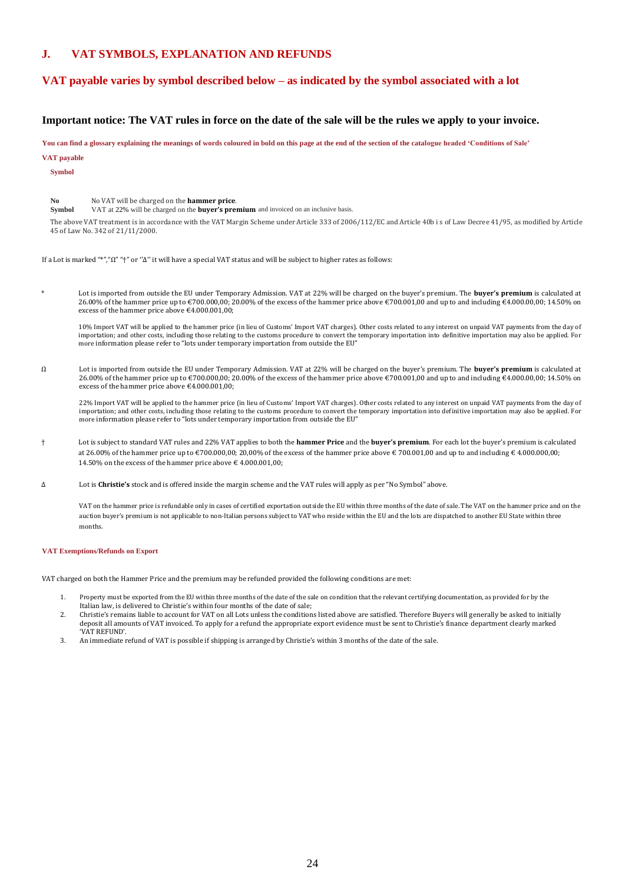### **J. VAT SYMBOLS, EXPLANATION AND REFUNDS**

#### **VAT payable varies by symbol described below – as indicated by the symbol associated with a lot**

#### **Important notice: The VAT rules in force on the date of the sale will be the rules we apply to your invoice.**

**You can find a glossary explaining the meanings of words coloured in bold on this page at the end of the section of the catalogue headed 'Conditions of Sale'**

**VAT payable**

**Symbol**

**No** No VAT will be charged on the **hammer price**.

**Symbol** VAT at 22% will be charged on the **buyer's premium** and invoiced on an inclusive basis.

The above VAT treatment is in accordance with the VAT Margin Scheme under Article 333 of 2006/112/EC and Article 40b i s of Law Decree 41/95, as modified by Article 45 of Law No. 342 of 21/11/2000.

If a Lot is marked "\*","Ω" "†" or "Δ" it will have a special VAT status and will be subject to higher rates as follows:

Lot is imported from outside the EU under Temporary Admission. VAT at 22% will be charged on the buyer's premium. The **buyer's premium** is calculated at 26.00% of the hammer price up to €700.000,00; 20.00% of the excess of the hammer price above €700.001,00 and up to and including €4.000.00,00; 14.50% on excess of the hammer price above  $\text{£}4.000.001,00;$ 

10% Import VAT will be applied to the hammer price (in lieu of Customs' Import VAT charges). Other costs related to any interest on unpaid VAT payments from the day of importation; and other costs, including those relating to the customs procedure to convert the temporary importation into definitive importation may also be applied. For more information please refer to "lots under temporary importation from outside the EU"

Ω Lot is imported from outside the EU under Temporary Admission. VAT at 22% will be charged on the buyer's premium. The **buyer's premium** is calculated at 26.00% of the hammer price up to €700.000,00; 20.00% of the excess of the hammer price above €700.001,00 and up to and including €4.000.00,00; 14.50% on excess of the hammer price above €4.000.001,00;

22% Import VAT will be applied to the hammer price (in lieu of Customs' Import VAT charges). Other costs related to any interest on unpaid VAT payments from the day of importation; and other costs, including those relating to the customs procedure to convert the temporary importation into definitive importation may also be applied. For more information please refer to "lots under temporary importation from outside the EU"

- † Lot is subject to standard VAT rules and 22% VAT applies to both the **hammer Price** and the **buyer's premium**. For each lot the buyer's premium is calculated at 26.00% of the hammer price up to  $\epsilon$ 700.000,00; 20,00% of the excess of the hammer price above  $\epsilon$  700.001,00 and up to and including  $\epsilon$  4.000.000,00; 14.50% on the excess of the hammer price above  $\epsilon$  4.000.001.00:
- ∆ Lot is **Christie's** stock and is offered inside the margin scheme and the VAT rules will apply as per "No Symbol" above.

VAT on the hammer price is refundable only in cases of certified exportation outside the EU within three months of the date of sale. The VAT on the hammer price and on the auction buyer's premium is not applicable to non-Italian persons subject to VAT who reside within the EU and the lots are dispatched to another EU State within three months.

#### **VAT Exemptions/Refunds on Export**

VAT charged on both the Hammer Price and the premium may be refunded provided the following conditions are met:

- 1. Property must be exported from the EU within three months of the date of the sale on condition that the relevant certifying documentation, as provided for by the Italian law, is delivered to Christie's within four months of the date of sale;
- 2. Christie's remains liable to account for VAT on all Lots unless the conditions listed above are satisfied. Therefore Buyers will generally be asked to initially deposit all amounts of VAT invoiced. To apply for a refund the appropriate export evidence must be sent to Christie's finance department clearly marked 'VAT REFUND'.
- 3. An immediate refund of VAT is possible if shipping is arranged by Christie's within 3 months of the date of the sale.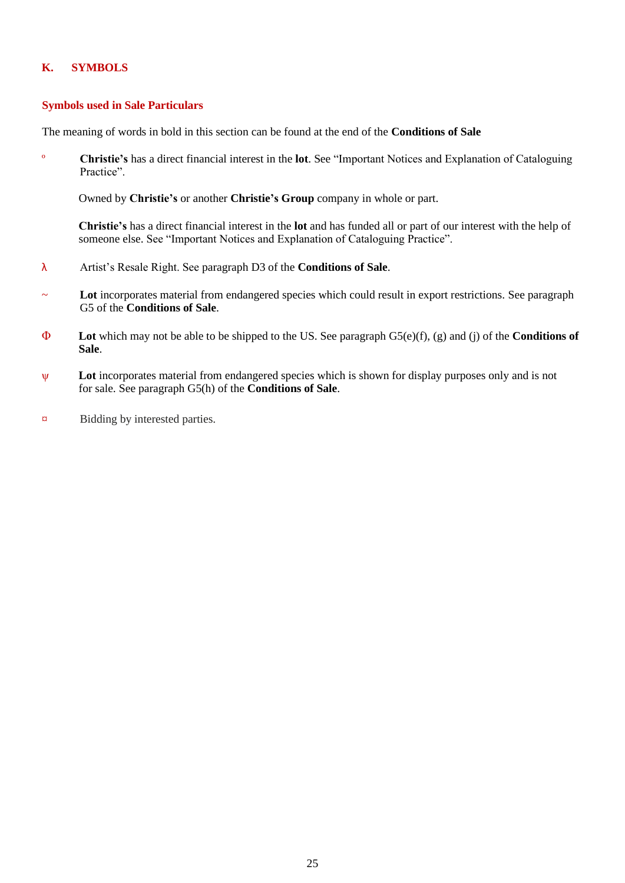## **K. SYMBOLS**

### **Symbols used in Sale Particulars**

The meaning of words in bold in this section can be found at the end of the **Conditions of Sale**

º **Christie's** has a direct financial interest in the **lot**. See "Important Notices and Explanation of Cataloguing Practice".

Owned by **Christie's** or another **Christie's Group** company in whole or part.

**Christie's** has a direct financial interest in the **lot** and has funded all or part of our interest with the help of someone else. See "Important Notices and Explanation of Cataloguing Practice".

- λ Artist's Resale Right. See paragraph D3 of the **Conditions of Sale**.
- ~ **Lot** incorporates material from endangered species which could result in export restrictions. See paragraph G5 of the **Conditions of Sale**.
- Φ **Lot** which may not be able to be shipped to the US. See paragraph G5(e)(f), (g) and (j) of the **Conditions of Sale**.
- ψ **Lot** incorporates material from endangered species which is shown for display purposes only and is not for sale. See paragraph G5(h) of the **Conditions of Sale**.
- ¤ Bidding by interested parties.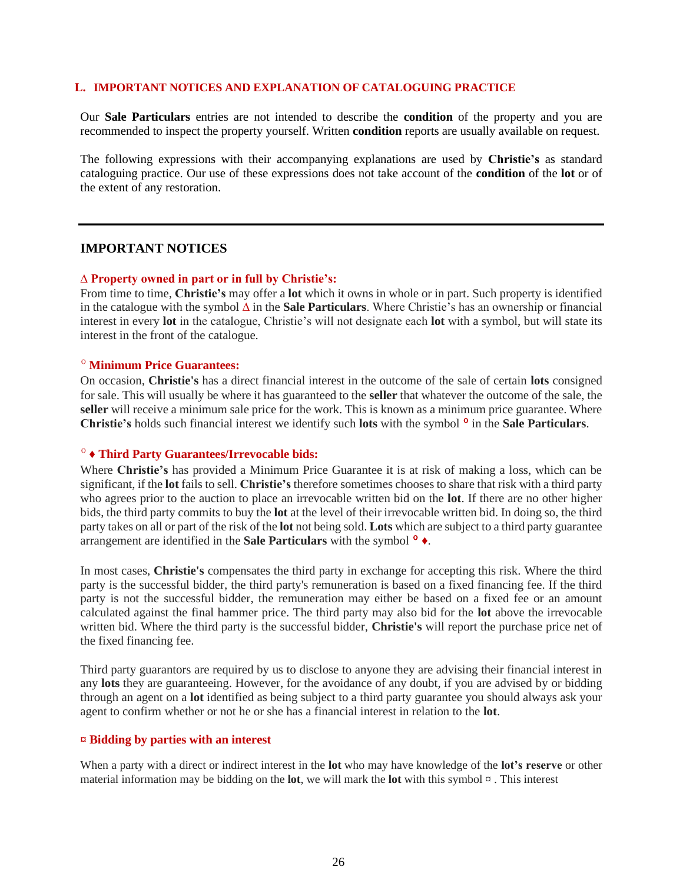#### **L. IMPORTANT NOTICES AND EXPLANATION OF CATALOGUING PRACTICE**

Our **Sale Particulars** entries are not intended to describe the **condition** of the property and you are recommended to inspect the property yourself. Written **condition** reports are usually available on request.

The following expressions with their accompanying explanations are used by **Christie's** as standard cataloguing practice. Our use of these expressions does not take account of the **condition** of the **lot** or of the extent of any restoration.

#### **IMPORTANT NOTICES**

#### **∆ Property owned in part or in full by Christie's:**

From time to time, **Christie's** may offer a **lot** which it owns in whole or in part. Such property is identified in the catalogue with the symbol **∆** in the **Sale Particulars**. Where Christie's has an ownership or financial interest in every **lot** in the catalogue, Christie's will not designate each **lot** with a symbol, but will state its interest in the front of the catalogue.

### º **Minimum Price Guarantees:**

On occasion, **Christie's** has a direct financial interest in the outcome of the sale of certain **lots** consigned for sale. This will usually be where it has guaranteed to the **seller** that whatever the outcome of the sale, the **seller** will receive a minimum sale price for the work. This is known as a minimum price guarantee. Where **Christie's** holds such financial interest we identify such **lots** with the symbol º in the **Sale Particulars**.

#### º **♦ Third Party Guarantees/Irrevocable bids:**

Where **Christie's** has provided a Minimum Price Guarantee it is at risk of making a loss, which can be significant, if the **lot** fails to sell. **Christie's** therefore sometimes chooses to share that risk with a third party who agrees prior to the auction to place an irrevocable written bid on the **lot**. If there are no other higher bids, the third party commits to buy the **lot** at the level of their irrevocable written bid. In doing so, the third party takes on all or part of the risk of the **lot** not being sold. **Lots** which are subject to a third party guarantee arrangement are identified in the **Sale Particulars** with the symbol  $\circ \bullet$ .

In most cases, **Christie's** compensates the third party in exchange for accepting this risk. Where the third party is the successful bidder, the third party's remuneration is based on a fixed financing fee. If the third party is not the successful bidder, the remuneration may either be based on a fixed fee or an amount calculated against the final hammer price. The third party may also bid for the **lot** above the irrevocable written bid. Where the third party is the successful bidder, **Christie's** will report the purchase price net of the fixed financing fee.

Third party guarantors are required by us to disclose to anyone they are advising their financial interest in any **lots** they are guaranteeing. However, for the avoidance of any doubt, if you are advised by or bidding through an agent on a **lot** identified as being subject to a third party guarantee you should always ask your agent to confirm whether or not he or she has a financial interest in relation to the **lot**.

#### **¤ Bidding by parties with an interest**

When a party with a direct or indirect interest in the **lot** who may have knowledge of the **lot's reserve** or other material information may be bidding on the **lot**, we will mark the **lot** with this symbol  $\alpha$ . This interest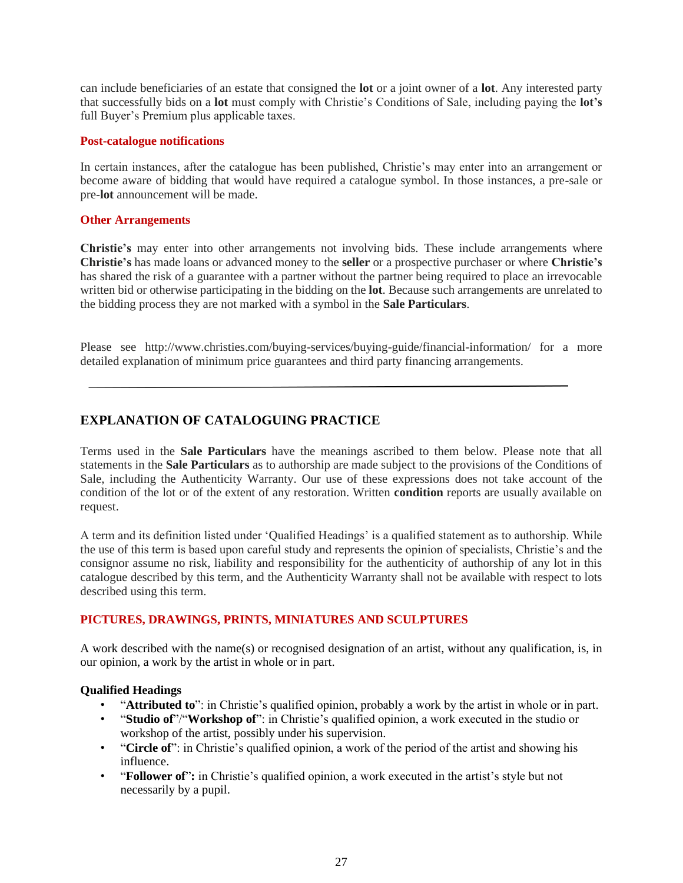can include beneficiaries of an estate that consigned the **lot** or a joint owner of a **lot**. Any interested party that successfully bids on a **lot** must comply with Christie's Conditions of Sale, including paying the **lot's** full Buyer's Premium plus applicable taxes.

### **Post-catalogue notifications**

In certain instances, after the catalogue has been published, Christie's may enter into an arrangement or become aware of bidding that would have required a catalogue symbol. In those instances, a pre-sale or pre-**lot** announcement will be made.

### **Other Arrangements**

**Christie's** may enter into other arrangements not involving bids. These include arrangements where **Christie's** has made loans or advanced money to the **seller** or a prospective purchaser or where **Christie's**  has shared the risk of a guarantee with a partner without the partner being required to place an irrevocable written bid or otherwise participating in the bidding on the **lot**. Because such arrangements are unrelated to the bidding process they are not marked with a symbol in the **Sale Particulars**.

Please see http://www.christies.com/buying-services/buying-guide/financial-information/ for a more detailed explanation of minimum price guarantees and third party financing arrangements.

## **EXPLANATION OF CATALOGUING PRACTICE**

Terms used in the **Sale Particulars** have the meanings ascribed to them below. Please note that all statements in the **Sale Particulars** as to authorship are made subject to the provisions of the Conditions of Sale, including the Authenticity Warranty. Our use of these expressions does not take account of the condition of the lot or of the extent of any restoration. Written **condition** reports are usually available on request.

A term and its definition listed under 'Qualified Headings' is a qualified statement as to authorship. While the use of this term is based upon careful study and represents the opinion of specialists, Christie's and the consignor assume no risk, liability and responsibility for the authenticity of authorship of any lot in this catalogue described by this term, and the Authenticity Warranty shall not be available with respect to lots described using this term.

### **PICTURES, DRAWINGS, PRINTS, MINIATURES AND SCULPTURES**

A work described with the name(s) or recognised designation of an artist, without any qualification, is, in our opinion, a work by the artist in whole or in part.

### **Qualified Headings**

- "**Attributed to**": in Christie's qualified opinion, probably a work by the artist in whole or in part.
- "**Studio of**"/"**Workshop of**": in Christie's qualified opinion, a work executed in the studio or workshop of the artist, possibly under his supervision.
- "**Circle of**": in Christie's qualified opinion, a work of the period of the artist and showing his influence.
- "**Follower of**"**:** in Christie's qualified opinion, a work executed in the artist's style but not necessarily by a pupil.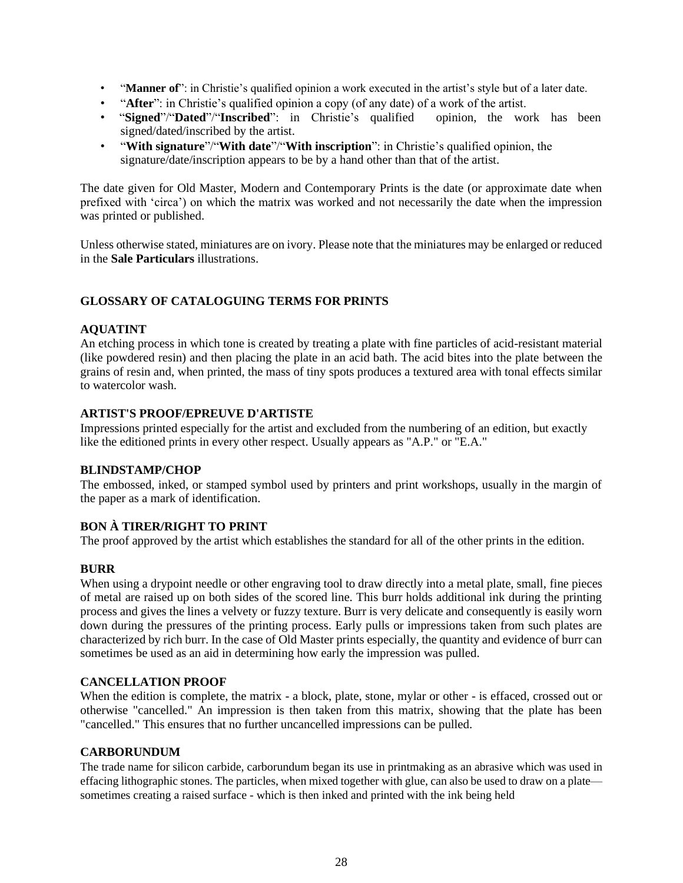- "**Manner of**": in Christie's qualified opinion a work executed in the artist's style but of a later date.
- "**After**": in Christie's qualified opinion a copy (of any date) of a work of the artist.
- "**Signed**"/"**Dated**"/"**Inscribed**": in Christie's qualified opinion, the work has been signed/dated/inscribed by the artist.
- "**With signature**"/"**With date**"/"**With inscription**": in Christie's qualified opinion, the signature/date/inscription appears to be by a hand other than that of the artist.

The date given for Old Master, Modern and Contemporary Prints is the date (or approximate date when prefixed with 'circa') on which the matrix was worked and not necessarily the date when the impression was printed or published.

Unless otherwise stated, miniatures are on ivory. Please note that the miniatures may be enlarged or reduced in the **Sale Particulars** illustrations.

## **GLOSSARY OF CATALOGUING TERMS FOR PRINTS**

### **AQUATINT**

An etching process in which tone is created by treating a plate with fine particles of acid-resistant material (like powdered resin) and then placing the plate in an acid bath. The acid bites into the plate between the grains of resin and, when printed, the mass of tiny spots produces a textured area with tonal effects similar to watercolor wash.

### **ARTIST'S PROOF/EPREUVE D'ARTISTE**

Impressions printed especially for the artist and excluded from the numbering of an edition, but exactly like the editioned prints in every other respect. Usually appears as "A.P." or "E.A."

#### **BLINDSTAMP/CHOP**

The embossed, inked, or stamped symbol used by printers and print workshops, usually in the margin of the paper as a mark of identification.

### **BON À TIRER/RIGHT TO PRINT**

The proof approved by the artist which establishes the standard for all of the other prints in the edition.

#### **BURR**

When using a drypoint needle or other engraving tool to draw directly into a metal plate, small, fine pieces of metal are raised up on both sides of the scored line. This burr holds additional ink during the printing process and gives the lines a velvety or fuzzy texture. Burr is very delicate and consequently is easily worn down during the pressures of the printing process. Early pulls or impressions taken from such plates are characterized by rich burr. In the case of Old Master prints especially, the quantity and evidence of burr can sometimes be used as an aid in determining how early the impression was pulled.

### **CANCELLATION PROOF**

When the edition is complete, the matrix - a block, plate, stone, mylar or other - is effaced, crossed out or otherwise "cancelled." An impression is then taken from this matrix, showing that the plate has been "cancelled." This ensures that no further uncancelled impressions can be pulled.

#### **CARBORUNDUM**

The trade name for silicon carbide, carborundum began its use in printmaking as an abrasive which was used in effacing lithographic stones. The particles, when mixed together with glue, can also be used to draw on a plate sometimes creating a raised surface - which is then inked and printed with the ink being held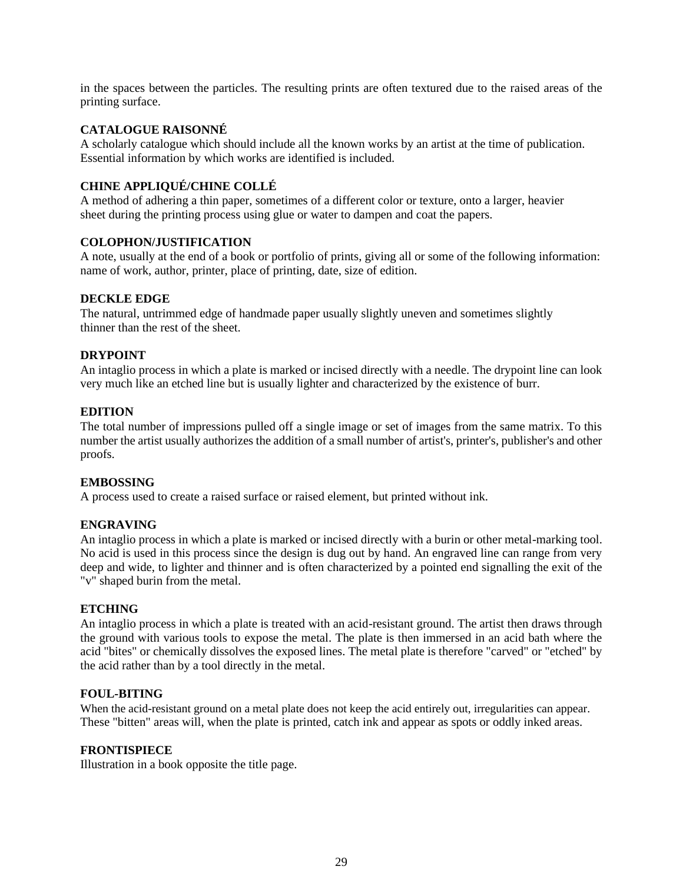in the spaces between the particles. The resulting prints are often textured due to the raised areas of the printing surface.

#### **CATALOGUE RAISONNÉ**

A scholarly catalogue which should include all the known works by an artist at the time of publication. Essential information by which works are identified is included.

#### **CHINE APPLIQUÉ/CHINE COLLÉ**

A method of adhering a thin paper, sometimes of a different color or texture, onto a larger, heavier sheet during the printing process using glue or water to dampen and coat the papers.

#### **COLOPHON/JUSTIFICATION**

A note, usually at the end of a book or portfolio of prints, giving all or some of the following information: name of work, author, printer, place of printing, date, size of edition.

#### **DECKLE EDGE**

The natural, untrimmed edge of handmade paper usually slightly uneven and sometimes slightly thinner than the rest of the sheet.

#### **DRYPOINT**

An intaglio process in which a plate is marked or incised directly with a needle. The drypoint line can look very much like an etched line but is usually lighter and characterized by the existence of burr.

#### **EDITION**

The total number of impressions pulled off a single image or set of images from the same matrix. To this number the artist usually authorizes the addition of a small number of artist's, printer's, publisher's and other proofs.

#### **EMBOSSING**

A process used to create a raised surface or raised element, but printed without ink.

#### **ENGRAVING**

An intaglio process in which a plate is marked or incised directly with a burin or other metal-marking tool. No acid is used in this process since the design is dug out by hand. An engraved line can range from very deep and wide, to lighter and thinner and is often characterized by a pointed end signalling the exit of the "v" shaped burin from the metal.

#### **ETCHING**

An intaglio process in which a plate is treated with an acid-resistant ground. The artist then draws through the ground with various tools to expose the metal. The plate is then immersed in an acid bath where the acid "bites" or chemically dissolves the exposed lines. The metal plate is therefore "carved" or "etched" by the acid rather than by a tool directly in the metal.

#### **FOUL-BITING**

When the acid-resistant ground on a metal plate does not keep the acid entirely out, irregularities can appear. These "bitten" areas will, when the plate is printed, catch ink and appear as spots or oddly inked areas.

#### **FRONTISPIECE**

Illustration in a book opposite the title page.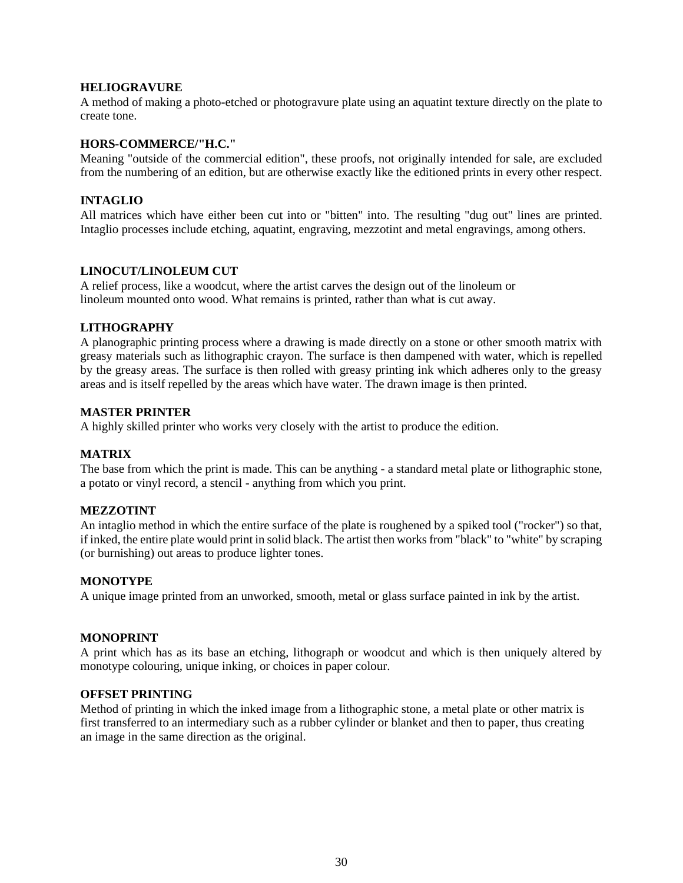#### **HELIOGRAVURE**

A method of making a photo-etched or photogravure plate using an aquatint texture directly on the plate to create tone.

#### **HORS-COMMERCE/"H.C."**

Meaning "outside of the commercial edition", these proofs, not originally intended for sale, are excluded from the numbering of an edition, but are otherwise exactly like the editioned prints in every other respect.

#### **INTAGLIO**

All matrices which have either been cut into or "bitten" into. The resulting "dug out" lines are printed. Intaglio processes include etching, aquatint, engraving, mezzotint and metal engravings, among others.

#### **LINOCUT/LINOLEUM CUT**

A relief process, like a woodcut, where the artist carves the design out of the linoleum or linoleum mounted onto wood. What remains is printed, rather than what is cut away.

#### **LITHOGRAPHY**

A planographic printing process where a drawing is made directly on a stone or other smooth matrix with greasy materials such as lithographic crayon. The surface is then dampened with water, which is repelled by the greasy areas. The surface is then rolled with greasy printing ink which adheres only to the greasy areas and is itself repelled by the areas which have water. The drawn image is then printed.

#### **MASTER PRINTER**

A highly skilled printer who works very closely with the artist to produce the edition.

### **MATRIX**

The base from which the print is made. This can be anything - a standard metal plate or lithographic stone, a potato or vinyl record, a stencil - anything from which you print.

#### **MEZZOTINT**

An intaglio method in which the entire surface of the plate is roughened by a spiked tool ("rocker") so that, if inked, the entire plate would print in solid black. The artist then works from "black" to "white" by scraping (or burnishing) out areas to produce lighter tones.

#### **MONOTYPE**

A unique image printed from an unworked, smooth, metal or glass surface painted in ink by the artist.

#### **MONOPRINT**

A print which has as its base an etching, lithograph or woodcut and which is then uniquely altered by monotype colouring, unique inking, or choices in paper colour.

#### **OFFSET PRINTING**

Method of printing in which the inked image from a lithographic stone, a metal plate or other matrix is first transferred to an intermediary such as a rubber cylinder or blanket and then to paper, thus creating an image in the same direction as the original.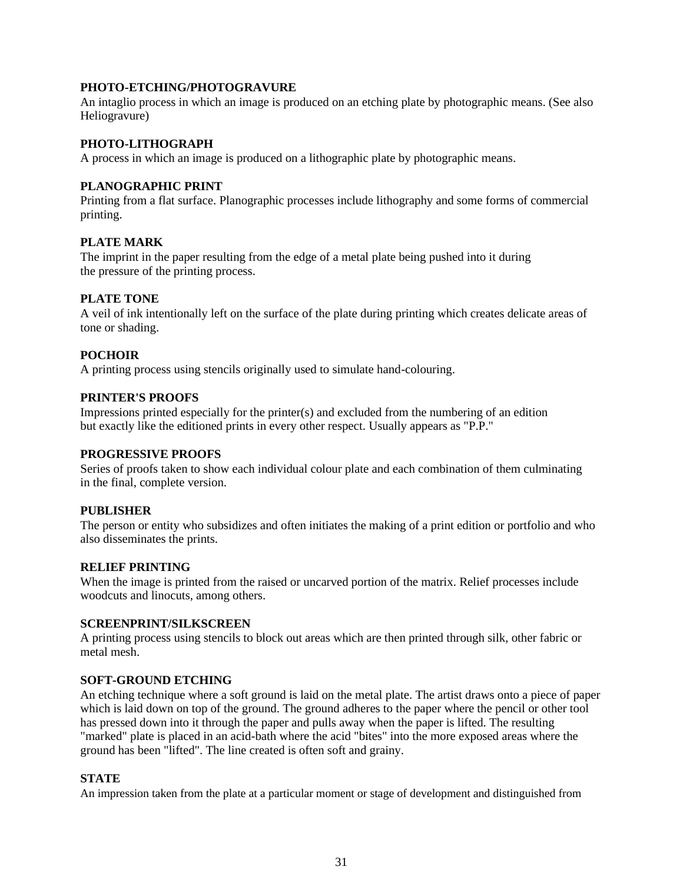### **PHOTO-ETCHING/PHOTOGRAVURE**

An intaglio process in which an image is produced on an etching plate by photographic means. (See also Heliogravure)

#### **PHOTO-LITHOGRAPH**

A process in which an image is produced on a lithographic plate by photographic means.

#### **PLANOGRAPHIC PRINT**

Printing from a flat surface. Planographic processes include lithography and some forms of commercial printing.

#### **PLATE MARK**

The imprint in the paper resulting from the edge of a metal plate being pushed into it during the pressure of the printing process.

#### **PLATE TONE**

A veil of ink intentionally left on the surface of the plate during printing which creates delicate areas of tone or shading.

#### **POCHOIR**

A printing process using stencils originally used to simulate hand-colouring.

#### **PRINTER'S PROOFS**

Impressions printed especially for the printer(s) and excluded from the numbering of an edition but exactly like the editioned prints in every other respect. Usually appears as "P.P."

#### **PROGRESSIVE PROOFS**

Series of proofs taken to show each individual colour plate and each combination of them culminating in the final, complete version.

#### **PUBLISHER**

The person or entity who subsidizes and often initiates the making of a print edition or portfolio and who also disseminates the prints.

#### **RELIEF PRINTING**

When the image is printed from the raised or uncarved portion of the matrix. Relief processes include woodcuts and linocuts, among others.

#### **SCREENPRINT/SILKSCREEN**

A printing process using stencils to block out areas which are then printed through silk, other fabric or metal mesh.

#### **SOFT-GROUND ETCHING**

An etching technique where a soft ground is laid on the metal plate. The artist draws onto a piece of paper which is laid down on top of the ground. The ground adheres to the paper where the pencil or other tool has pressed down into it through the paper and pulls away when the paper is lifted. The resulting "marked" plate is placed in an acid-bath where the acid "bites" into the more exposed areas where the ground has been "lifted". The line created is often soft and grainy.

#### **STATE**

An impression taken from the plate at a particular moment or stage of development and distinguished from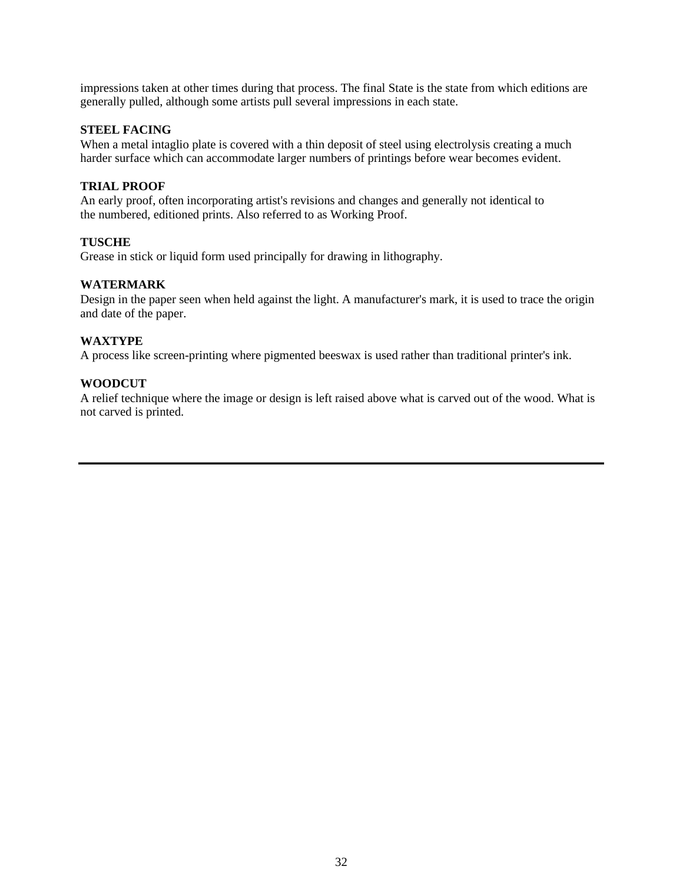impressions taken at other times during that process. The final State is the state from which editions are generally pulled, although some artists pull several impressions in each state.

#### **STEEL FACING**

When a metal intaglio plate is covered with a thin deposit of steel using electrolysis creating a much harder surface which can accommodate larger numbers of printings before wear becomes evident.

#### **TRIAL PROOF**

An early proof, often incorporating artist's revisions and changes and generally not identical to the numbered, editioned prints. Also referred to as Working Proof.

#### **TUSCHE**

Grease in stick or liquid form used principally for drawing in lithography.

### **WATERMARK**

Design in the paper seen when held against the light. A manufacturer's mark, it is used to trace the origin and date of the paper.

#### **WAXTYPE**

A process like screen-printing where pigmented beeswax is used rather than traditional printer's ink.

#### **WOODCUT**

A relief technique where the image or design is left raised above what is carved out of the wood. What is not carved is printed.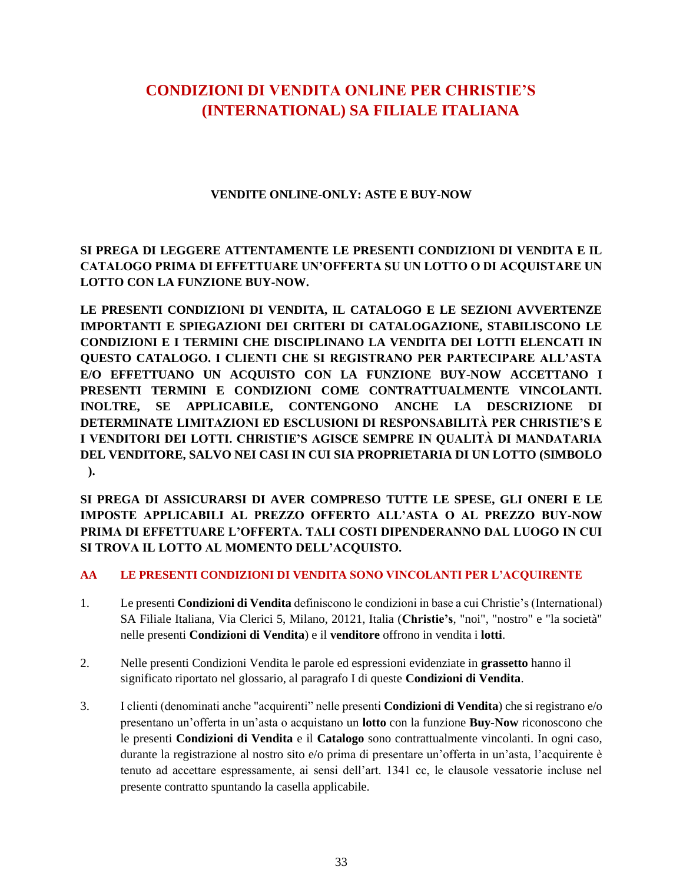# **CONDIZIONI DI VENDITA ONLINE PER CHRISTIE'S (INTERNATIONAL) SA FILIALE ITALIANA**

## **VENDITE ONLINE-ONLY: ASTE E BUY-NOW**

**SI PREGA DI LEGGERE ATTENTAMENTE LE PRESENTI CONDIZIONI DI VENDITA E IL CATALOGO PRIMA DI EFFETTUARE UN'OFFERTA SU UN LOTTO O DI ACQUISTARE UN LOTTO CON LA FUNZIONE BUY-NOW.**

**LE PRESENTI CONDIZIONI DI VENDITA, IL CATALOGO E LE SEZIONI AVVERTENZE IMPORTANTI E SPIEGAZIONI DEI CRITERI DI CATALOGAZIONE, STABILISCONO LE CONDIZIONI E I TERMINI CHE DISCIPLINANO LA VENDITA DEI LOTTI ELENCATI IN QUESTO CATALOGO. I CLIENTI CHE SI REGISTRANO PER PARTECIPARE ALL'ASTA E/O EFFETTUANO UN ACQUISTO CON LA FUNZIONE BUY-NOW ACCETTANO I PRESENTI TERMINI E CONDIZIONI COME CONTRATTUALMENTE VINCOLANTI. INOLTRE, SE APPLICABILE, CONTENGONO ANCHE LA DESCRIZIONE DI DETERMINATE LIMITAZIONI ED ESCLUSIONI DI RESPONSABILITÀ PER CHRISTIE'S E I VENDITORI DEI LOTTI. CHRISTIE'S AGISCE SEMPRE IN QUALITÀ DI MANDATARIA DEL VENDITORE, SALVO NEI CASI IN CUI SIA PROPRIETARIA DI UN LOTTO (SIMBOLO ).**

**SI PREGA DI ASSICURARSI DI AVER COMPRESO TUTTE LE SPESE, GLI ONERI E LE IMPOSTE APPLICABILI AL PREZZO OFFERTO ALL'ASTA O AL PREZZO BUY-NOW PRIMA DI EFFETTUARE L'OFFERTA. TALI COSTI DIPENDERANNO DAL LUOGO IN CUI SI TROVA IL LOTTO AL MOMENTO DELL'ACQUISTO.**

## **AA LE PRESENTI CONDIZIONI DI VENDITA SONO VINCOLANTI PER L'ACQUIRENTE**

- 1. Le presenti **Condizioni di Vendita** definiscono le condizioni in base a cui Christie's (International) SA Filiale Italiana, Via Clerici 5, Milano, 20121, Italia (**Christie's**, "noi", "nostro" e "la società" nelle presenti **Condizioni di Vendita**) e il **venditore** offrono in vendita i **lotti**.
- 2. Nelle presenti Condizioni Vendita le parole ed espressioni evidenziate in **grassetto** hanno il significato riportato nel glossario, al paragrafo I di queste **Condizioni di Vendita**.
- 3. I clienti (denominati anche "acquirenti" nelle presenti **Condizioni di Vendita**) che si registrano e/o presentano un'offerta in un'asta o acquistano un **lotto** con la funzione **Buy-Now** riconoscono che le presenti **Condizioni di Vendita** e il **Catalogo** sono contrattualmente vincolanti. In ogni caso, durante la registrazione al nostro sito e/o prima di presentare un'offerta in un'asta, l'acquirente è tenuto ad accettare espressamente, ai sensi dell'art. 1341 cc, le clausole vessatorie incluse nel presente contratto spuntando la casella applicabile.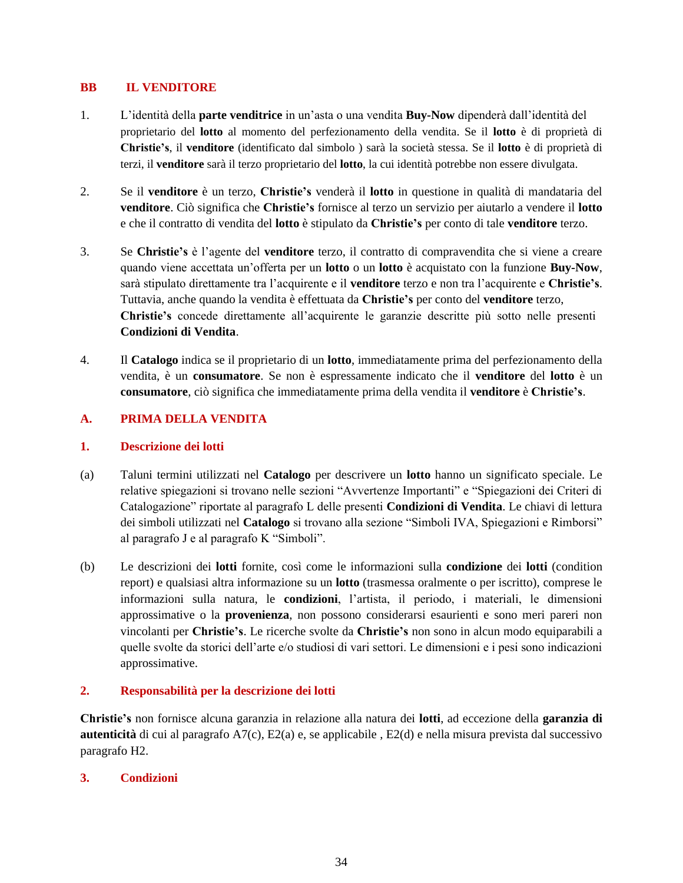### **BB IL VENDITORE**

- 1. L'identità della **parte venditrice** in un'asta o una vendita **Buy-Now** dipenderà dall'identità del proprietario del **lotto** al momento del perfezionamento della vendita. Se il **lotto** è di proprietà di **Christie's**, il **venditore** (identificato dal simbolo ) sarà la società stessa. Se il **lotto** è di proprietà di terzi, il **venditore** sarà il terzo proprietario del **lotto**, la cui identità potrebbe non essere divulgata.
- 2. Se il **venditore** è un terzo, **Christie's** venderà il **lotto** in questione in qualità di mandataria del **venditore**. Ciò significa che **Christie's** fornisce al terzo un servizio per aiutarlo a vendere il **lotto**  e che il contratto di vendita del **lotto** è stipulato da **Christie's** per conto di tale **venditore** terzo.
- 3. Se **Christie's** è l'agente del **venditore** terzo, il contratto di compravendita che si viene a creare quando viene accettata un'offerta per un **lotto** o un **lotto** è acquistato con la funzione **Buy-Now**, sarà stipulato direttamente tra l'acquirente e il **venditore** terzo e non tra l'acquirente e **Christie's**. Tuttavia, anche quando la vendita è effettuata da **Christie's** per conto del **venditore** terzo, **Christie's** concede direttamente all'acquirente le garanzie descritte più sotto nelle presenti **Condizioni di Vendita**.
- 4. Il **Catalogo** indica se il proprietario di un **lotto**, immediatamente prima del perfezionamento della vendita, è un **consumatore**. Se non è espressamente indicato che il **venditore** del **lotto** è un **consumatore**, ciò significa che immediatamente prima della vendita il **venditore** è **Christie's**.

## **A. PRIMA DELLA VENDITA**

### **1. Descrizione dei lotti**

- (a) Taluni termini utilizzati nel **Catalogo** per descrivere un **lotto** hanno un significato speciale. Le relative spiegazioni si trovano nelle sezioni "Avvertenze Importanti" e "Spiegazioni dei Criteri di Catalogazione" riportate al paragrafo L delle presenti **Condizioni di Vendita**. Le chiavi di lettura dei simboli utilizzati nel **Catalogo** si trovano alla sezione "Simboli IVA, Spiegazioni e Rimborsi" al paragrafo J e al paragrafo K "Simboli".
- (b) Le descrizioni dei **lotti** fornite, così come le informazioni sulla **condizione** dei **lotti** (condition report) e qualsiasi altra informazione su un **lotto** (trasmessa oralmente o per iscritto), comprese le informazioni sulla natura, le **condizioni**, l'artista, il periodo, i materiali, le dimensioni approssimative o la **provenienza**, non possono considerarsi esaurienti e sono meri pareri non vincolanti per **Christie's**. Le ricerche svolte da **Christie's** non sono in alcun modo equiparabili a quelle svolte da storici dell'arte e/o studiosi di vari settori. Le dimensioni e i pesi sono indicazioni approssimative.

## **2. Responsabilità per la descrizione dei lotti**

**Christie's** non fornisce alcuna garanzia in relazione alla natura dei **lotti**, ad eccezione della **garanzia di autenticità** di cui al paragrafo A7(c), E2(a) e, se applicabile , E2(d) e nella misura prevista dal successivo paragrafo H2.

### **3. Condizioni**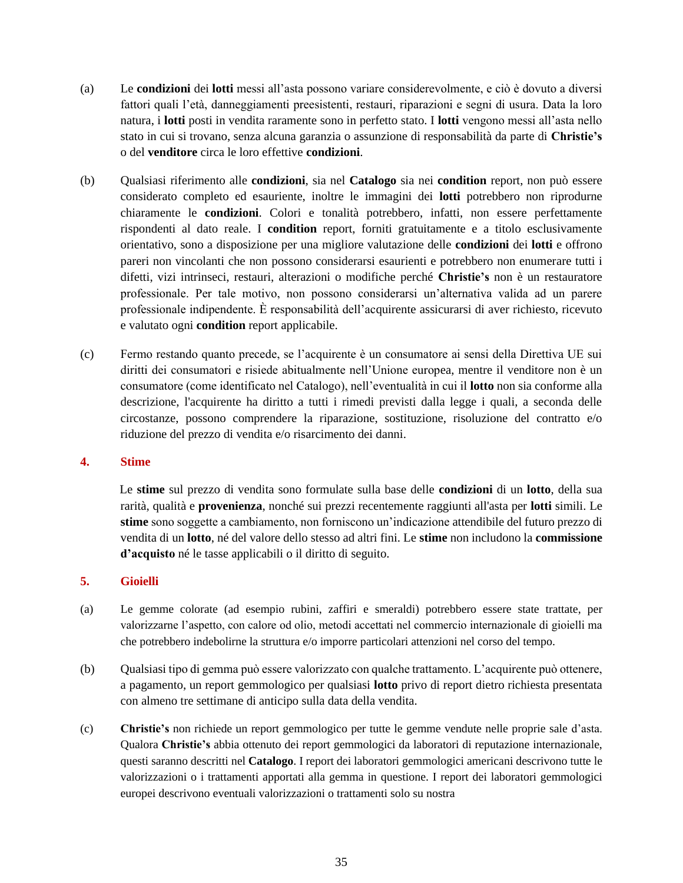- (a) Le **condizioni** dei **lotti** messi all'asta possono variare considerevolmente, e ciò è dovuto a diversi fattori quali l'età, danneggiamenti preesistenti, restauri, riparazioni e segni di usura. Data la loro natura, i **lotti** posti in vendita raramente sono in perfetto stato. I **lotti** vengono messi all'asta nello stato in cui si trovano, senza alcuna garanzia o assunzione di responsabilità da parte di **Christie's** o del **venditore** circa le loro effettive **condizioni**.
- (b) Qualsiasi riferimento alle **condizioni**, sia nel **Catalogo** sia nei **condition** report, non può essere considerato completo ed esauriente, inoltre le immagini dei **lotti** potrebbero non riprodurne chiaramente le **condizioni**. Colori e tonalità potrebbero, infatti, non essere perfettamente rispondenti al dato reale. I **condition** report, forniti gratuitamente e a titolo esclusivamente orientativo, sono a disposizione per una migliore valutazione delle **condizioni** dei **lotti** e offrono pareri non vincolanti che non possono considerarsi esaurienti e potrebbero non enumerare tutti i difetti, vizi intrinseci, restauri, alterazioni o modifiche perché **Christie's** non è un restauratore professionale. Per tale motivo, non possono considerarsi un'alternativa valida ad un parere professionale indipendente. È responsabilità dell'acquirente assicurarsi di aver richiesto, ricevuto e valutato ogni **condition** report applicabile.
- (c) Fermo restando quanto precede, se l'acquirente è un consumatore ai sensi della Direttiva UE sui diritti dei consumatori e risiede abitualmente nell'Unione europea, mentre il venditore non è un consumatore (come identificato nel Catalogo), nell'eventualità in cui il **lotto** non sia conforme alla descrizione, l'acquirente ha diritto a tutti i rimedi previsti dalla legge i quali, a seconda delle circostanze, possono comprendere la riparazione, sostituzione, risoluzione del contratto e/o riduzione del prezzo di vendita e/o risarcimento dei danni.

### **4. Stime**

Le **stime** sul prezzo di vendita sono formulate sulla base delle **condizioni** di un **lotto**, della sua rarità, qualità e **provenienza**, nonché sui prezzi recentemente raggiunti all'asta per **lotti** simili. Le **stime** sono soggette a cambiamento, non forniscono un'indicazione attendibile del futuro prezzo di vendita di un **lotto**, né del valore dello stesso ad altri fini. Le **stime** non includono la **commissione d'acquisto** né le tasse applicabili o il diritto di seguito.

### **5. Gioielli**

- (a) Le gemme colorate (ad esempio rubini, zaffiri e smeraldi) potrebbero essere state trattate, per valorizzarne l'aspetto, con calore od olio, metodi accettati nel commercio internazionale di gioielli ma che potrebbero indebolirne la struttura e/o imporre particolari attenzioni nel corso del tempo.
- (b) Qualsiasi tipo di gemma può essere valorizzato con qualche trattamento. L'acquirente può ottenere, a pagamento, un report gemmologico per qualsiasi **lotto** privo di report dietro richiesta presentata con almeno tre settimane di anticipo sulla data della vendita.
- (c) **Christie's** non richiede un report gemmologico per tutte le gemme vendute nelle proprie sale d'asta. Qualora **Christie's** abbia ottenuto dei report gemmologici da laboratori di reputazione internazionale, questi saranno descritti nel **Catalogo**. I report dei laboratori gemmologici americani descrivono tutte le valorizzazioni o i trattamenti apportati alla gemma in questione. I report dei laboratori gemmologici europei descrivono eventuali valorizzazioni o trattamenti solo su nostra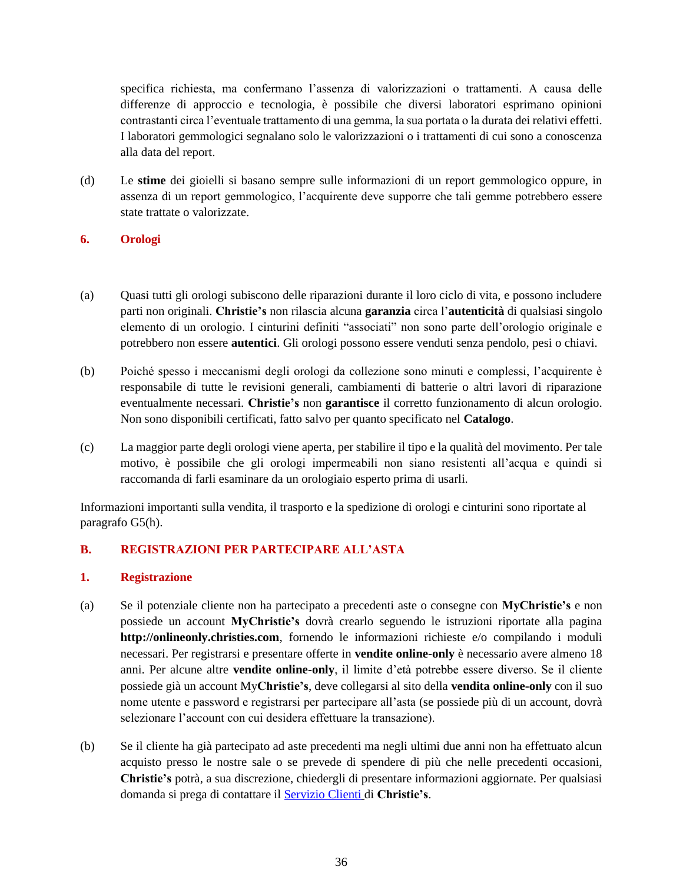specifica richiesta, ma confermano l'assenza di valorizzazioni o trattamenti. A causa delle differenze di approccio e tecnologia, è possibile che diversi laboratori esprimano opinioni contrastanti circa l'eventuale trattamento di una gemma, la sua portata o la durata dei relativi effetti. I laboratori gemmologici segnalano solo le valorizzazioni o i trattamenti di cui sono a conoscenza alla data del report.

(d) Le **stime** dei gioielli si basano sempre sulle informazioni di un report gemmologico oppure, in assenza di un report gemmologico, l'acquirente deve supporre che tali gemme potrebbero essere state trattate o valorizzate.

### **6. Orologi**

- (a) Quasi tutti gli orologi subiscono delle riparazioni durante il loro ciclo di vita, e possono includere parti non originali. **Christie's** non rilascia alcuna **garanzia** circa l'**autenticità** di qualsiasi singolo elemento di un orologio. I cinturini definiti "associati" non sono parte dell'orologio originale e potrebbero non essere **autentici**. Gli orologi possono essere venduti senza pendolo, pesi o chiavi.
- (b) Poiché spesso i meccanismi degli orologi da collezione sono minuti e complessi, l'acquirente è responsabile di tutte le revisioni generali, cambiamenti di batterie o altri lavori di riparazione eventualmente necessari. **Christie's** non **garantisce** il corretto funzionamento di alcun orologio. Non sono disponibili certificati, fatto salvo per quanto specificato nel **Catalogo**.
- (c) La maggior parte degli orologi viene aperta, per stabilire il tipo e la qualità del movimento. Per tale motivo, è possibile che gli orologi impermeabili non siano resistenti all'acqua e quindi si raccomanda di farli esaminare da un orologiaio esperto prima di usarli.

Informazioni importanti sulla vendita, il trasporto e la spedizione di orologi e cinturini sono riportate al paragrafo G5(h).

## **B. REGISTRAZIONI PER PARTECIPARE ALL'ASTA**

### **1. Registrazione**

- (a) Se il potenziale cliente non ha partecipato a precedenti aste o consegne con **MyChristie's** e non possiede un account **MyChristie's** dovrà crearlo seguendo le istruzioni riportate alla pagina **http://onlineonly.christies.com**, fornendo le informazioni richieste e/o compilando i moduli necessari. Per registrarsi e presentare offerte in **vendite online-only** è necessario avere almeno 18 anni. Per alcune altre **vendite online-only**, il limite d'età potrebbe essere diverso. Se il cliente possiede già un account My**Christie's**, deve collegarsi al sito della **vendita online-only** con il suo nome utente e password e registrarsi per partecipare all'asta (se possiede più di un account, dovrà selezionare l'account con cui desidera effettuare la transazione).
- (b) Se il cliente ha già partecipato ad aste precedenti ma negli ultimi due anni non ha effettuato alcun acquisto presso le nostre sale o se prevede di spendere di più che nelle precedenti occasioni, **Christie's** potrà, a sua discrezione, chiedergli di presentare informazioni aggiornate. Per qualsiasi domanda si prega di contattare il [Servizio Clienti](http://www.christies.com/about-us/contact/client-services/) di **Christie's**.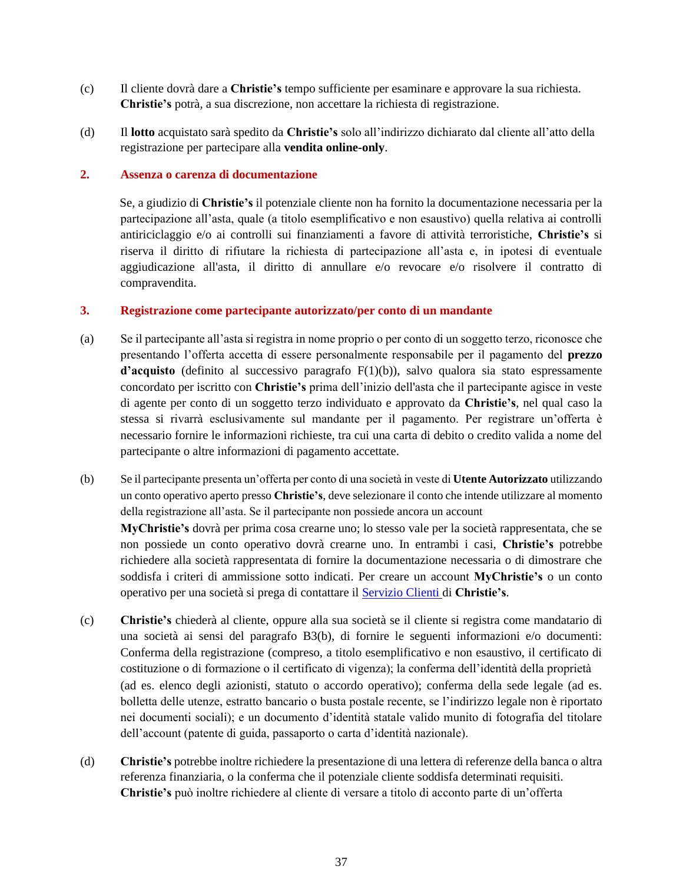- (c) Il cliente dovrà dare a **Christie's** tempo sufficiente per esaminare e approvare la sua richiesta. **Christie's** potrà, a sua discrezione, non accettare la richiesta di registrazione.
- (d) Il **lotto** acquistato sarà spedito da **Christie's** solo all'indirizzo dichiarato dal cliente all'atto della registrazione per partecipare alla **vendita online-only**.

### **2. Assenza o carenza di documentazione**

Se, a giudizio di **Christie's** il potenziale cliente non ha fornito la documentazione necessaria per la partecipazione all'asta, quale (a titolo esemplificativo e non esaustivo) quella relativa ai controlli antiriciclaggio e/o ai controlli sui finanziamenti a favore di attività terroristiche, **Christie's** si riserva il diritto di rifiutare la richiesta di partecipazione all'asta e, in ipotesi di eventuale aggiudicazione all'asta, il diritto di annullare e/o revocare e/o risolvere il contratto di compravendita.

### **3. Registrazione come partecipante autorizzato/per conto di un mandante**

- (a) Se il partecipante all'asta si registra in nome proprio o per conto di un soggetto terzo, riconosce che presentando l'offerta accetta di essere personalmente responsabile per il pagamento del **prezzo d'acquisto** (definito al successivo paragrafo F(1)(b)), salvo qualora sia stato espressamente concordato per iscritto con **Christie's** prima dell'inizio dell'asta che il partecipante agisce in veste di agente per conto di un soggetto terzo individuato e approvato da **Christie's**, nel qual caso la stessa si rivarrà esclusivamente sul mandante per il pagamento. Per registrare un'offerta è necessario fornire le informazioni richieste, tra cui una carta di debito o credito valida a nome del partecipante o altre informazioni di pagamento accettate.
- (b) Se il partecipante presenta un'offerta per conto di una società in veste di **Utente Autorizzato** utilizzando un conto operativo aperto presso **Christie's**, deve selezionare il conto che intende utilizzare al momento della registrazione all'asta. Se il partecipante non possiede ancora un account

**MyChristie's** dovrà per prima cosa crearne uno; lo stesso vale per la società rappresentata, che se non possiede un conto operativo dovrà crearne uno. In entrambi i casi, **Christie's** potrebbe richiedere alla società rappresentata di fornire la documentazione necessaria o di dimostrare che soddisfa i criteri di ammissione sotto indicati. Per creare un account **MyChristie's** o un conto operativo per una società si prega di contattare il [Servizio Clienti](http://www.christies.com/about-us/contact/client-services/) di **Christie's**.

- (c) **Christie's** chiederà al cliente, oppure alla sua società se il cliente si registra come mandatario di una società ai sensi del paragrafo B3(b), di fornire le seguenti informazioni e/o documenti: Conferma della registrazione (compreso, a titolo esemplificativo e non esaustivo, il certificato di costituzione o di formazione o il certificato di vigenza); la conferma dell'identità della proprietà (ad es. elenco degli azionisti, statuto o accordo operativo); conferma della sede legale (ad es. bolletta delle utenze, estratto bancario o busta postale recente, se l'indirizzo legale non è riportato nei documenti sociali); e un documento d'identità statale valido munito di fotografia del titolare dell'account (patente di guida, passaporto o carta d'identità nazionale).
- (d) **Christie's** potrebbe inoltre richiedere la presentazione di una lettera di referenze della banca o altra referenza finanziaria, o la conferma che il potenziale cliente soddisfa determinati requisiti. **Christie's** può inoltre richiedere al cliente di versare a titolo di acconto parte di un'offerta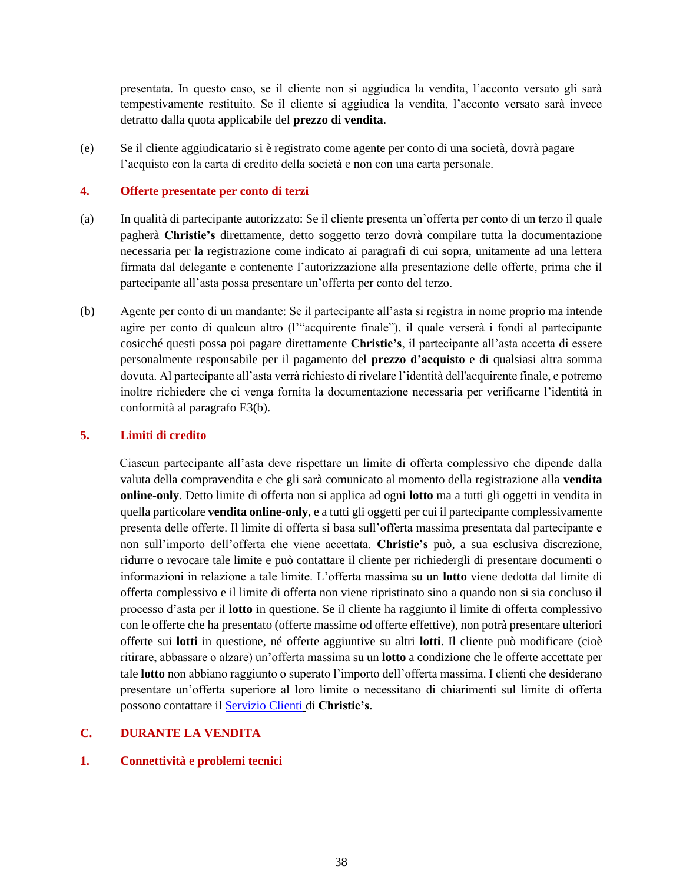presentata. In questo caso, se il cliente non si aggiudica la vendita, l'acconto versato gli sarà tempestivamente restituito. Se il cliente si aggiudica la vendita, l'acconto versato sarà invece detratto dalla quota applicabile del **prezzo di vendita**.

(e) Se il cliente aggiudicatario si è registrato come agente per conto di una società, dovrà pagare l'acquisto con la carta di credito della società e non con una carta personale.

### **4. Offerte presentate per conto di terzi**

- (a) In qualità di partecipante autorizzato: Se il cliente presenta un'offerta per conto di un terzo il quale pagherà **Christie's** direttamente, detto soggetto terzo dovrà compilare tutta la documentazione necessaria per la registrazione come indicato ai paragrafi di cui sopra, unitamente ad una lettera firmata dal delegante e contenente l'autorizzazione alla presentazione delle offerte, prima che il partecipante all'asta possa presentare un'offerta per conto del terzo.
- (b) Agente per conto di un mandante: Se il partecipante all'asta si registra in nome proprio ma intende agire per conto di qualcun altro (l'"acquirente finale"), il quale verserà i fondi al partecipante cosicché questi possa poi pagare direttamente **Christie's**, il partecipante all'asta accetta di essere personalmente responsabile per il pagamento del **prezzo d'acquisto** e di qualsiasi altra somma dovuta. Al partecipante all'asta verrà richiesto di rivelare l'identità dell'acquirente finale, e potremo inoltre richiedere che ci venga fornita la documentazione necessaria per verificarne l'identità in conformità al paragrafo E3(b).

### **5. Limiti di credito**

Ciascun partecipante all'asta deve rispettare un limite di offerta complessivo che dipende dalla valuta della compravendita e che gli sarà comunicato al momento della registrazione alla **vendita online-only**. Detto limite di offerta non si applica ad ogni **lotto** ma a tutti gli oggetti in vendita in quella particolare **vendita online-only**, e a tutti gli oggetti per cui il partecipante complessivamente presenta delle offerte. Il limite di offerta si basa sull'offerta massima presentata dal partecipante e non sull'importo dell'offerta che viene accettata. **Christie's** può, a sua esclusiva discrezione, ridurre o revocare tale limite e può contattare il cliente per richiedergli di presentare documenti o informazioni in relazione a tale limite. L'offerta massima su un **lotto** viene dedotta dal limite di offerta complessivo e il limite di offerta non viene ripristinato sino a quando non si sia concluso il processo d'asta per il **lotto** in questione. Se il cliente ha raggiunto il limite di offerta complessivo con le offerte che ha presentato (offerte massime od offerte effettive), non potrà presentare ulteriori offerte sui **lotti** in questione, né offerte aggiuntive su altri **lotti**. Il cliente può modificare (cioè ritirare, abbassare o alzare) un'offerta massima su un **lotto** a condizione che le offerte accettate per tale **lotto** non abbiano raggiunto o superato l'importo dell'offerta massima. I clienti che desiderano presentare un'offerta superiore al loro limite o necessitano di chiarimenti sul limite di offerta possono contattare il [Servizio Clienti](http://www.christies.com/about-us/contact/client-services/) di **Christie's**.

### **C. DURANTE LA VENDITA**

#### **1. Connettività e problemi tecnici**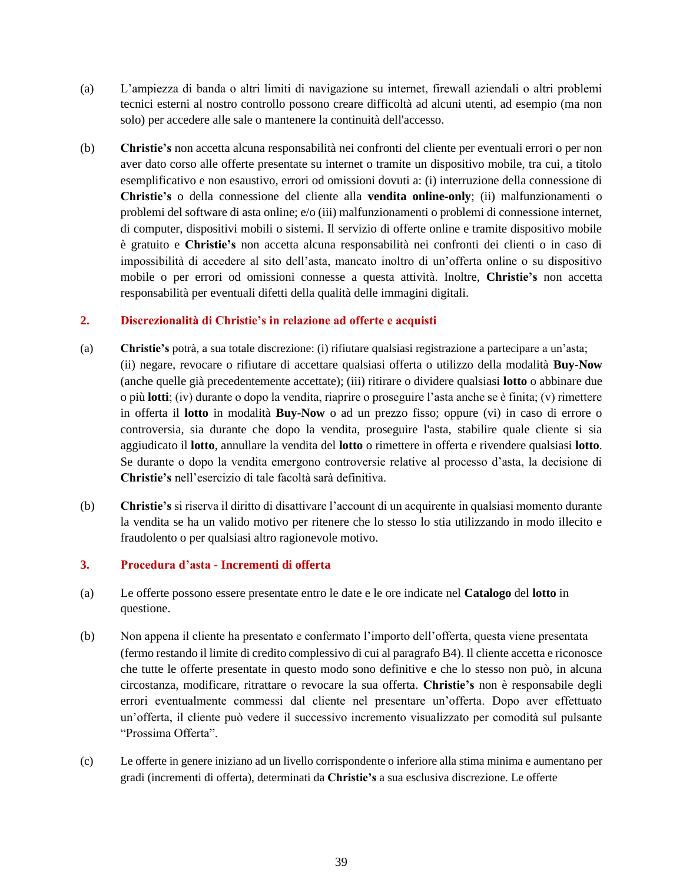- (a) L'ampiezza di banda o altri limiti di navigazione su internet, firewall aziendali o altri problemi tecnici esterni al nostro controllo possono creare difficoltà ad alcuni utenti, ad esempio (ma non solo) per accedere alle sale o mantenere la continuità dell'accesso.
- (b) **Christie's** non accetta alcuna responsabilità nei confronti del cliente per eventuali errori o per non aver dato corso alle offerte presentate su internet o tramite un dispositivo mobile, tra cui, a titolo esemplificativo e non esaustivo, errori od omissioni dovuti a: (i) interruzione della connessione di **Christie's** o della connessione del cliente alla **vendita online-only**; (ii) malfunzionamenti o problemi del software di asta online; e/o (iii) malfunzionamenti o problemi di connessione internet, di computer, dispositivi mobili o sistemi. Il servizio di offerte online e tramite dispositivo mobile è gratuito e **Christie's** non accetta alcuna responsabilità nei confronti dei clienti o in caso di impossibilità di accedere al sito dell'asta, mancato inoltro di un'offerta online o su dispositivo mobile o per errori od omissioni connesse a questa attività. Inoltre, **Christie's** non accetta responsabilità per eventuali difetti della qualità delle immagini digitali.

## **2. Discrezionalità di Christie's in relazione ad offerte e acquisti**

- (a) **Christie's** potrà, a sua totale discrezione: (i) rifiutare qualsiasi registrazione a partecipare a un'asta; (ii) negare, revocare o rifiutare di accettare qualsiasi offerta o utilizzo della modalità **Buy-Now** (anche quelle già precedentemente accettate); (iii) ritirare o dividere qualsiasi **lotto** o abbinare due o più **lotti**; (iv) durante o dopo la vendita, riaprire o proseguire l'asta anche se è finita; (v) rimettere in offerta il **lotto** in modalità **Buy-Now** o ad un prezzo fisso; oppure (vi) in caso di errore o controversia, sia durante che dopo la vendita, proseguire l'asta, stabilire quale cliente si sia aggiudicato il **lotto**, annullare la vendita del **lotto** o rimettere in offerta e rivendere qualsiasi **lotto**. Se durante o dopo la vendita emergono controversie relative al processo d'asta, la decisione di **Christie's** nell'esercizio di tale facoltà sarà definitiva.
- (b) **Christie's** si riserva il diritto di disattivare l'account di un acquirente in qualsiasi momento durante la vendita se ha un valido motivo per ritenere che lo stesso lo stia utilizzando in modo illecito e fraudolento o per qualsiasi altro ragionevole motivo.

### **3. Procedura d'asta - Incrementi di offerta**

- (a) Le offerte possono essere presentate entro le date e le ore indicate nel **Catalogo** del **lotto** in questione.
- (b) Non appena il cliente ha presentato e confermato l'importo dell'offerta, questa viene presentata (fermo restando il limite di credito complessivo di cui al paragrafo B4). Il cliente accetta e riconosce che tutte le offerte presentate in questo modo sono definitive e che lo stesso non può, in alcuna circostanza, modificare, ritrattare o revocare la sua offerta. **Christie's** non è responsabile degli errori eventualmente commessi dal cliente nel presentare un'offerta. Dopo aver effettuato un'offerta, il cliente può vedere il successivo incremento visualizzato per comodità sul pulsante "Prossima Offerta".
- (c) Le offerte in genere iniziano ad un livello corrispondente o inferiore alla stima minima e aumentano per gradi (incrementi di offerta), determinati da **Christie's** a sua esclusiva discrezione. Le offerte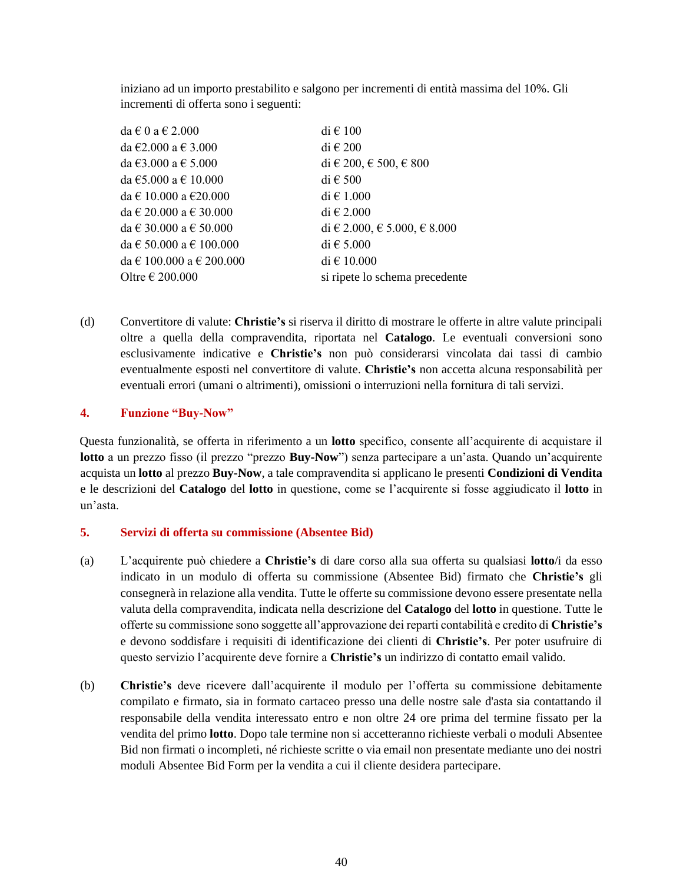iniziano ad un importo prestabilito e salgono per incrementi di entità massima del 10%. Gli incrementi di offerta sono i seguenti:

| di $\in$ 100                             |
|------------------------------------------|
| di $\in$ 200                             |
| di $\in$ 200, $\in$ 500, $\in$ 800       |
| di $\in$ 500                             |
| di € 1.000                               |
| di $\in$ 2.000                           |
| di $\in$ 2.000, $\in$ 5.000, $\in$ 8.000 |
| di $\epsilon$ 5.000                      |
| di € 10.000                              |
| si ripete lo schema precedente           |
|                                          |

(d) Convertitore di valute: **Christie's** si riserva il diritto di mostrare le offerte in altre valute principali oltre a quella della compravendita, riportata nel **Catalogo**. Le eventuali conversioni sono esclusivamente indicative e **Christie's** non può considerarsi vincolata dai tassi di cambio eventualmente esposti nel convertitore di valute. **Christie's** non accetta alcuna responsabilità per eventuali errori (umani o altrimenti), omissioni o interruzioni nella fornitura di tali servizi.

### **4. Funzione "Buy-Now"**

Questa funzionalità, se offerta in riferimento a un **lotto** specifico, consente all'acquirente di acquistare il **lotto** a un prezzo fisso (il prezzo "prezzo **Buy-Now**") senza partecipare a un'asta. Quando un'acquirente acquista un **lotto** al prezzo **Buy-Now**, a tale compravendita si applicano le presenti **Condizioni di Vendita** e le descrizioni del **Catalogo** del **lotto** in questione, come se l'acquirente si fosse aggiudicato il **lotto** in un'asta.

#### **5. Servizi di offerta su commissione (Absentee Bid)**

- (a) L'acquirente può chiedere a **Christie's** di dare corso alla sua offerta su qualsiasi **lotto**/i da esso indicato in un modulo di offerta su commissione (Absentee Bid) firmato che **Christie's** gli consegnerà in relazione alla vendita. Tutte le offerte su commissione devono essere presentate nella valuta della compravendita, indicata nella descrizione del **Catalogo** del **lotto** in questione. Tutte le offerte su commissione sono soggette all'approvazione dei reparti contabilità e credito di **Christie's**  e devono soddisfare i requisiti di identificazione dei clienti di **Christie's**. Per poter usufruire di questo servizio l'acquirente deve fornire a **Christie's** un indirizzo di contatto email valido.
- (b) **Christie's** deve ricevere dall'acquirente il modulo per l'offerta su commissione debitamente compilato e firmato, sia in formato cartaceo presso una delle nostre sale d'asta sia contattando il responsabile della vendita interessato entro e non oltre 24 ore prima del termine fissato per la vendita del primo **lotto**. Dopo tale termine non si accetteranno richieste verbali o moduli Absentee Bid non firmati o incompleti, né richieste scritte o via email non presentate mediante uno dei nostri moduli Absentee Bid Form per la vendita a cui il cliente desidera partecipare.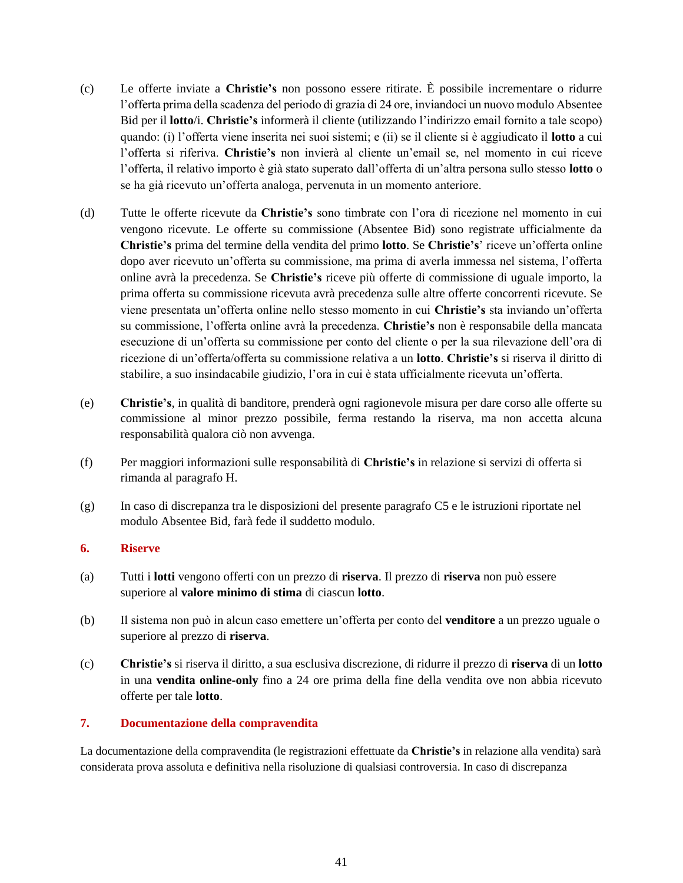- (c) Le offerte inviate a **Christie's** non possono essere ritirate. È possibile incrementare o ridurre l'offerta prima della scadenza del periodo di grazia di 24 ore, inviandoci un nuovo modulo Absentee Bid per il **lotto**/i. **Christie's** informerà il cliente (utilizzando l'indirizzo email fornito a tale scopo) quando: (i) l'offerta viene inserita nei suoi sistemi; e (ii) se il cliente si è aggiudicato il **lotto** a cui l'offerta si riferiva. **Christie's** non invierà al cliente un'email se, nel momento in cui riceve l'offerta, il relativo importo è già stato superato dall'offerta di un'altra persona sullo stesso **lotto** o se ha già ricevuto un'offerta analoga, pervenuta in un momento anteriore.
- (d) Tutte le offerte ricevute da **Christie's** sono timbrate con l'ora di ricezione nel momento in cui vengono ricevute. Le offerte su commissione (Absentee Bid) sono registrate ufficialmente da **Christie's** prima del termine della vendita del primo **lotto**. Se **Christie's**' riceve un'offerta online dopo aver ricevuto un'offerta su commissione, ma prima di averla immessa nel sistema, l'offerta online avrà la precedenza. Se **Christie's** riceve più offerte di commissione di uguale importo, la prima offerta su commissione ricevuta avrà precedenza sulle altre offerte concorrenti ricevute. Se viene presentata un'offerta online nello stesso momento in cui **Christie's** sta inviando un'offerta su commissione, l'offerta online avrà la precedenza. **Christie's** non è responsabile della mancata esecuzione di un'offerta su commissione per conto del cliente o per la sua rilevazione dell'ora di ricezione di un'offerta/offerta su commissione relativa a un **lotto**. **Christie's** si riserva il diritto di stabilire, a suo insindacabile giudizio, l'ora in cui è stata ufficialmente ricevuta un'offerta.
- (e) **Christie's**, in qualità di banditore, prenderà ogni ragionevole misura per dare corso alle offerte su commissione al minor prezzo possibile, ferma restando la riserva, ma non accetta alcuna responsabilità qualora ciò non avvenga.
- (f) Per maggiori informazioni sulle responsabilità di **Christie's** in relazione si servizi di offerta si rimanda al paragrafo H.
- (g) In caso di discrepanza tra le disposizioni del presente paragrafo C5 e le istruzioni riportate nel modulo Absentee Bid, farà fede il suddetto modulo.

### **6. Riserve**

- (a) Tutti i **lotti** vengono offerti con un prezzo di **riserva**. Il prezzo di **riserva** non può essere superiore al **valore minimo di stima** di ciascun **lotto**.
- (b) Il sistema non può in alcun caso emettere un'offerta per conto del **venditore** a un prezzo uguale o superiore al prezzo di **riserva**.
- (c) **Christie's** si riserva il diritto, a sua esclusiva discrezione, di ridurre il prezzo di **riserva** di un **lotto**  in una **vendita online-only** fino a 24 ore prima della fine della vendita ove non abbia ricevuto offerte per tale **lotto**.

### **7. Documentazione della compravendita**

La documentazione della compravendita (le registrazioni effettuate da **Christie's** in relazione alla vendita) sarà considerata prova assoluta e definitiva nella risoluzione di qualsiasi controversia. In caso di discrepanza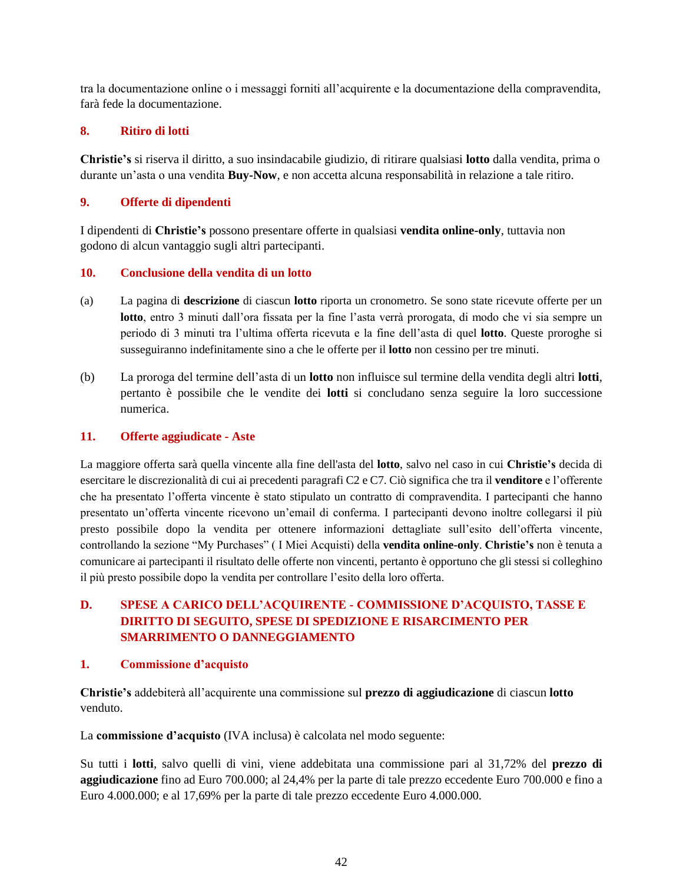tra la documentazione online o i messaggi forniti all'acquirente e la documentazione della compravendita, farà fede la documentazione.

## **8. Ritiro di lotti**

**Christie's** si riserva il diritto, a suo insindacabile giudizio, di ritirare qualsiasi **lotto** dalla vendita, prima o durante un'asta o una vendita **Buy-Now**, e non accetta alcuna responsabilità in relazione a tale ritiro.

## **9. Offerte di dipendenti**

I dipendenti di **Christie's** possono presentare offerte in qualsiasi **vendita online-only**, tuttavia non godono di alcun vantaggio sugli altri partecipanti.

## **10. Conclusione della vendita di un lotto**

- (a) La pagina di **descrizione** di ciascun **lotto** riporta un cronometro. Se sono state ricevute offerte per un **lotto**, entro 3 minuti dall'ora fissata per la fine l'asta verrà prorogata, di modo che vi sia sempre un periodo di 3 minuti tra l'ultima offerta ricevuta e la fine dell'asta di quel **lotto**. Queste proroghe si susseguiranno indefinitamente sino a che le offerte per il **lotto** non cessino per tre minuti.
- (b) La proroga del termine dell'asta di un **lotto** non influisce sul termine della vendita degli altri **lotti**, pertanto è possibile che le vendite dei **lotti** si concludano senza seguire la loro successione numerica.

### **11. Offerte aggiudicate - Aste**

La maggiore offerta sarà quella vincente alla fine dell'asta del **lotto**, salvo nel caso in cui **Christie's** decida di esercitare le discrezionalità di cui ai precedenti paragrafi C2 e C7. Ciò significa che tra il **venditore** e l'offerente che ha presentato l'offerta vincente è stato stipulato un contratto di compravendita. I partecipanti che hanno presentato un'offerta vincente ricevono un'email di conferma. I partecipanti devono inoltre collegarsi il più presto possibile dopo la vendita per ottenere informazioni dettagliate sull'esito dell'offerta vincente, controllando la sezione "My Purchases" ( I Miei Acquisti) della **vendita online-only**. **Christie's** non è tenuta a comunicare ai partecipanti il risultato delle offerte non vincenti, pertanto è opportuno che gli stessi si colleghino il più presto possibile dopo la vendita per controllare l'esito della loro offerta.

# **D. SPESE A CARICO DELL'ACQUIRENTE - COMMISSIONE D'ACQUISTO, TASSE E DIRITTO DI SEGUITO, SPESE DI SPEDIZIONE E RISARCIMENTO PER SMARRIMENTO O DANNEGGIAMENTO**

### **1. Commissione d'acquisto**

**Christie's** addebiterà all'acquirente una commissione sul **prezzo di aggiudicazione** di ciascun **lotto**  venduto.

La **commissione d'acquisto** (IVA inclusa) è calcolata nel modo seguente:

Su tutti i **lotti**, salvo quelli di vini, viene addebitata una commissione pari al 31,72% del **prezzo di aggiudicazione** fino ad Euro 700.000; al 24,4% per la parte di tale prezzo eccedente Euro 700.000 e fino a Euro 4.000.000; e al 17,69% per la parte di tale prezzo eccedente Euro 4.000.000.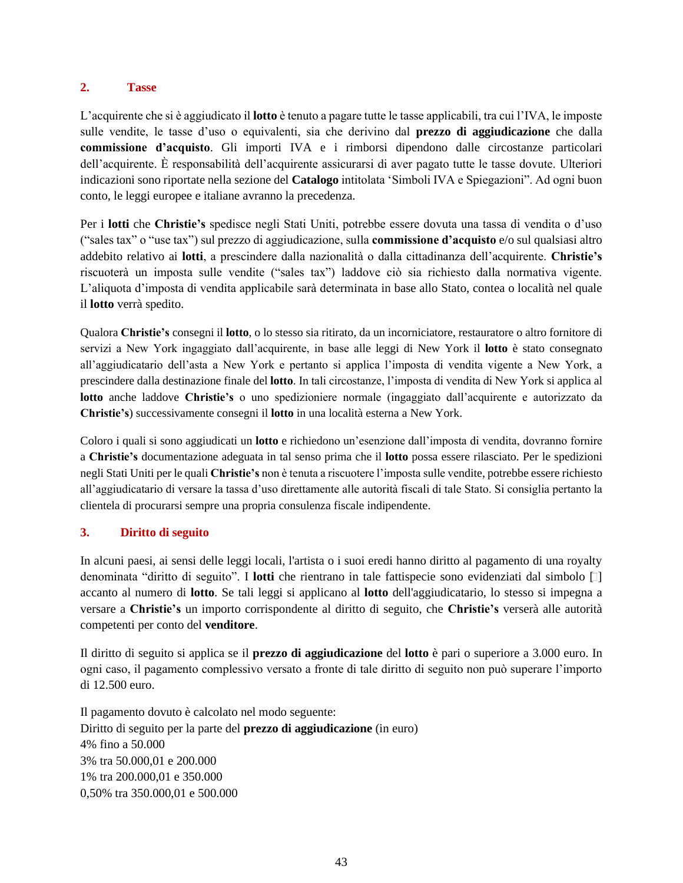### **2. Tasse**

L'acquirente che si è aggiudicato il **lotto** è tenuto a pagare tutte le tasse applicabili, tra cui l'IVA, le imposte sulle vendite, le tasse d'uso o equivalenti, sia che derivino dal **prezzo di aggiudicazione** che dalla **commissione d'acquisto**. Gli importi IVA e i rimborsi dipendono dalle circostanze particolari dell'acquirente. È responsabilità dell'acquirente assicurarsi di aver pagato tutte le tasse dovute. Ulteriori indicazioni sono riportate nella sezione del **Catalogo** intitolata 'Simboli IVA e Spiegazioni". Ad ogni buon conto, le leggi europee e italiane avranno la precedenza.

Per i **lotti** che **Christie's** spedisce negli Stati Uniti, potrebbe essere dovuta una tassa di vendita o d'uso ("sales tax" o "use tax") sul prezzo di aggiudicazione, sulla **commissione d'acquisto** e/o sul qualsiasi altro addebito relativo ai **lotti**, a prescindere dalla nazionalità o dalla cittadinanza dell'acquirente. **Christie's** riscuoterà un imposta sulle vendite ("sales tax") laddove ciò sia richiesto dalla normativa vigente. L'aliquota d'imposta di vendita applicabile sarà determinata in base allo Stato, contea o località nel quale il **lotto** verrà spedito.

Qualora **Christie's** consegni il **lotto**, o lo stesso sia ritirato, da un incorniciatore, restauratore o altro fornitore di servizi a New York ingaggiato dall'acquirente, in base alle leggi di New York il **lotto** è stato consegnato all'aggiudicatario dell'asta a New York e pertanto si applica l'imposta di vendita vigente a New York, a prescindere dalla destinazione finale del **lotto**. In tali circostanze, l'imposta di vendita di New York si applica al **lotto** anche laddove **Christie's** o uno spedizioniere normale (ingaggiato dall'acquirente e autorizzato da **Christie's**) successivamente consegni il **lotto** in una località esterna a New York.

Coloro i quali si sono aggiudicati un **lotto** e richiedono un'esenzione dall'imposta di vendita, dovranno fornire a **Christie's** documentazione adeguata in tal senso prima che il **lotto** possa essere rilasciato. Per le spedizioni negli Stati Uniti per le quali **Christie's** non è tenuta a riscuotere l'imposta sulle vendite, potrebbe essere richiesto all'aggiudicatario di versare la tassa d'uso direttamente alle autorità fiscali di tale Stato. Si consiglia pertanto la clientela di procurarsi sempre una propria consulenza fiscale indipendente.

# **3. Diritto di seguito**

In alcuni paesi, ai sensi delle leggi locali, l'artista o i suoi eredi hanno diritto al pagamento di una royalty denominata "diritto di seguito". I **lotti** che rientrano in tale fattispecie sono evidenziati dal simbolo [ ] accanto al numero di **lotto**. Se tali leggi si applicano al **lotto** dell'aggiudicatario, lo stesso si impegna a versare a **Christie's** un importo corrispondente al diritto di seguito, che **Christie's** verserà alle autorità competenti per conto del **venditore**.

Il diritto di seguito si applica se il **prezzo di aggiudicazione** del **lotto** è pari o superiore a 3.000 euro. In ogni caso, il pagamento complessivo versato a fronte di tale diritto di seguito non può superare l'importo di 12.500 euro.

Il pagamento dovuto è calcolato nel modo seguente: Diritto di seguito per la parte del **prezzo di aggiudicazione** (in euro) 4% fino a 50.000 3% tra 50.000,01 e 200.000 1% tra 200.000,01 e 350.000 0,50% tra 350.000,01 e 500.000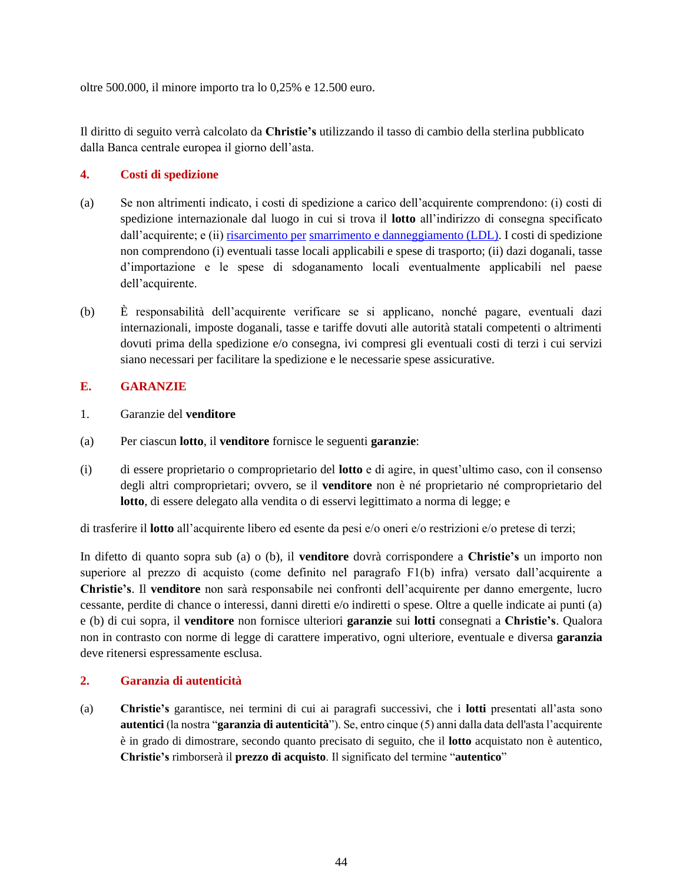oltre 500.000, il minore importo tra lo 0,25% e 12.500 euro.

Il diritto di seguito verrà calcolato da **Christie's** utilizzando il tasso di cambio della sterlina pubblicato dalla Banca centrale europea il giorno dell'asta.

## **4. Costi di spedizione**

- (a) Se non altrimenti indicato, i costi di spedizione a carico dell'acquirente comprendono: (i) costi di spedizione internazionale dal luogo in cui si trova il **lotto** all'indirizzo di consegna specificato dall'acquirente; e (ii) [risarcimento per](http://www.christies.com/selling-services/selling-guide/financial-information/#Liability-Terms-Conditions) smarrimento [e danneggiamento \(LDL\). I](http://www.christies.com/selling-services/selling-guide/financial-information/#Liability-Terms-Conditions) costi di spedizione non comprendono (i) eventuali tasse locali applicabili e spese di trasporto; (ii) dazi doganali, tasse d'importazione e le spese di sdoganamento locali eventualmente applicabili nel paese dell'acquirente.
- (b) È responsabilità dell'acquirente verificare se si applicano, nonché pagare, eventuali dazi internazionali, imposte doganali, tasse e tariffe dovuti alle autorità statali competenti o altrimenti dovuti prima della spedizione e/o consegna, ivi compresi gli eventuali costi di terzi i cui servizi siano necessari per facilitare la spedizione e le necessarie spese assicurative.

## **E. GARANZIE**

- 1. Garanzie del **venditore**
- (a) Per ciascun **lotto**, il **venditore** fornisce le seguenti **garanzie**:
- (i) di essere proprietario o comproprietario del **lotto** e di agire, in quest'ultimo caso, con il consenso degli altri comproprietari; ovvero, se il **venditore** non è né proprietario né comproprietario del **lotto**, di essere delegato alla vendita o di esservi legittimato a norma di legge; e

di trasferire il **lotto** all'acquirente libero ed esente da pesi e/o oneri e/o restrizioni e/o pretese di terzi;

In difetto di quanto sopra sub (a) o (b), il **venditore** dovrà corrispondere a **Christie's** un importo non superiore al prezzo di acquisto (come definito nel paragrafo F1(b) infra) versato dall'acquirente a **Christie's**. Il **venditore** non sarà responsabile nei confronti dell'acquirente per danno emergente, lucro cessante, perdite di chance o interessi, danni diretti e/o indiretti o spese. Oltre a quelle indicate ai punti (a) e (b) di cui sopra, il **venditore** non fornisce ulteriori **garanzie** sui **lotti** consegnati a **Christie's**. Qualora non in contrasto con norme di legge di carattere imperativo, ogni ulteriore, eventuale e diversa **garanzia** deve ritenersi espressamente esclusa.

### **2. Garanzia di autenticità**

(a) **Christie's** garantisce, nei termini di cui ai paragrafi successivi, che i **lotti** presentati all'asta sono **autentici** (la nostra "**garanzia di autenticità**"). Se, entro cinque (5) anni dalla data dell'asta l'acquirente è in grado di dimostrare, secondo quanto precisato di seguito, che il **lotto** acquistato non è autentico, **Christie's** rimborserà il **prezzo di acquisto**. Il significato del termine "**autentico**"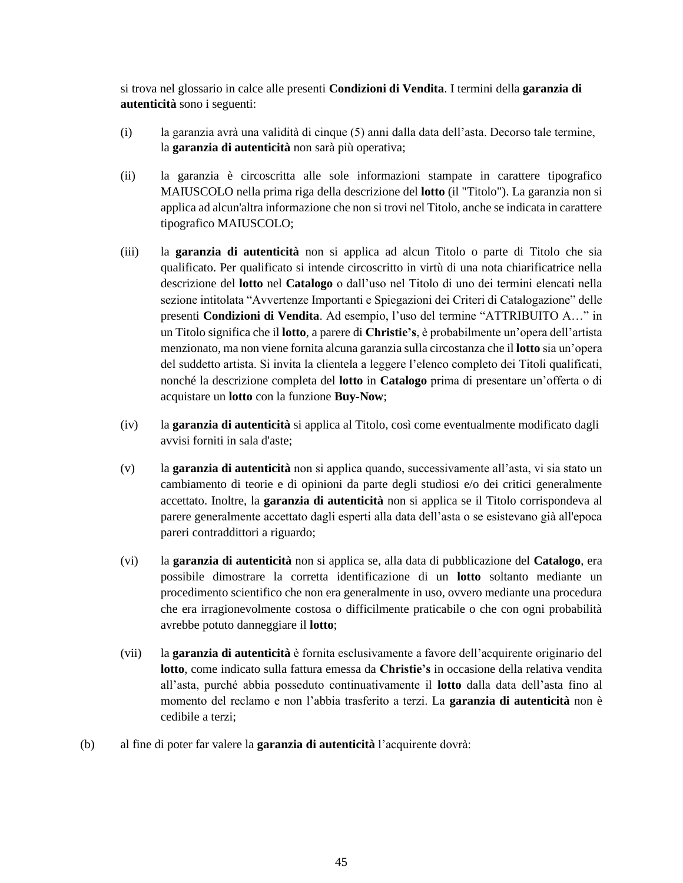si trova nel glossario in calce alle presenti **Condizioni di Vendita**. I termini della **garanzia di autenticità** sono i seguenti:

- (i) la garanzia avrà una validità di cinque (5) anni dalla data dell'asta. Decorso tale termine, la **garanzia di autenticità** non sarà più operativa;
- (ii) la garanzia è circoscritta alle sole informazioni stampate in carattere tipografico MAIUSCOLO nella prima riga della descrizione del **lotto** (il "Titolo"). La garanzia non si applica ad alcun'altra informazione che non si trovi nel Titolo, anche se indicata in carattere tipografico MAIUSCOLO;
- (iii) la **garanzia di autenticità** non si applica ad alcun Titolo o parte di Titolo che sia qualificato. Per qualificato si intende circoscritto in virtù di una nota chiarificatrice nella descrizione del **lotto** nel **Catalogo** o dall'uso nel Titolo di uno dei termini elencati nella sezione intitolata "Avvertenze Importanti e Spiegazioni dei Criteri di Catalogazione" delle presenti **Condizioni di Vendita**. Ad esempio, l'uso del termine "ATTRIBUITO A…" in un Titolo significa che il **lotto**, a parere di **Christie's**, è probabilmente un'opera dell'artista menzionato, ma non viene fornita alcuna garanzia sulla circostanza che il **lotto** sia un'opera del suddetto artista. Si invita la clientela a leggere l'elenco completo dei Titoli qualificati, nonché la descrizione completa del **lotto** in **Catalogo** prima di presentare un'offerta o di acquistare un **lotto** con la funzione **Buy-Now**;
- (iv) la **garanzia di autenticità** si applica al Titolo, così come eventualmente modificato dagli avvisi forniti in sala d'aste;
- (v) la **garanzia di autenticità** non si applica quando, successivamente all'asta, vi sia stato un cambiamento di teorie e di opinioni da parte degli studiosi e/o dei critici generalmente accettato. Inoltre, la **garanzia di autenticità** non si applica se il Titolo corrispondeva al parere generalmente accettato dagli esperti alla data dell'asta o se esistevano già all'epoca pareri contraddittori a riguardo;
- (vi) la **garanzia di autenticità** non si applica se, alla data di pubblicazione del **Catalogo**, era possibile dimostrare la corretta identificazione di un **lotto** soltanto mediante un procedimento scientifico che non era generalmente in uso, ovvero mediante una procedura che era irragionevolmente costosa o difficilmente praticabile o che con ogni probabilità avrebbe potuto danneggiare il **lotto**;
- (vii) la **garanzia di autenticità** è fornita esclusivamente a favore dell'acquirente originario del **lotto**, come indicato sulla fattura emessa da **Christie's** in occasione della relativa vendita all'asta, purché abbia posseduto continuativamente il **lotto** dalla data dell'asta fino al momento del reclamo e non l'abbia trasferito a terzi. La **garanzia di autenticità** non è cedibile a terzi;
- (b) al fine di poter far valere la **garanzia di autenticità** l'acquirente dovrà: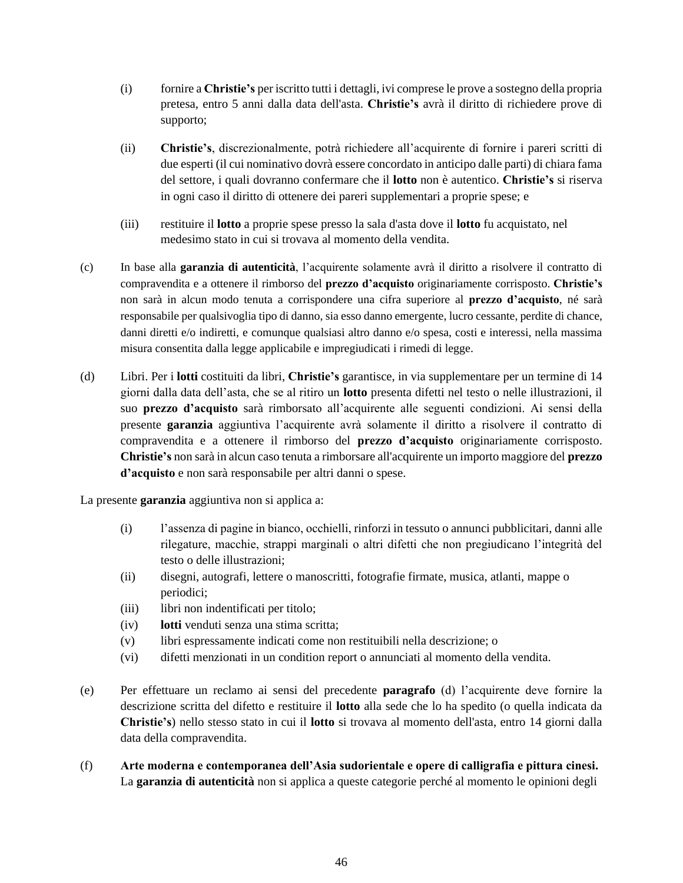- (i) fornire a **Christie's** per iscritto tutti i dettagli, ivi comprese le prove a sostegno della propria pretesa, entro 5 anni dalla data dell'asta. **Christie's** avrà il diritto di richiedere prove di supporto;
- (ii) **Christie's**, discrezionalmente, potrà richiedere all'acquirente di fornire i pareri scritti di due esperti (il cui nominativo dovrà essere concordato in anticipo dalle parti) di chiara fama del settore, i quali dovranno confermare che il **lotto** non è autentico. **Christie's** si riserva in ogni caso il diritto di ottenere dei pareri supplementari a proprie spese; e
- (iii) restituire il **lotto** a proprie spese presso la sala d'asta dove il **lotto** fu acquistato, nel medesimo stato in cui si trovava al momento della vendita.
- (c) In base alla **garanzia di autenticità**, l'acquirente solamente avrà il diritto a risolvere il contratto di compravendita e a ottenere il rimborso del **prezzo d'acquisto** originariamente corrisposto. **Christie's**  non sarà in alcun modo tenuta a corrispondere una cifra superiore al **prezzo d'acquisto**, né sarà responsabile per qualsivoglia tipo di danno, sia esso danno emergente, lucro cessante, perdite di chance, danni diretti e/o indiretti, e comunque qualsiasi altro danno e/o spesa, costi e interessi, nella massima misura consentita dalla legge applicabile e impregiudicati i rimedi di legge.
- (d) Libri. Per i **lotti** costituiti da libri, **Christie's** garantisce, in via supplementare per un termine di 14 giorni dalla data dell'asta, che se al ritiro un **lotto** presenta difetti nel testo o nelle illustrazioni, il suo **prezzo d'acquisto** sarà rimborsato all'acquirente alle seguenti condizioni. Ai sensi della presente **garanzia** aggiuntiva l'acquirente avrà solamente il diritto a risolvere il contratto di compravendita e a ottenere il rimborso del **prezzo d'acquisto** originariamente corrisposto. **Christie's** non sarà in alcun caso tenuta a rimborsare all'acquirente un importo maggiore del **prezzo d'acquisto** e non sarà responsabile per altri danni o spese.

La presente **garanzia** aggiuntiva non si applica a:

- (i) l'assenza di pagine in bianco, occhielli, rinforzi in tessuto o annunci pubblicitari, danni alle rilegature, macchie, strappi marginali o altri difetti che non pregiudicano l'integrità del testo o delle illustrazioni;
- (ii) disegni, autografi, lettere o manoscritti, fotografie firmate, musica, atlanti, mappe o periodici;
- (iii) libri non indentificati per titolo;
- (iv) **lotti** venduti senza una stima scritta;
- (v) libri espressamente indicati come non restituibili nella descrizione; o
- (vi) difetti menzionati in un condition report o annunciati al momento della vendita.
- (e) Per effettuare un reclamo ai sensi del precedente **paragrafo** (d) l'acquirente deve fornire la descrizione scritta del difetto e restituire il **lotto** alla sede che lo ha spedito (o quella indicata da **Christie's**) nello stesso stato in cui il **lotto** si trovava al momento dell'asta, entro 14 giorni dalla data della compravendita.
- (f) **Arte moderna e contemporanea dell'Asia sudorientale e opere di calligrafia e pittura cinesi.** La **garanzia di autenticità** non si applica a queste categorie perché al momento le opinioni degli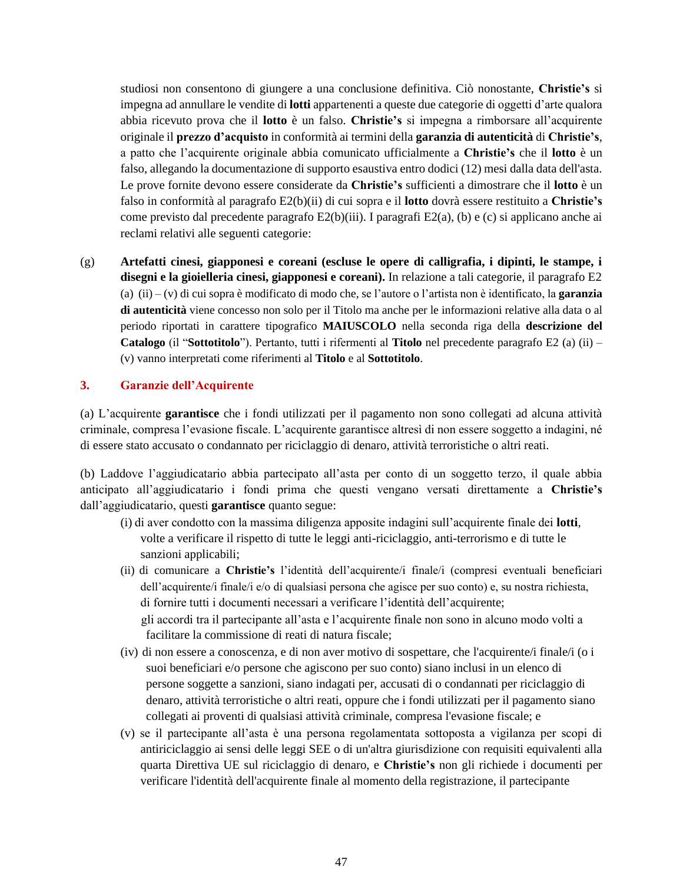studiosi non consentono di giungere a una conclusione definitiva. Ciò nonostante, **Christie's** si impegna ad annullare le vendite di **lotti** appartenenti a queste due categorie di oggetti d'arte qualora abbia ricevuto prova che il **lotto** è un falso. **Christie's** si impegna a rimborsare all'acquirente originale il **prezzo d'acquisto** in conformità ai termini della **garanzia di autenticità** di **Christie's**, a patto che l'acquirente originale abbia comunicato ufficialmente a **Christie's** che il **lotto** è un falso, allegando la documentazione di supporto esaustiva entro dodici (12) mesi dalla data dell'asta. Le prove fornite devono essere considerate da **Christie's** sufficienti a dimostrare che il **lotto** è un falso in conformità al paragrafo E2(b)(ii) di cui sopra e il **lotto** dovrà essere restituito a **Christie's** come previsto dal precedente paragrafo E2(b)(iii). I paragrafi E2(a), (b) e (c) si applicano anche ai reclami relativi alle seguenti categorie:

(g) **Artefatti cinesi, giapponesi e coreani (escluse le opere di calligrafia, i dipinti, le stampe, i disegni e la gioielleria cinesi, giapponesi e coreani).** In relazione a tali categorie, il paragrafo E2 (a) (ii) – (v) di cui sopra è modificato di modo che, se l'autore o l'artista non è identificato, la **garanzia di autenticità** viene concesso non solo per il Titolo ma anche per le informazioni relative alla data o al periodo riportati in carattere tipografico **MAIUSCOLO** nella seconda riga della **descrizione del Catalogo** (il "**Sottotitolo**"). Pertanto, tutti i rifermenti al **Titolo** nel precedente paragrafo E2 (a) (ii) – (v) vanno interpretati come riferimenti al **Titolo** e al **Sottotitolo**.

### **3. Garanzie dell'Acquirente**

(a) L'acquirente **garantisce** che i fondi utilizzati per il pagamento non sono collegati ad alcuna attività criminale, compresa l'evasione fiscale. L'acquirente garantisce altresì di non essere soggetto a indagini, né di essere stato accusato o condannato per riciclaggio di denaro, attività terroristiche o altri reati.

(b) Laddove l'aggiudicatario abbia partecipato all'asta per conto di un soggetto terzo, il quale abbia anticipato all'aggiudicatario i fondi prima che questi vengano versati direttamente a **Christie's** dall'aggiudicatario, questi **garantisce** quanto segue:

- (i) di aver condotto con la massima diligenza apposite indagini sull'acquirente finale dei **lotti**, volte a verificare il rispetto di tutte le leggi anti-riciclaggio, anti-terrorismo e di tutte le sanzioni applicabili;
- (ii) di comunicare a **Christie's** l'identità dell'acquirente/i finale/i (compresi eventuali beneficiari dell'acquirente/i finale/i e/o di qualsiasi persona che agisce per suo conto) e, su nostra richiesta, di fornire tutti i documenti necessari a verificare l'identità dell'acquirente; gli accordi tra il partecipante all'asta e l'acquirente finale non sono in alcuno modo volti a facilitare la commissione di reati di natura fiscale;
- (iv) di non essere a conoscenza, e di non aver motivo di sospettare, che l'acquirente/i finale/i (o i suoi beneficiari e/o persone che agiscono per suo conto) siano inclusi in un elenco di persone soggette a sanzioni, siano indagati per, accusati di o condannati per riciclaggio di denaro, attività terroristiche o altri reati, oppure che i fondi utilizzati per il pagamento siano collegati ai proventi di qualsiasi attività criminale, compresa l'evasione fiscale; e
- (v) se il partecipante all'asta è una persona regolamentata sottoposta a vigilanza per scopi di antiriciclaggio ai sensi delle leggi SEE o di un'altra giurisdizione con requisiti equivalenti alla quarta Direttiva UE sul riciclaggio di denaro, e **Christie's** non gli richiede i documenti per verificare l'identità dell'acquirente finale al momento della registrazione, il partecipante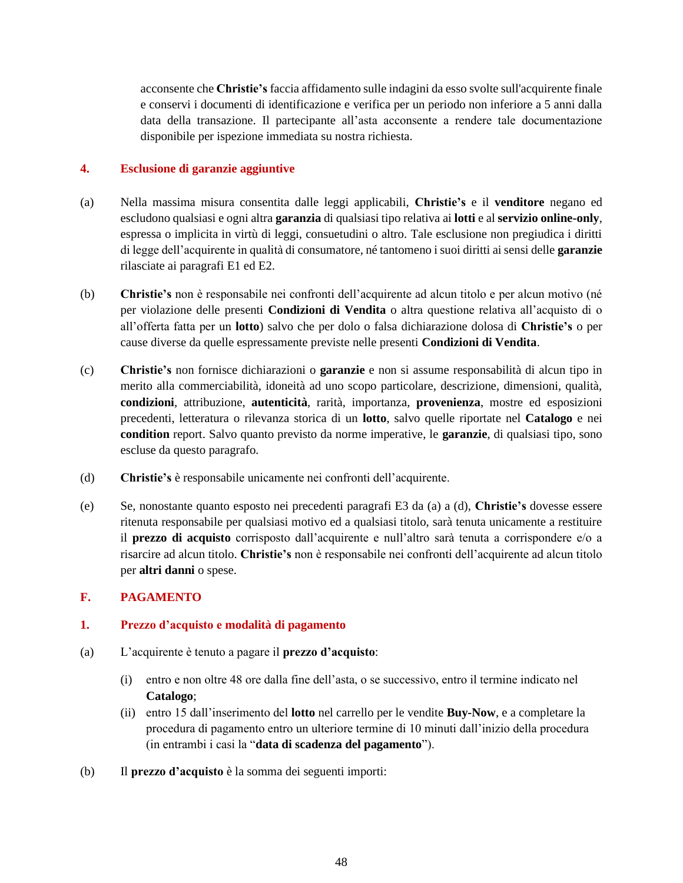acconsente che **Christie's** faccia affidamento sulle indagini da esso svolte sull'acquirente finale e conservi i documenti di identificazione e verifica per un periodo non inferiore a 5 anni dalla data della transazione. Il partecipante all'asta acconsente a rendere tale documentazione disponibile per ispezione immediata su nostra richiesta.

### **4. Esclusione di garanzie aggiuntive**

- (a) Nella massima misura consentita dalle leggi applicabili, **Christie's** e il **venditore** negano ed escludono qualsiasi e ogni altra **garanzia** di qualsiasi tipo relativa ai **lotti** e al **servizio online-only**, espressa o implicita in virtù di leggi, consuetudini o altro. Tale esclusione non pregiudica i diritti di legge dell'acquirente in qualità di consumatore, né tantomeno i suoi diritti ai sensi delle **garanzie** rilasciate ai paragrafi E1 ed E2.
- (b) **Christie's** non è responsabile nei confronti dell'acquirente ad alcun titolo e per alcun motivo (né per violazione delle presenti **Condizioni di Vendita** o altra questione relativa all'acquisto di o all'offerta fatta per un **lotto**) salvo che per dolo o falsa dichiarazione dolosa di **Christie's** o per cause diverse da quelle espressamente previste nelle presenti **Condizioni di Vendita**.
- (c) **Christie's** non fornisce dichiarazioni o **garanzie** e non si assume responsabilità di alcun tipo in merito alla commerciabilità, idoneità ad uno scopo particolare, descrizione, dimensioni, qualità, **condizioni**, attribuzione, **autenticità**, rarità, importanza, **provenienza**, mostre ed esposizioni precedenti, letteratura o rilevanza storica di un **lotto**, salvo quelle riportate nel **Catalogo** e nei **condition** report. Salvo quanto previsto da norme imperative, le **garanzie**, di qualsiasi tipo, sono escluse da questo paragrafo.
- (d) **Christie's** è responsabile unicamente nei confronti dell'acquirente.
- (e) Se, nonostante quanto esposto nei precedenti paragrafi E3 da (a) a (d), **Christie's** dovesse essere ritenuta responsabile per qualsiasi motivo ed a qualsiasi titolo, sarà tenuta unicamente a restituire il **prezzo di acquisto** corrisposto dall'acquirente e null'altro sarà tenuta a corrispondere e/o a risarcire ad alcun titolo. **Christie's** non è responsabile nei confronti dell'acquirente ad alcun titolo per **altri danni** o spese.

# **F. PAGAMENTO**

### **1. Prezzo d'acquisto e modalità di pagamento**

- (a) L'acquirente è tenuto a pagare il **prezzo d'acquisto**:
	- (i) entro e non oltre 48 ore dalla fine dell'asta, o se successivo, entro il termine indicato nel **Catalogo**;
	- (ii) entro 15 dall'inserimento del **lotto** nel carrello per le vendite **Buy-Now**, e a completare la procedura di pagamento entro un ulteriore termine di 10 minuti dall'inizio della procedura (in entrambi i casi la "**data di scadenza del pagamento**").
- (b) Il **prezzo d'acquisto** è la somma dei seguenti importi: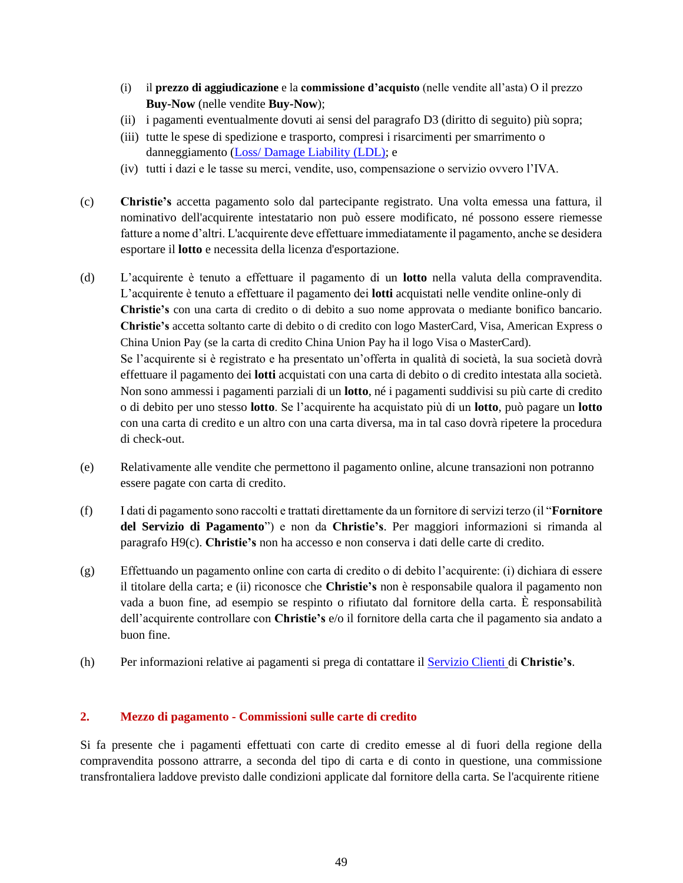- (i) il **prezzo di aggiudicazione** e la **commissione d'acquisto** (nelle vendite all'asta) O il prezzo **Buy-Now** (nelle vendite **Buy-Now**);
- (ii) i pagamenti eventualmente dovuti ai sensi del paragrafo D3 (diritto di seguito) più sopra;
- (iii) tutte le spese di spedizione e trasporto, compresi i risarcimenti per smarrimento o danneggiamento [\(Loss/ Damage Liability \(LDL\); e](http://www.christies.com/selling-services/selling-guide/financial-information/#Liability-Terms-Conditions)
- (iv) tutti i dazi e le tasse su merci, vendite, uso, compensazione o servizio ovvero l'IVA.
- (c) **Christie's** accetta pagamento solo dal partecipante registrato. Una volta emessa una fattura, il nominativo dell'acquirente intestatario non può essere modificato, né possono essere riemesse fatture a nome d'altri. L'acquirente deve effettuare immediatamente il pagamento, anche se desidera esportare il **lotto** e necessita della licenza d'esportazione.
- (d) L'acquirente è tenuto a effettuare il pagamento di un **lotto** nella valuta della compravendita. L'acquirente è tenuto a effettuare il pagamento dei **lotti** acquistati nelle vendite online-only di **Christie's** con una carta di credito o di debito a suo nome approvata o mediante bonifico bancario. **Christie's** accetta soltanto carte di debito o di credito con logo MasterCard, Visa, American Express o China Union Pay (se la carta di credito China Union Pay ha il logo Visa o MasterCard). Se l'acquirente si è registrato e ha presentato un'offerta in qualità di società, la sua società dovrà effettuare il pagamento dei **lotti** acquistati con una carta di debito o di credito intestata alla società. Non sono ammessi i pagamenti parziali di un **lotto**, né i pagamenti suddivisi su più carte di credito o di debito per uno stesso **lotto**. Se l'acquirente ha acquistato più di un **lotto**, può pagare un **lotto** con una carta di credito e un altro con una carta diversa, ma in tal caso dovrà ripetere la procedura di check-out.
- (e) Relativamente alle vendite che permettono il pagamento online, alcune transazioni non potranno essere pagate con carta di credito.
- (f) I dati di pagamento sono raccolti e trattati direttamente da un fornitore di servizi terzo (il "**Fornitore del Servizio di Pagamento**") e non da **Christie's**. Per maggiori informazioni si rimanda al paragrafo H9(c). **Christie's** non ha accesso e non conserva i dati delle carte di credito.
- (g) Effettuando un pagamento online con carta di credito o di debito l'acquirente: (i) dichiara di essere il titolare della carta; e (ii) riconosce che **Christie's** non è responsabile qualora il pagamento non vada a buon fine, ad esempio se respinto o rifiutato dal fornitore della carta. È responsabilità dell'acquirente controllare con **Christie's** e/o il fornitore della carta che il pagamento sia andato a buon fine.
- (h) Per informazioni relative ai pagamenti si prega di contattare il [Servizio Clienti](http://www.christies.com/about-us/contact/client-services/) di **Christie's**.

# **2. Mezzo di pagamento - Commissioni sulle carte di credito**

Si fa presente che i pagamenti effettuati con carte di credito emesse al di fuori della regione della compravendita possono attrarre, a seconda del tipo di carta e di conto in questione, una commissione transfrontaliera laddove previsto dalle condizioni applicate dal fornitore della carta. Se l'acquirente ritiene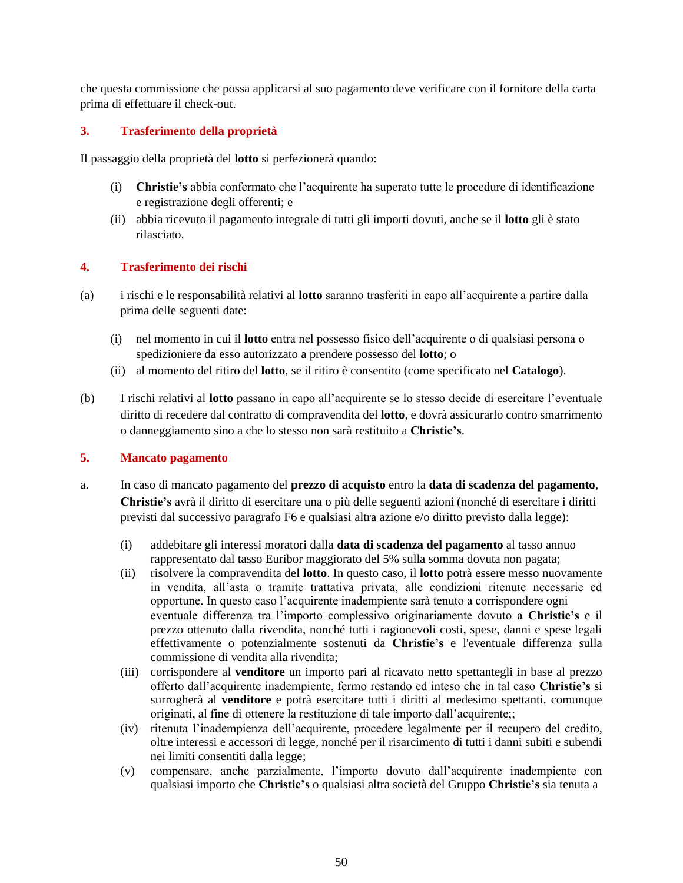che questa commissione che possa applicarsi al suo pagamento deve verificare con il fornitore della carta prima di effettuare il check-out.

### **3. Trasferimento della proprietà**

Il passaggio della proprietà del **lotto** si perfezionerà quando:

- (i) **Christie's** abbia confermato che l'acquirente ha superato tutte le procedure di identificazione e registrazione degli offerenti; e
- (ii) abbia ricevuto il pagamento integrale di tutti gli importi dovuti, anche se il **lotto** gli è stato rilasciato.

## **4. Trasferimento dei rischi**

- (a) i rischi e le responsabilità relativi al **lotto** saranno trasferiti in capo all'acquirente a partire dalla prima delle seguenti date:
	- (i) nel momento in cui il **lotto** entra nel possesso fisico dell'acquirente o di qualsiasi persona o spedizioniere da esso autorizzato a prendere possesso del **lotto**; o
	- (ii) al momento del ritiro del **lotto**, se il ritiro è consentito (come specificato nel **Catalogo**).
- (b) I rischi relativi al **lotto** passano in capo all'acquirente se lo stesso decide di esercitare l'eventuale diritto di recedere dal contratto di compravendita del **lotto**, e dovrà assicurarlo contro smarrimento o danneggiamento sino a che lo stesso non sarà restituito a **Christie's**.

### **5. Mancato pagamento**

- a. In caso di mancato pagamento del **prezzo di acquisto** entro la **data di scadenza del pagamento**, **Christie's** avrà il diritto di esercitare una o più delle seguenti azioni (nonché di esercitare i diritti previsti dal successivo paragrafo F6 e qualsiasi altra azione e/o diritto previsto dalla legge):
	- (i) addebitare gli interessi moratori dalla **data di scadenza del pagamento** al tasso annuo rappresentato dal tasso Euribor maggiorato del 5% sulla somma dovuta non pagata;
	- (ii) risolvere la compravendita del **lotto**. In questo caso, il **lotto** potrà essere messo nuovamente in vendita, all'asta o tramite trattativa privata, alle condizioni ritenute necessarie ed opportune. In questo caso l'acquirente inadempiente sarà tenuto a corrispondere ogni eventuale differenza tra l'importo complessivo originariamente dovuto a **Christie's** e il prezzo ottenuto dalla rivendita, nonché tutti i ragionevoli costi, spese, danni e spese legali effettivamente o potenzialmente sostenuti da **Christie's** e l'eventuale differenza sulla commissione di vendita alla rivendita;
	- (iii) corrispondere al **venditore** un importo pari al ricavato netto spettantegli in base al prezzo offerto dall'acquirente inadempiente, fermo restando ed inteso che in tal caso **Christie's** si surrogherà al **venditore** e potrà esercitare tutti i diritti al medesimo spettanti, comunque originati, al fine di ottenere la restituzione di tale importo dall'acquirente;;
	- (iv) ritenuta l'inadempienza dell'acquirente, procedere legalmente per il recupero del credito, oltre interessi e accessori di legge, nonché per il risarcimento di tutti i danni subiti e subendi nei limiti consentiti dalla legge;
	- (v) compensare, anche parzialmente, l'importo dovuto dall'acquirente inadempiente con qualsiasi importo che **Christie's** o qualsiasi altra società del Gruppo **Christie's** sia tenuta a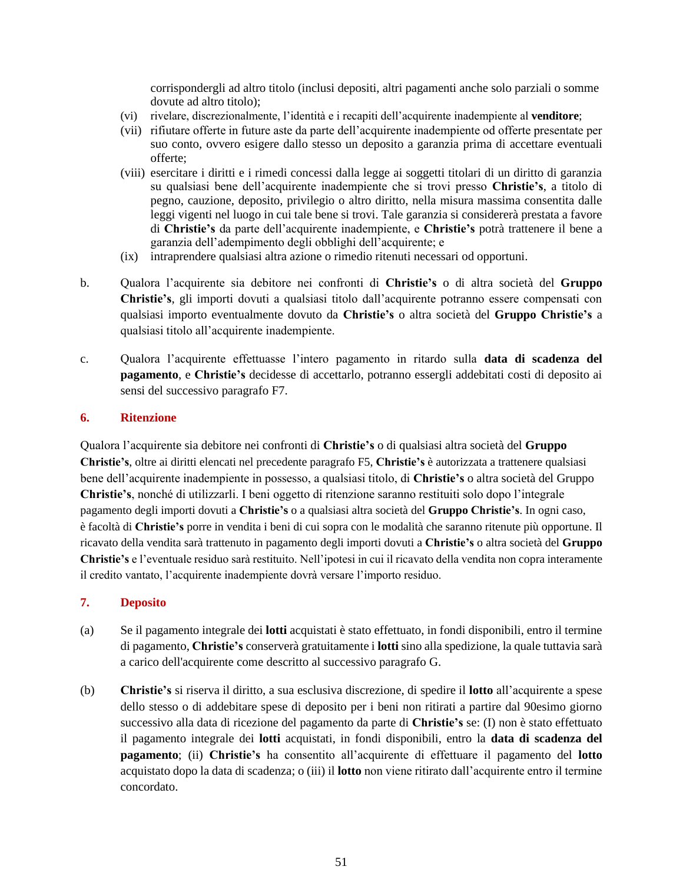corrispondergli ad altro titolo (inclusi depositi, altri pagamenti anche solo parziali o somme dovute ad altro titolo);

- (vi) rivelare, discrezionalmente, l'identità e i recapiti dell'acquirente inadempiente al **venditore**;
- (vii) rifiutare offerte in future aste da parte dell'acquirente inadempiente od offerte presentate per suo conto, ovvero esigere dallo stesso un deposito a garanzia prima di accettare eventuali offerte;
- (viii) esercitare i diritti e i rimedi concessi dalla legge ai soggetti titolari di un diritto di garanzia su qualsiasi bene dell'acquirente inadempiente che si trovi presso **Christie's**, a titolo di pegno, cauzione, deposito, privilegio o altro diritto, nella misura massima consentita dalle leggi vigenti nel luogo in cui tale bene si trovi. Tale garanzia si considererà prestata a favore di **Christie's** da parte dell'acquirente inadempiente, e **Christie's** potrà trattenere il bene a garanzia dell'adempimento degli obblighi dell'acquirente; e
- (ix) intraprendere qualsiasi altra azione o rimedio ritenuti necessari od opportuni.
- b. Qualora l'acquirente sia debitore nei confronti di **Christie's** o di altra società del **Gruppo Christie's**, gli importi dovuti a qualsiasi titolo dall'acquirente potranno essere compensati con qualsiasi importo eventualmente dovuto da **Christie's** o altra società del **Gruppo Christie's** a qualsiasi titolo all'acquirente inadempiente.
- c. Qualora l'acquirente effettuasse l'intero pagamento in ritardo sulla **data di scadenza del pagamento**, e **Christie's** decidesse di accettarlo, potranno essergli addebitati costi di deposito ai sensi del successivo paragrafo F7.

### **6. Ritenzione**

Qualora l'acquirente sia debitore nei confronti di **Christie's** o di qualsiasi altra società del **Gruppo Christie's**, oltre ai diritti elencati nel precedente paragrafo F5, **Christie's** è autorizzata a trattenere qualsiasi bene dell'acquirente inadempiente in possesso, a qualsiasi titolo, di **Christie's** o altra società del Gruppo **Christie's**, nonché di utilizzarli. I beni oggetto di ritenzione saranno restituiti solo dopo l'integrale pagamento degli importi dovuti a **Christie's** o a qualsiasi altra società del **Gruppo Christie's**. In ogni caso, è facoltà di **Christie's** porre in vendita i beni di cui sopra con le modalità che saranno ritenute più opportune. Il ricavato della vendita sarà trattenuto in pagamento degli importi dovuti a **Christie's** o altra società del **Gruppo Christie's** e l'eventuale residuo sarà restituito. Nell'ipotesi in cui il ricavato della vendita non copra interamente il credito vantato, l'acquirente inadempiente dovrà versare l'importo residuo.

### **7. Deposito**

- (a) Se il pagamento integrale dei **lotti** acquistati è stato effettuato, in fondi disponibili, entro il termine di pagamento, **Christie's** conserverà gratuitamente i **lotti** sino alla spedizione, la quale tuttavia sarà a carico dell'acquirente come descritto al successivo paragrafo G.
- (b) **Christie's** si riserva il diritto, a sua esclusiva discrezione, di spedire il **lotto** all'acquirente a spese dello stesso o di addebitare spese di deposito per i beni non ritirati a partire dal 90esimo giorno successivo alla data di ricezione del pagamento da parte di **Christie's** se: (I) non è stato effettuato il pagamento integrale dei **lotti** acquistati, in fondi disponibili, entro la **data di scadenza del pagamento**; (ii) **Christie's** ha consentito all'acquirente di effettuare il pagamento del **lotto**  acquistato dopo la data di scadenza; o (iii) il **lotto** non viene ritirato dall'acquirente entro il termine concordato.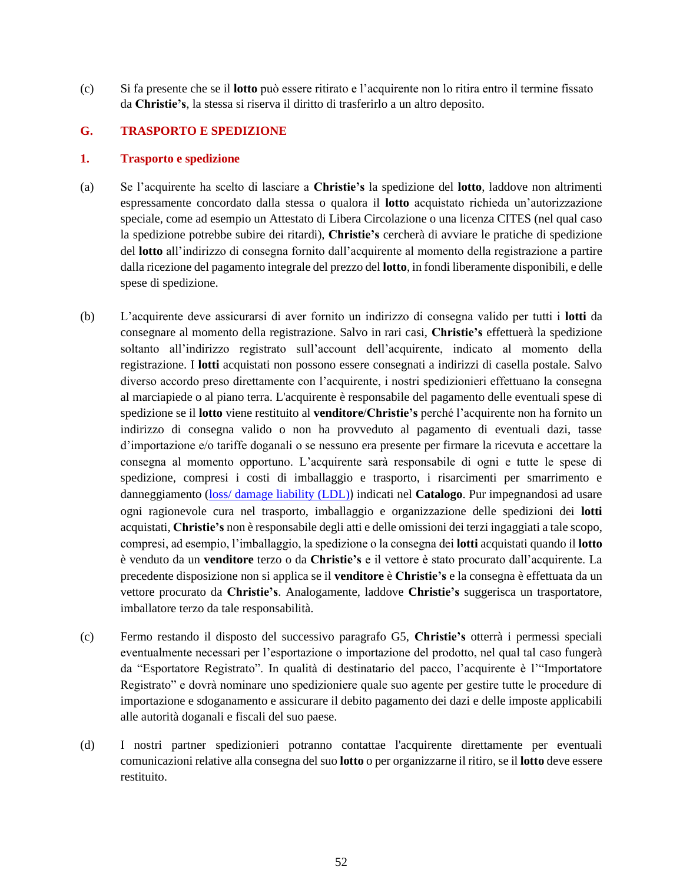(c) Si fa presente che se il **lotto** può essere ritirato e l'acquirente non lo ritira entro il termine fissato da **Christie's**, la stessa si riserva il diritto di trasferirlo a un altro deposito.

### **G. TRASPORTO E SPEDIZIONE**

### **1. Trasporto e spedizione**

- (a) Se l'acquirente ha scelto di lasciare a **Christie's** la spedizione del **lotto**, laddove non altrimenti espressamente concordato dalla stessa o qualora il **lotto** acquistato richieda un'autorizzazione speciale, come ad esempio un Attestato di Libera Circolazione o una licenza CITES (nel qual caso la spedizione potrebbe subire dei ritardi), **Christie's** cercherà di avviare le pratiche di spedizione del **lotto** all'indirizzo di consegna fornito dall'acquirente al momento della registrazione a partire dalla ricezione del pagamento integrale del prezzo del **lotto**, in fondi liberamente disponibili, e delle spese di spedizione.
- (b) L'acquirente deve assicurarsi di aver fornito un indirizzo di consegna valido per tutti i **lotti** da consegnare al momento della registrazione. Salvo in rari casi, **Christie's** effettuerà la spedizione soltanto all'indirizzo registrato sull'account dell'acquirente, indicato al momento della registrazione. I **lotti** acquistati non possono essere consegnati a indirizzi di casella postale. Salvo diverso accordo preso direttamente con l'acquirente, i nostri spedizionieri effettuano la consegna al marciapiede o al piano terra. L'acquirente è responsabile del pagamento delle eventuali spese di spedizione se il **lotto** viene restituito al **venditore**/**Christie's** perché l'acquirente non ha fornito un indirizzo di consegna valido o non ha provveduto al pagamento di eventuali dazi, tasse d'importazione e/o tariffe doganali o se nessuno era presente per firmare la ricevuta e accettare la consegna al momento opportuno. L'acquirente sarà responsabile di ogni e tutte le spese di spedizione, compresi i costi di imballaggio e trasporto, i risarcimenti per smarrimento e danneggiamento [\(loss/ damage liability \(LDL\)](http://www.christies.com/selling-services/selling-guide/financial-information/#Liability-Terms-Conditions)) indicati nel **Catalogo**. Pur impegnandosi ad usare ogni ragionevole cura nel trasporto, imballaggio e organizzazione delle spedizioni dei **lotti** acquistati, **Christie's** non è responsabile degli atti e delle omissioni dei terzi ingaggiati a tale scopo, compresi, ad esempio, l'imballaggio, la spedizione o la consegna dei **lotti** acquistati quando il **lotto** è venduto da un **venditore** terzo o da **Christie's** e il vettore è stato procurato dall'acquirente. La precedente disposizione non si applica se il **venditore** è **Christie's** e la consegna è effettuata da un vettore procurato da **Christie's**. Analogamente, laddove **Christie's** suggerisca un trasportatore, imballatore terzo da tale responsabilità.
- (c) Fermo restando il disposto del successivo paragrafo G5, **Christie's** otterrà i permessi speciali eventualmente necessari per l'esportazione o importazione del prodotto, nel qual tal caso fungerà da "Esportatore Registrato". In qualità di destinatario del pacco, l'acquirente è l'"Importatore Registrato" e dovrà nominare uno spedizioniere quale suo agente per gestire tutte le procedure di importazione e sdoganamento e assicurare il debito pagamento dei dazi e delle imposte applicabili alle autorità doganali e fiscali del suo paese.
- (d) I nostri partner spedizionieri potranno contattae l'acquirente direttamente per eventuali comunicazioni relative alla consegna del suo **lotto** o per organizzarne il ritiro, se il **lotto** deve essere restituito.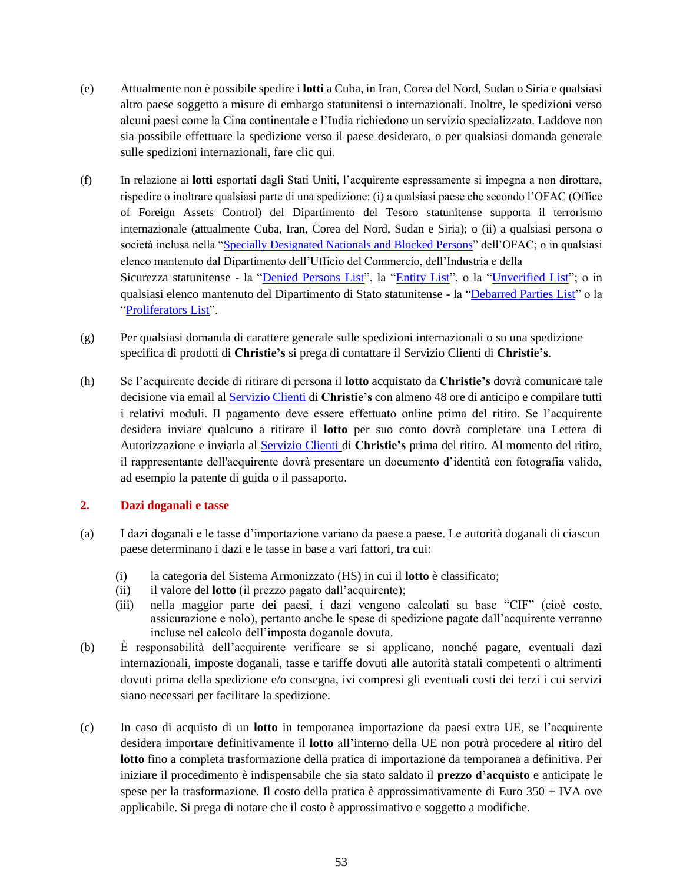- (e) Attualmente non è possibile spedire i **lotti** a Cuba, in Iran, Corea del Nord, Sudan o Siria e qualsiasi altro paese soggetto a misure di embargo statunitensi o internazionali. Inoltre, le spedizioni verso alcuni paesi come la Cina continentale e l'India richiedono un servizio specializzato. Laddove non sia possibile effettuare la spedizione verso il paese desiderato, o per qualsiasi domanda generale sulle spedizioni internazionali, fare clic qui.
- (f) In relazione ai **lotti** esportati dagli Stati Uniti, l'acquirente espressamente si impegna a non dirottare, rispedire o inoltrare qualsiasi parte di una spedizione: (i) a qualsiasi paese che secondo l'OFAC (Office of Foreign Assets Control) del Dipartimento del Tesoro statunitense supporta il terrorismo internazionale (attualmente Cuba, Iran, Corea del Nord, Sudan e Siria); o (ii) a qualsiasi persona o società inclusa nella ["Specially Designated Nationals and Blocked Persons"](http://www.treasury.gov/resource-center/sanctions/SDN-List/Pages/default.aspx) dell'OFAC; o in qualsiasi elenco mantenuto dal Dipartimento dell'Ufficio del Commercio, dell'Industria e della Sicurezza statunitense - la ["Denied Persons List"](http://www.bis.doc.gov/index.php/the-denied-persons-list), la ["Entity List"](http://www.bis.doc.gov/index.php/policy-guidance/lists-of-parties-of-concern/entity-list), o la ["Unverified List"](http://www.bis.doc.gov/index.php/policy-guidance/lists-of-parties-of-concern/unverified-list); o in qualsiasi elenco mantenuto del Dipartimento di Stato statunitense - la ["Debarred Parties List"](http://pmddtc.state.gov/compliance/debar.html) o la ["Proliferators List"](http://www.treasury.gov/resource-center/sanctions/Programs/Documents/wmd.pdf).
- (g) Per qualsiasi domanda di carattere generale sulle spedizioni internazionali o su una spedizione specifica di prodotti di **Christie's** si prega di contattare il Servizio Clienti di **Christie's**.
- (h) Se l'acquirente decide di ritirare di persona il **lotto** acquistato da **Christie's** dovrà comunicare tale decisione via email al [Servizio Clienti](http://www.christies.com/about-us/contact/client-services/) di **Christie's** con almeno 48 ore di anticipo e compilare tutti i relativi moduli. Il pagamento deve essere effettuato online prima del ritiro. Se l'acquirente desidera inviare qualcuno a ritirare il **lotto** per suo conto dovrà completare una Lettera di Autorizzazione e inviarla al [Servizio Clienti](http://www.christies.com/about-us/contact/client-services/) di **Christie's** prima del ritiro. Al momento del ritiro, il rappresentante dell'acquirente dovrà presentare un documento d'identità con fotografia valido, ad esempio la patente di guida o il passaporto.

### **2. Dazi doganali e tasse**

- (a) I dazi doganali e le tasse d'importazione variano da paese a paese. Le autorità doganali di ciascun paese determinano i dazi e le tasse in base a vari fattori, tra cui:
	- (i) la categoria del Sistema Armonizzato (HS) in cui il **lotto** è classificato;
	- (ii) il valore del **lotto** (il prezzo pagato dall'acquirente);
	- (iii) nella maggior parte dei paesi, i dazi vengono calcolati su base "CIF" (cioè costo, assicurazione e nolo), pertanto anche le spese di spedizione pagate dall'acquirente verranno incluse nel calcolo dell'imposta doganale dovuta.
- (b) È responsabilità dell'acquirente verificare se si applicano, nonché pagare, eventuali dazi internazionali, imposte doganali, tasse e tariffe dovuti alle autorità statali competenti o altrimenti dovuti prima della spedizione e/o consegna, ivi compresi gli eventuali costi dei terzi i cui servizi siano necessari per facilitare la spedizione.
- (c) In caso di acquisto di un **lotto** in temporanea importazione da paesi extra UE, se l'acquirente desidera importare definitivamente il **lotto** all'interno della UE non potrà procedere al ritiro del **lotto** fino a completa trasformazione della pratica di importazione da temporanea a definitiva. Per iniziare il procedimento è indispensabile che sia stato saldato il **prezzo d'acquisto** e anticipate le spese per la trasformazione. Il costo della pratica è approssimativamente di Euro 350 + IVA ove applicabile. Si prega di notare che il costo è approssimativo e soggetto a modifiche.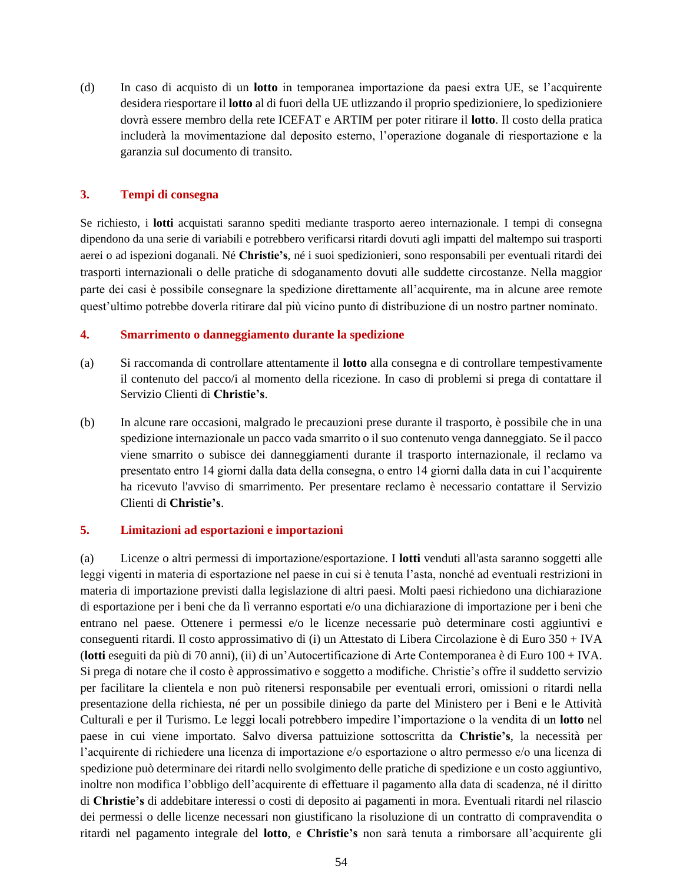(d) In caso di acquisto di un **lotto** in temporanea importazione da paesi extra UE, se l'acquirente desidera riesportare il **lotto** al di fuori della UE utlizzando il proprio spedizioniere, lo spedizioniere dovrà essere membro della rete ICEFAT e ARTIM per poter ritirare il **lotto**. Il costo della pratica includerà la movimentazione dal deposito esterno, l'operazione doganale di riesportazione e la garanzia sul documento di transito.

### **3. Tempi di consegna**

Se richiesto, i **lotti** acquistati saranno spediti mediante trasporto aereo internazionale. I tempi di consegna dipendono da una serie di variabili e potrebbero verificarsi ritardi dovuti agli impatti del maltempo sui trasporti aerei o ad ispezioni doganali. Né **Christie's**, né i suoi spedizionieri, sono responsabili per eventuali ritardi dei trasporti internazionali o delle pratiche di sdoganamento dovuti alle suddette circostanze. Nella maggior parte dei casi è possibile consegnare la spedizione direttamente all'acquirente, ma in alcune aree remote quest'ultimo potrebbe doverla ritirare dal più vicino punto di distribuzione di un nostro partner nominato.

### **4. Smarrimento o danneggiamento durante la spedizione**

- (a) Si raccomanda di controllare attentamente il **lotto** alla consegna e di controllare tempestivamente il contenuto del pacco/i al momento della ricezione. In caso di problemi si prega di contattare il Servizio Clienti di **Christie's**.
- (b) In alcune rare occasioni, malgrado le precauzioni prese durante il trasporto, è possibile che in una spedizione internazionale un pacco vada smarrito o il suo contenuto venga danneggiato. Se il pacco viene smarrito o subisce dei danneggiamenti durante il trasporto internazionale, il reclamo va presentato entro 14 giorni dalla data della consegna, o entro 14 giorni dalla data in cui l'acquirente ha ricevuto l'avviso di smarrimento. Per presentare reclamo è necessario contattare il Servizio Clienti di **Christie's**.

### **5. Limitazioni ad esportazioni e importazioni**

(a) Licenze o altri permessi di importazione/esportazione. I **lotti** venduti all'asta saranno soggetti alle leggi vigenti in materia di esportazione nel paese in cui si è tenuta l'asta, nonché ad eventuali restrizioni in materia di importazione previsti dalla legislazione di altri paesi. Molti paesi richiedono una dichiarazione di esportazione per i beni che da lì verranno esportati e/o una dichiarazione di importazione per i beni che entrano nel paese. Ottenere i permessi e/o le licenze necessarie può determinare costi aggiuntivi e conseguenti ritardi. Il costo approssimativo di (i) un Attestato di Libera Circolazione è di Euro 350 + IVA (**lotti** eseguiti da più di 70 anni), (ii) di un'Autocertificazione di Arte Contemporanea è di Euro 100 + IVA. Si prega di notare che il costo è approssimativo e soggetto a modifiche. Christie's offre il suddetto servizio per facilitare la clientela e non può ritenersi responsabile per eventuali errori, omissioni o ritardi nella presentazione della richiesta, né per un possibile diniego da parte del Ministero per i Beni e le Attività Culturali e per il Turismo. Le leggi locali potrebbero impedire l'importazione o la vendita di un **lotto** nel paese in cui viene importato. Salvo diversa pattuizione sottoscritta da **Christie's**, la necessità per l'acquirente di richiedere una licenza di importazione e/o esportazione o altro permesso e/o una licenza di spedizione può determinare dei ritardi nello svolgimento delle pratiche di spedizione e un costo aggiuntivo, inoltre non modifica l'obbligo dell'acquirente di effettuare il pagamento alla data di scadenza, né il diritto di **Christie's** di addebitare interessi o costi di deposito ai pagamenti in mora. Eventuali ritardi nel rilascio dei permessi o delle licenze necessari non giustificano la risoluzione di un contratto di compravendita o ritardi nel pagamento integrale del **lotto**, e **Christie's** non sarà tenuta a rimborsare all'acquirente gli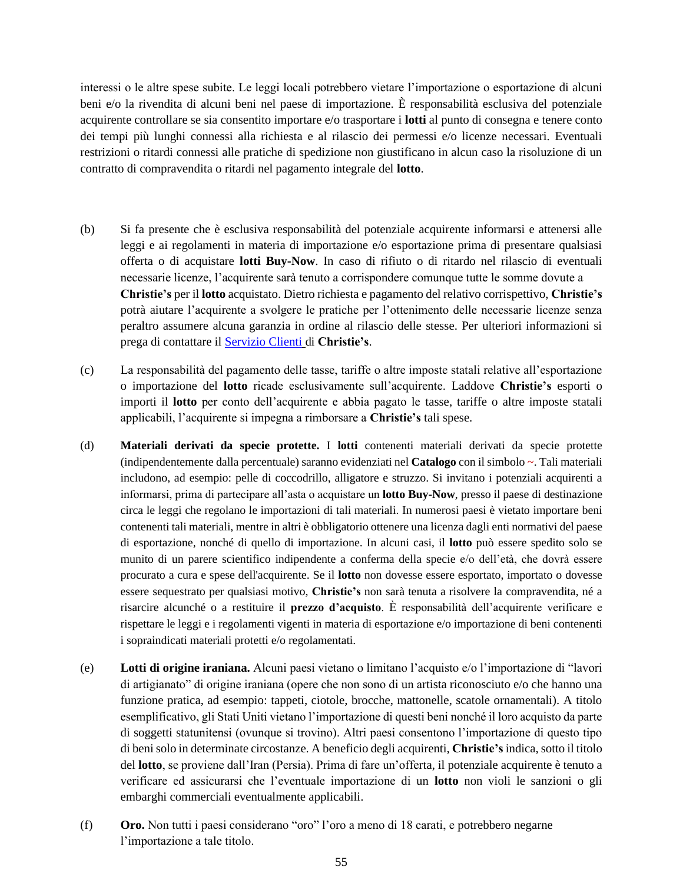interessi o le altre spese subite. Le leggi locali potrebbero vietare l'importazione o esportazione di alcuni beni e/o la rivendita di alcuni beni nel paese di importazione. È responsabilità esclusiva del potenziale acquirente controllare se sia consentito importare e/o trasportare i **lotti** al punto di consegna e tenere conto dei tempi più lunghi connessi alla richiesta e al rilascio dei permessi e/o licenze necessari. Eventuali restrizioni o ritardi connessi alle pratiche di spedizione non giustificano in alcun caso la risoluzione di un contratto di compravendita o ritardi nel pagamento integrale del **lotto**.

- (b) Si fa presente che è esclusiva responsabilità del potenziale acquirente informarsi e attenersi alle leggi e ai regolamenti in materia di importazione e/o esportazione prima di presentare qualsiasi offerta o di acquistare **lotti Buy-Now**. In caso di rifiuto o di ritardo nel rilascio di eventuali necessarie licenze, l'acquirente sarà tenuto a corrispondere comunque tutte le somme dovute a **Christie's** per il **lotto** acquistato. Dietro richiesta e pagamento del relativo corrispettivo, **Christie's**  potrà aiutare l'acquirente a svolgere le pratiche per l'ottenimento delle necessarie licenze senza peraltro assumere alcuna garanzia in ordine al rilascio delle stesse. Per ulteriori informazioni si prega di contattare il [Servizio Clienti](http://www.christies.com/about-us/contact/client-services/) di **Christie's**.
- (c) La responsabilità del pagamento delle tasse, tariffe o altre imposte statali relative all'esportazione o importazione del **lotto** ricade esclusivamente sull'acquirente. Laddove **Christie's** esporti o importi il **lotto** per conto dell'acquirente e abbia pagato le tasse, tariffe o altre imposte statali applicabili, l'acquirente si impegna a rimborsare a **Christie's** tali spese.
- (d) **Materiali derivati da specie protette.** I **lotti** contenenti materiali derivati da specie protette (indipendentemente dalla percentuale) saranno evidenziati nel **Catalogo** con il simbolo ~. Tali materiali includono, ad esempio: pelle di coccodrillo, alligatore e struzzo. Si invitano i potenziali acquirenti a informarsi, prima di partecipare all'asta o acquistare un **lotto Buy-Now**, presso il paese di destinazione circa le leggi che regolano le importazioni di tali materiali. In numerosi paesi è vietato importare beni contenenti tali materiali, mentre in altri è obbligatorio ottenere una licenza dagli enti normativi del paese di esportazione, nonché di quello di importazione. In alcuni casi, il **lotto** può essere spedito solo se munito di un parere scientifico indipendente a conferma della specie e/o dell'età, che dovrà essere procurato a cura e spese dell'acquirente. Se il **lotto** non dovesse essere esportato, importato o dovesse essere sequestrato per qualsiasi motivo, **Christie's** non sarà tenuta a risolvere la compravendita, né a risarcire alcunché o a restituire il **prezzo d'acquisto**. È responsabilità dell'acquirente verificare e rispettare le leggi e i regolamenti vigenti in materia di esportazione e/o importazione di beni contenenti i sopraindicati materiali protetti e/o regolamentati.
- (e) **Lotti di origine iraniana.** Alcuni paesi vietano o limitano l'acquisto e/o l'importazione di "lavori di artigianato" di origine iraniana (opere che non sono di un artista riconosciuto e/o che hanno una funzione pratica, ad esempio: tappeti, ciotole, brocche, mattonelle, scatole ornamentali). A titolo esemplificativo, gli Stati Uniti vietano l'importazione di questi beni nonché il loro acquisto da parte di soggetti statunitensi (ovunque si trovino). Altri paesi consentono l'importazione di questo tipo di beni solo in determinate circostanze. A beneficio degli acquirenti, **Christie's**indica, sotto il titolo del **lotto**, se proviene dall'Iran (Persia). Prima di fare un'offerta, il potenziale acquirente è tenuto a verificare ed assicurarsi che l'eventuale importazione di un **lotto** non violi le sanzioni o gli embarghi commerciali eventualmente applicabili.
- (f) **Oro.** Non tutti i paesi considerano "oro" l'oro a meno di 18 carati, e potrebbero negarne l'importazione a tale titolo.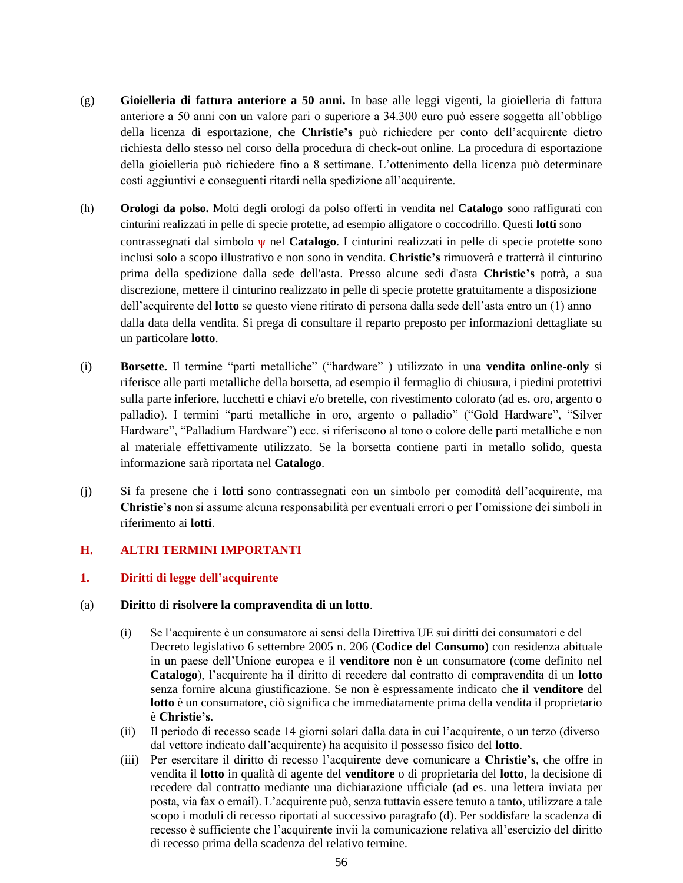- (g) **Gioielleria di fattura anteriore a 50 anni.** In base alle leggi vigenti, la gioielleria di fattura anteriore a 50 anni con un valore pari o superiore a 34.300 euro può essere soggetta all'obbligo della licenza di esportazione, che **Christie's** può richiedere per conto dell'acquirente dietro richiesta dello stesso nel corso della procedura di check-out online. La procedura di esportazione della gioielleria può richiedere fino a 8 settimane. L'ottenimento della licenza può determinare costi aggiuntivi e conseguenti ritardi nella spedizione all'acquirente.
- (h) **Orologi da polso.** Molti degli orologi da polso offerti in vendita nel **Catalogo** sono raffigurati con cinturini realizzati in pelle di specie protette, ad esempio alligatore o coccodrillo. Questi **lotti** sono contrassegnati dal simbolo ψ nel **Catalogo**. I cinturini realizzati in pelle di specie protette sono inclusi solo a scopo illustrativo e non sono in vendita. **Christie's** rimuoverà e tratterrà il cinturino prima della spedizione dalla sede dell'asta. Presso alcune sedi d'asta **Christie's** potrà, a sua discrezione, mettere il cinturino realizzato in pelle di specie protette gratuitamente a disposizione dell'acquirente del **lotto** se questo viene ritirato di persona dalla sede dell'asta entro un (1) anno dalla data della vendita. Si prega di consultare il reparto preposto per informazioni dettagliate su un particolare **lotto**.
- (i) **Borsette.** Il termine "parti metalliche" ("hardware" ) utilizzato in una **vendita online-only** si riferisce alle parti metalliche della borsetta, ad esempio il fermaglio di chiusura, i piedini protettivi sulla parte inferiore, lucchetti e chiavi e/o bretelle, con rivestimento colorato (ad es. oro, argento o palladio). I termini "parti metalliche in oro, argento o palladio" ("Gold Hardware", "Silver Hardware", "Palladium Hardware") ecc. si riferiscono al tono o colore delle parti metalliche e non al materiale effettivamente utilizzato. Se la borsetta contiene parti in metallo solido, questa informazione sarà riportata nel **Catalogo**.
- (j) Si fa presene che i **lotti** sono contrassegnati con un simbolo per comodità dell'acquirente, ma **Christie's** non si assume alcuna responsabilità per eventuali errori o per l'omissione dei simboli in riferimento ai **lotti**.

# **H. ALTRI TERMINI IMPORTANTI**

### **1. Diritti di legge dell'acquirente**

### (a) **Diritto di risolvere la compravendita di un lotto**.

- (i) Se l'acquirente è un consumatore ai sensi della Direttiva UE sui diritti dei consumatori e del Decreto legislativo 6 settembre 2005 n. 206 (**Codice del Consumo**) con residenza abituale in un paese dell'Unione europea e il **venditore** non è un consumatore (come definito nel **Catalogo**), l'acquirente ha il diritto di recedere dal contratto di compravendita di un **lotto**  senza fornire alcuna giustificazione. Se non è espressamente indicato che il **venditore** del **lotto** è un consumatore, ciò significa che immediatamente prima della vendita il proprietario è **Christie's**.
- (ii) Il periodo di recesso scade 14 giorni solari dalla data in cui l'acquirente, o un terzo (diverso dal vettore indicato dall'acquirente) ha acquisito il possesso fisico del **lotto**.
- (iii) Per esercitare il diritto di recesso l'acquirente deve comunicare a **Christie's**, che offre in vendita il **lotto** in qualità di agente del **venditore** o di proprietaria del **lotto**, la decisione di recedere dal contratto mediante una dichiarazione ufficiale (ad es. una lettera inviata per posta, via fax o email). L'acquirente può, senza tuttavia essere tenuto a tanto, utilizzare a tale scopo i moduli di recesso riportati al successivo paragrafo (d). Per soddisfare la scadenza di recesso è sufficiente che l'acquirente invii la comunicazione relativa all'esercizio del diritto di recesso prima della scadenza del relativo termine.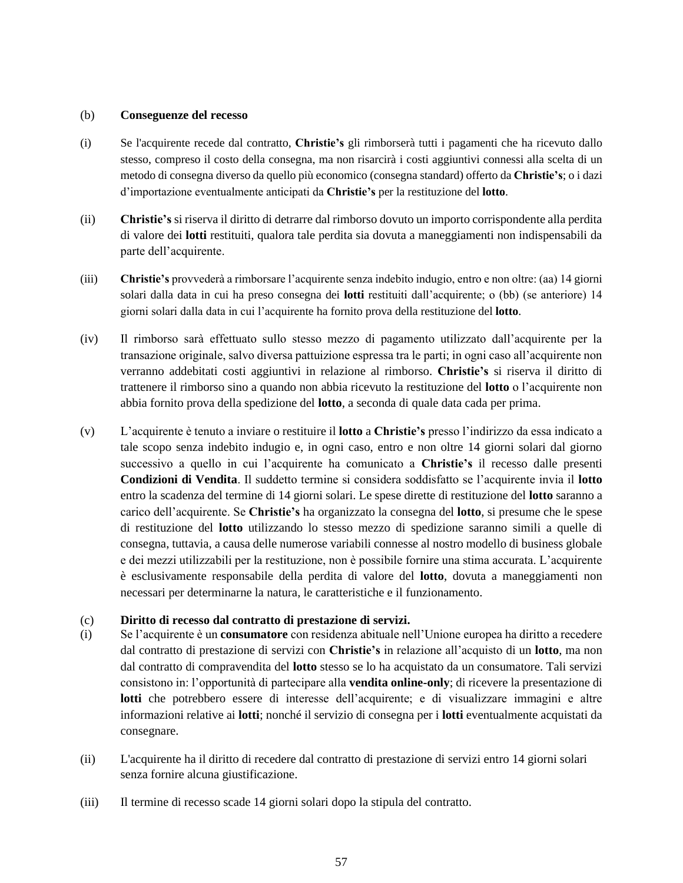#### (b) **Conseguenze del recesso**

- (i) Se l'acquirente recede dal contratto, **Christie's** gli rimborserà tutti i pagamenti che ha ricevuto dallo stesso, compreso il costo della consegna, ma non risarcirà i costi aggiuntivi connessi alla scelta di un metodo di consegna diverso da quello più economico (consegna standard) offerto da **Christie's**; o i dazi d'importazione eventualmente anticipati da **Christie's** per la restituzione del **lotto**.
- (ii) **Christie's** si riserva il diritto di detrarre dal rimborso dovuto un importo corrispondente alla perdita di valore dei **lotti** restituiti, qualora tale perdita sia dovuta a maneggiamenti non indispensabili da parte dell'acquirente.
- (iii) **Christie's** provvederà a rimborsare l'acquirente senza indebito indugio, entro e non oltre: (aa) 14 giorni solari dalla data in cui ha preso consegna dei **lotti** restituiti dall'acquirente; o (bb) (se anteriore) 14 giorni solari dalla data in cui l'acquirente ha fornito prova della restituzione del **lotto**.
- (iv) Il rimborso sarà effettuato sullo stesso mezzo di pagamento utilizzato dall'acquirente per la transazione originale, salvo diversa pattuizione espressa tra le parti; in ogni caso all'acquirente non verranno addebitati costi aggiuntivi in relazione al rimborso. **Christie's** si riserva il diritto di trattenere il rimborso sino a quando non abbia ricevuto la restituzione del **lotto** o l'acquirente non abbia fornito prova della spedizione del **lotto**, a seconda di quale data cada per prima.
- (v) L'acquirente è tenuto a inviare o restituire il **lotto** a **Christie's** presso l'indirizzo da essa indicato a tale scopo senza indebito indugio e, in ogni caso, entro e non oltre 14 giorni solari dal giorno successivo a quello in cui l'acquirente ha comunicato a **Christie's** il recesso dalle presenti **Condizioni di Vendita**. Il suddetto termine si considera soddisfatto se l'acquirente invia il **lotto**  entro la scadenza del termine di 14 giorni solari. Le spese dirette di restituzione del **lotto** saranno a carico dell'acquirente. Se **Christie's** ha organizzato la consegna del **lotto**, si presume che le spese di restituzione del **lotto** utilizzando lo stesso mezzo di spedizione saranno simili a quelle di consegna, tuttavia, a causa delle numerose variabili connesse al nostro modello di business globale e dei mezzi utilizzabili per la restituzione, non è possibile fornire una stima accurata. L'acquirente è esclusivamente responsabile della perdita di valore del **lotto**, dovuta a maneggiamenti non necessari per determinarne la natura, le caratteristiche e il funzionamento.

#### (c) **Diritto di recesso dal contratto di prestazione di servizi.**

- (i) Se l'acquirente è un **consumatore** con residenza abituale nell'Unione europea ha diritto a recedere dal contratto di prestazione di servizi con **Christie's** in relazione all'acquisto di un **lotto**, ma non dal contratto di compravendita del **lotto** stesso se lo ha acquistato da un consumatore. Tali servizi consistono in: l'opportunità di partecipare alla **vendita online-only**; di ricevere la presentazione di **lotti** che potrebbero essere di interesse dell'acquirente; e di visualizzare immagini e altre informazioni relative ai **lotti**; nonché il servizio di consegna per i **lotti** eventualmente acquistati da consegnare.
- (ii) L'acquirente ha il diritto di recedere dal contratto di prestazione di servizi entro 14 giorni solari senza fornire alcuna giustificazione.
- (iii) Il termine di recesso scade 14 giorni solari dopo la stipula del contratto.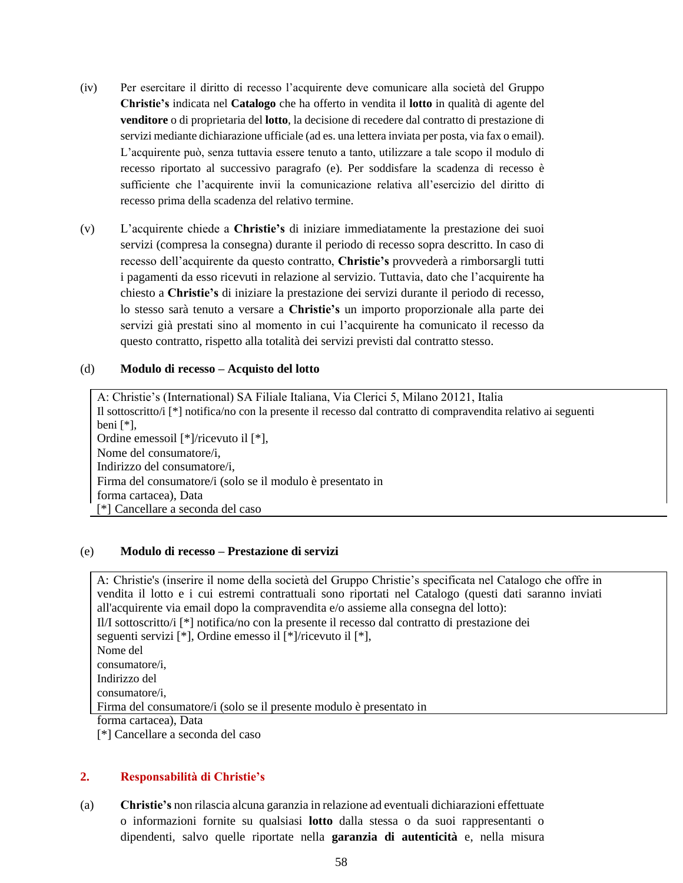- (iv) Per esercitare il diritto di recesso l'acquirente deve comunicare alla società del Gruppo **Christie's** indicata nel **Catalogo** che ha offerto in vendita il **lotto** in qualità di agente del **venditore** o di proprietaria del **lotto**, la decisione di recedere dal contratto di prestazione di servizi mediante dichiarazione ufficiale (ad es. una lettera inviata per posta, via fax o email). L'acquirente può, senza tuttavia essere tenuto a tanto, utilizzare a tale scopo il modulo di recesso riportato al successivo paragrafo (e). Per soddisfare la scadenza di recesso è sufficiente che l'acquirente invii la comunicazione relativa all'esercizio del diritto di recesso prima della scadenza del relativo termine.
- (v) L'acquirente chiede a **Christie's** di iniziare immediatamente la prestazione dei suoi servizi (compresa la consegna) durante il periodo di recesso sopra descritto. In caso di recesso dell'acquirente da questo contratto, **Christie's** provvederà a rimborsargli tutti i pagamenti da esso ricevuti in relazione al servizio. Tuttavia, dato che l'acquirente ha chiesto a **Christie's** di iniziare la prestazione dei servizi durante il periodo di recesso, lo stesso sarà tenuto a versare a **Christie's** un importo proporzionale alla parte dei servizi già prestati sino al momento in cui l'acquirente ha comunicato il recesso da questo contratto, rispetto alla totalità dei servizi previsti dal contratto stesso.

### (d) **Modulo di recesso – Acquisto del lotto**

A: Christie's (International) SA Filiale Italiana, Via Clerici 5, Milano 20121, Italia Il sottoscritto/i [\*] notifica/no con la presente il recesso dal contratto di compravendita relativo ai seguenti beni [\*], Ordine emessoil [\*]/ricevuto il [\*], Nome del consumatore/i, Indirizzo del consumatore/i, Firma del consumatore/i (solo se il modulo è presentato in forma cartacea), Data [\*] Cancellare a seconda del caso

### (e) **Modulo di recesso – Prestazione di servizi**

A: Christie's (inserire il nome della società del Gruppo Christie's specificata nel Catalogo che offre in vendita il lotto e i cui estremi contrattuali sono riportati nel Catalogo (questi dati saranno inviati all'acquirente via email dopo la compravendita e/o assieme alla consegna del lotto): Il/I sottoscritto/i [\*] notifica/no con la presente il recesso dal contratto di prestazione dei seguenti servizi [\*], Ordine emesso il [\*]/ricevuto il [\*], Nome del consumatore/i, Indirizzo del consumatore/i, Firma del consumatore/i (solo se il presente modulo è presentato in forma cartacea), Data [\*] Cancellare a seconda del caso

### **2. Responsabilità di Christie's**

(a) **Christie's** non rilascia alcuna garanzia in relazione ad eventuali dichiarazioni effettuate o informazioni fornite su qualsiasi **lotto** dalla stessa o da suoi rappresentanti o dipendenti, salvo quelle riportate nella **garanzia di autenticità** e, nella misura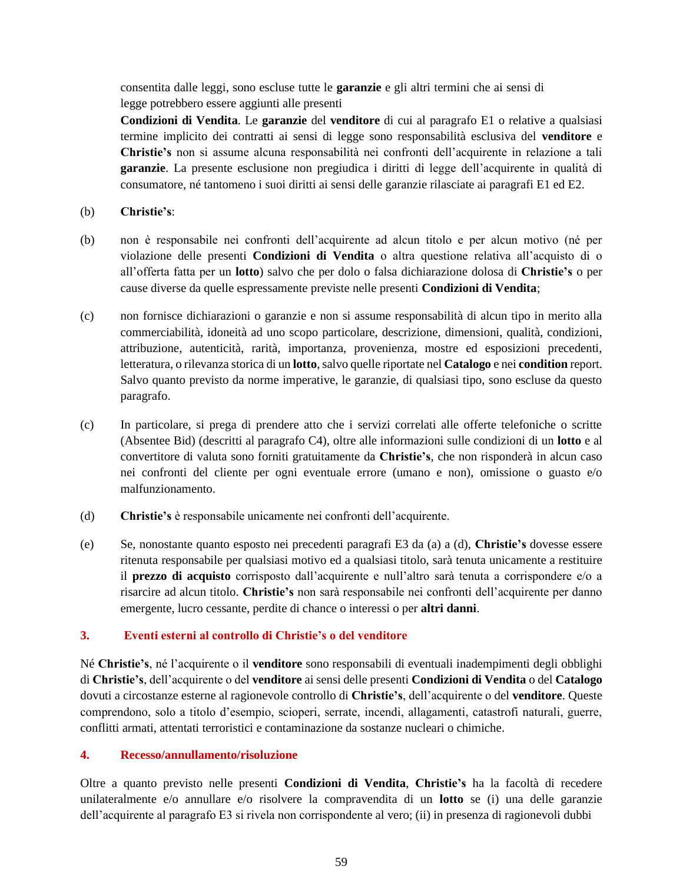consentita dalle leggi, sono escluse tutte le **garanzie** e gli altri termini che ai sensi di legge potrebbero essere aggiunti alle presenti

**Condizioni di Vendita**. Le **garanzie** del **venditore** di cui al paragrafo E1 o relative a qualsiasi termine implicito dei contratti ai sensi di legge sono responsabilità esclusiva del **venditore** e **Christie's** non si assume alcuna responsabilità nei confronti dell'acquirente in relazione a tali **garanzie**. La presente esclusione non pregiudica i diritti di legge dell'acquirente in qualità di consumatore, né tantomeno i suoi diritti ai sensi delle garanzie rilasciate ai paragrafi E1 ed E2.

## (b) **Christie's**:

- (b) non è responsabile nei confronti dell'acquirente ad alcun titolo e per alcun motivo (né per violazione delle presenti **Condizioni di Vendita** o altra questione relativa all'acquisto di o all'offerta fatta per un **lotto**) salvo che per dolo o falsa dichiarazione dolosa di **Christie's** o per cause diverse da quelle espressamente previste nelle presenti **Condizioni di Vendita**;
- (c) non fornisce dichiarazioni o garanzie e non si assume responsabilità di alcun tipo in merito alla commerciabilità, idoneità ad uno scopo particolare, descrizione, dimensioni, qualità, condizioni, attribuzione, autenticità, rarità, importanza, provenienza, mostre ed esposizioni precedenti, letteratura, o rilevanza storica di un **lotto**, salvo quelle riportate nel **Catalogo** e nei **condition** report. Salvo quanto previsto da norme imperative, le garanzie, di qualsiasi tipo, sono escluse da questo paragrafo.
- (c) In particolare, si prega di prendere atto che i servizi correlati alle offerte telefoniche o scritte (Absentee Bid) (descritti al paragrafo C4), oltre alle informazioni sulle condizioni di un **lotto** e al convertitore di valuta sono forniti gratuitamente da **Christie's**, che non risponderà in alcun caso nei confronti del cliente per ogni eventuale errore (umano e non), omissione o guasto e/o malfunzionamento.
- (d) **Christie's** è responsabile unicamente nei confronti dell'acquirente.
- (e) Se, nonostante quanto esposto nei precedenti paragrafi E3 da (a) a (d), **Christie's** dovesse essere ritenuta responsabile per qualsiasi motivo ed a qualsiasi titolo, sarà tenuta unicamente a restituire il **prezzo di acquisto** corrisposto dall'acquirente e null'altro sarà tenuta a corrispondere e/o a risarcire ad alcun titolo. **Christie's** non sarà responsabile nei confronti dell'acquirente per danno emergente, lucro cessante, perdite di chance o interessi o per **altri danni**.

### **3. Eventi esterni al controllo di Christie's o del venditore**

Né **Christie's**, né l'acquirente o il **venditore** sono responsabili di eventuali inadempimenti degli obblighi di **Christie's**, dell'acquirente o del **venditore** ai sensi delle presenti **Condizioni di Vendita** o del **Catalogo** dovuti a circostanze esterne al ragionevole controllo di **Christie's**, dell'acquirente o del **venditore**. Queste comprendono, solo a titolo d'esempio, scioperi, serrate, incendi, allagamenti, catastrofi naturali, guerre, conflitti armati, attentati terroristici e contaminazione da sostanze nucleari o chimiche.

### **4. Recesso/annullamento/risoluzione**

Oltre a quanto previsto nelle presenti **Condizioni di Vendita**, **Christie's** ha la facoltà di recedere unilateralmente e/o annullare e/o risolvere la compravendita di un **lotto** se (i) una delle garanzie dell'acquirente al paragrafo E3 si rivela non corrispondente al vero; (ii) in presenza di ragionevoli dubbi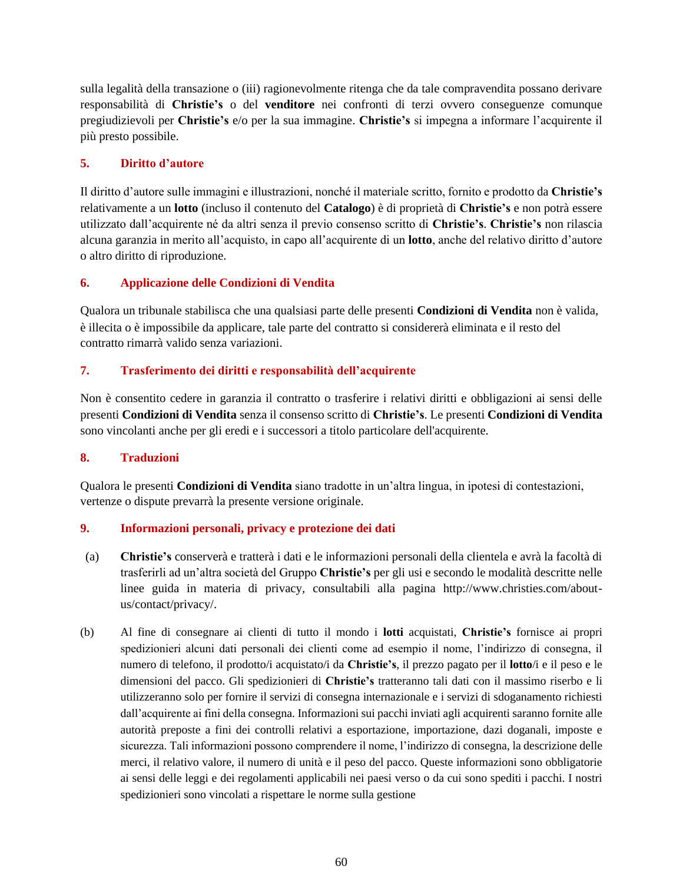sulla legalità della transazione o (iii) ragionevolmente ritenga che da tale compravendita possano derivare responsabilità di **Christie's** o del **venditore** nei confronti di terzi ovvero conseguenze comunque pregiudizievoli per **Christie's** e/o per la sua immagine. **Christie's** si impegna a informare l'acquirente il più presto possibile.

# **5. Diritto d'autore**

Il diritto d'autore sulle immagini e illustrazioni, nonché il materiale scritto, fornito e prodotto da **Christie's** relativamente a un **lotto** (incluso il contenuto del **Catalogo**) è di proprietà di **Christie's** e non potrà essere utilizzato dall'acquirente né da altri senza il previo consenso scritto di **Christie's**. **Christie's** non rilascia alcuna garanzia in merito all'acquisto, in capo all'acquirente di un **lotto**, anche del relativo diritto d'autore o altro diritto di riproduzione.

# **6. Applicazione delle Condizioni di Vendita**

Qualora un tribunale stabilisca che una qualsiasi parte delle presenti **Condizioni di Vendita** non è valida, è illecita o è impossibile da applicare, tale parte del contratto si considererà eliminata e il resto del contratto rimarrà valido senza variazioni.

# **7. Trasferimento dei diritti e responsabilità dell'acquirente**

Non è consentito cedere in garanzia il contratto o trasferire i relativi diritti e obbligazioni ai sensi delle presenti **Condizioni di Vendita** senza il consenso scritto di **Christie's**. Le presenti **Condizioni di Vendita** sono vincolanti anche per gli eredi e i successori a titolo particolare dell'acquirente.

# **8. Traduzioni**

Qualora le presenti **Condizioni di Vendita** siano tradotte in un'altra lingua, in ipotesi di contestazioni, vertenze o dispute prevarrà la presente versione originale.

# **9. Informazioni personali, privacy e protezione dei dati**

- (a) **Christie's** conserverà e tratterà i dati e le informazioni personali della clientela e avrà la facoltà di trasferirli ad un'altra società del Gruppo **Christie's** per gli usi e secondo le modalità descritte nelle linee guida in materia di privacy, consultabili alla pagina http://www.christies.com/aboutus/contact/privacy/.
- (b) Al fine di consegnare ai clienti di tutto il mondo i **lotti** acquistati, **Christie's** fornisce ai propri spedizionieri alcuni dati personali dei clienti come ad esempio il nome, l'indirizzo di consegna, il numero di telefono, il prodotto/i acquistato/i da **Christie's**, il prezzo pagato per il **lotto**/i e il peso e le dimensioni del pacco. Gli spedizionieri di **Christie's** tratteranno tali dati con il massimo riserbo e li utilizzeranno solo per fornire il servizi di consegna internazionale e i servizi di sdoganamento richiesti dall'acquirente ai fini della consegna. Informazioni sui pacchi inviati agli acquirenti saranno fornite alle autorità preposte a fini dei controlli relativi a esportazione, importazione, dazi doganali, imposte e sicurezza. Tali informazioni possono comprendere il nome, l'indirizzo di consegna, la descrizione delle merci, il relativo valore, il numero di unità e il peso del pacco. Queste informazioni sono obbligatorie ai sensi delle leggi e dei regolamenti applicabili nei paesi verso o da cui sono spediti i pacchi. I nostri spedizionieri sono vincolati a rispettare le norme sulla gestione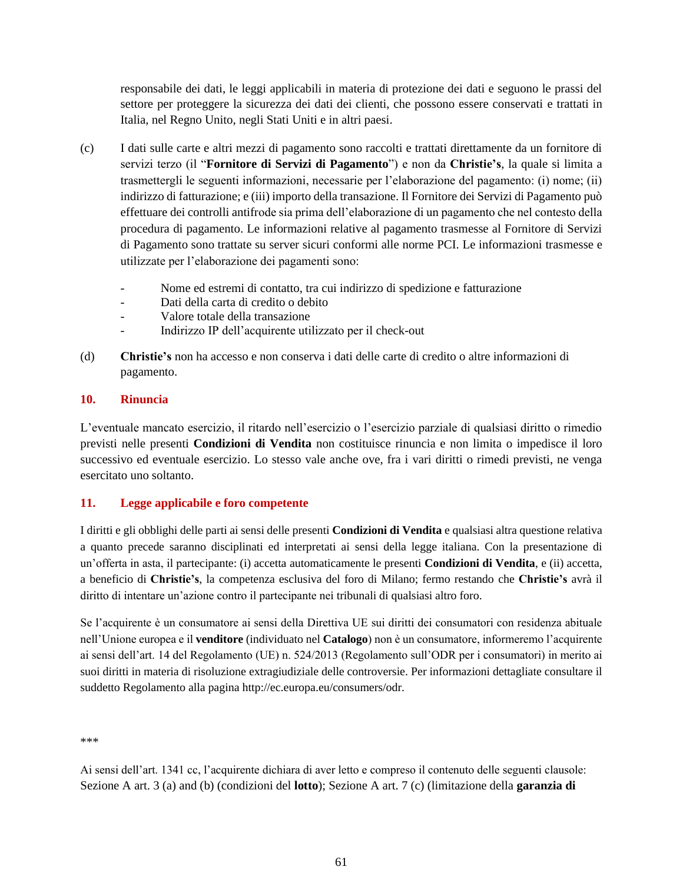responsabile dei dati, le leggi applicabili in materia di protezione dei dati e seguono le prassi del settore per proteggere la sicurezza dei dati dei clienti, che possono essere conservati e trattati in Italia, nel Regno Unito, negli Stati Uniti e in altri paesi.

- (c) I dati sulle carte e altri mezzi di pagamento sono raccolti e trattati direttamente da un fornitore di servizi terzo (il "**Fornitore di Servizi di Pagamento**") e non da **Christie's**, la quale si limita a trasmettergli le seguenti informazioni, necessarie per l'elaborazione del pagamento: (i) nome; (ii) indirizzo di fatturazione; e (iii) importo della transazione. Il Fornitore dei Servizi di Pagamento può effettuare dei controlli antifrode sia prima dell'elaborazione di un pagamento che nel contesto della procedura di pagamento. Le informazioni relative al pagamento trasmesse al Fornitore di Servizi di Pagamento sono trattate su server sicuri conformi alle norme PCI. Le informazioni trasmesse e utilizzate per l'elaborazione dei pagamenti sono:
	- Nome ed estremi di contatto, tra cui indirizzo di spedizione e fatturazione
	- Dati della carta di credito o debito
	- Valore totale della transazione
	- Indirizzo IP dell'acquirente utilizzato per il check-out
- (d) **Christie's** non ha accesso e non conserva i dati delle carte di credito o altre informazioni di pagamento.

## **10. Rinuncia**

L'eventuale mancato esercizio, il ritardo nell'esercizio o l'esercizio parziale di qualsiasi diritto o rimedio previsti nelle presenti **Condizioni di Vendita** non costituisce rinuncia e non limita o impedisce il loro successivo ed eventuale esercizio. Lo stesso vale anche ove, fra i vari diritti o rimedi previsti, ne venga esercitato uno soltanto.

# **11. Legge applicabile e foro competente**

I diritti e gli obblighi delle parti ai sensi delle presenti **Condizioni di Vendita** e qualsiasi altra questione relativa a quanto precede saranno disciplinati ed interpretati ai sensi della legge italiana. Con la presentazione di un'offerta in asta, il partecipante: (i) accetta automaticamente le presenti **Condizioni di Vendita**, e (ii) accetta, a beneficio di **Christie's**, la competenza esclusiva del foro di Milano; fermo restando che **Christie's** avrà il diritto di intentare un'azione contro il partecipante nei tribunali di qualsiasi altro foro.

Se l'acquirente è un consumatore ai sensi della Direttiva UE sui diritti dei consumatori con residenza abituale nell'Unione europea e il **venditore** (individuato nel **Catalogo**) non è un consumatore, informeremo l'acquirente ai sensi dell'art. 14 del Regolamento (UE) n. 524/2013 (Regolamento sull'ODR per i consumatori) in merito ai suoi diritti in materia di risoluzione extragiudiziale delle controversie. Per informazioni dettagliate consultare il suddetto Regolamento alla pagina http://ec.europa.eu/consumers/odr.

\*\*\*

Ai sensi dell'art. 1341 cc, l'acquirente dichiara di aver letto e compreso il contenuto delle seguenti clausole: Sezione A art. 3 (a) and (b) (condizioni del **lotto**); Sezione A art. 7 (c) (limitazione della **garanzia di**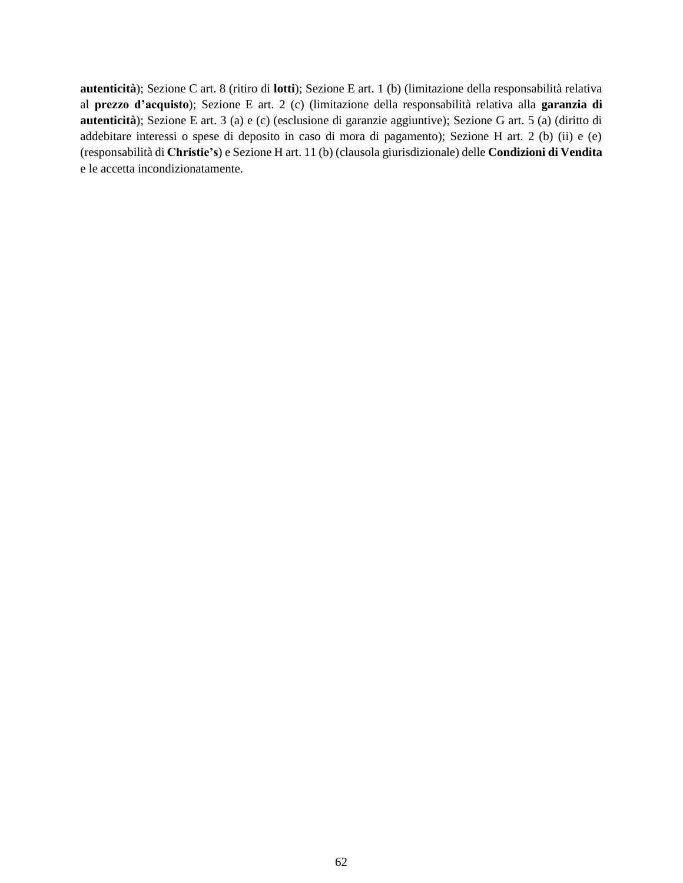**autenticità**); Sezione C art. 8 (ritiro di **lotti**); Sezione E art. 1 (b) (limitazione della responsabilità relativa al **prezzo d'acquisto**); Sezione E art. 2 (c) (limitazione della responsabilità relativa alla **garanzia di autenticità**); Sezione E art. 3 (a) e (c) (esclusione di garanzie aggiuntive); Sezione G art. 5 (a) (diritto di addebitare interessi o spese di deposito in caso di mora di pagamento); Sezione H art. 2 (b) (ii) e (e) (responsabilità di **Christie's**) e Sezione H art. 11 (b) (clausola giurisdizionale) delle **Condizioni di Vendita** e le accetta incondizionatamente.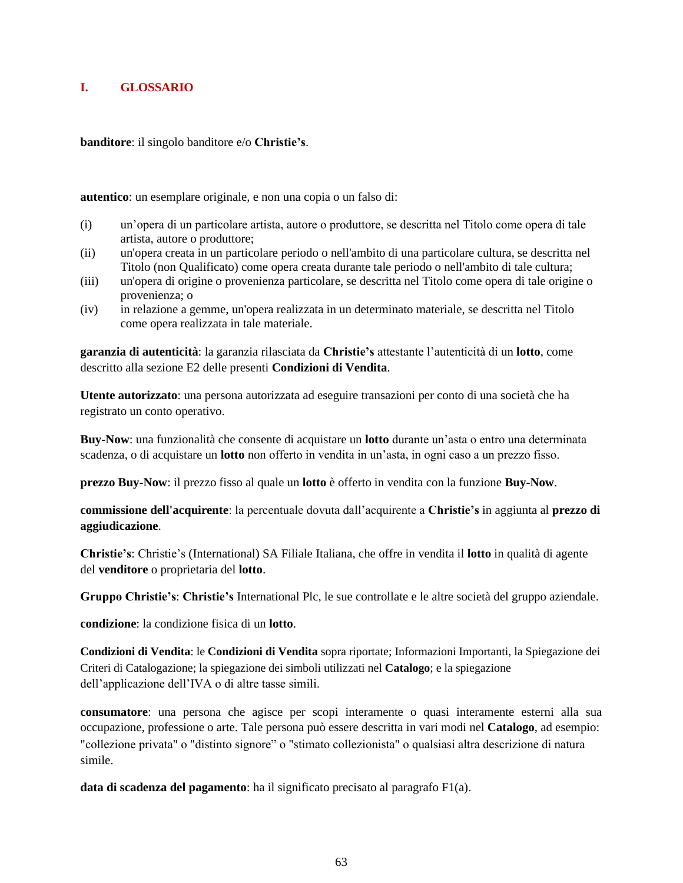### **I. GLOSSARIO**

**banditore**: il singolo banditore e/o **Christie's**.

**autentico**: un esemplare originale, e non una copia o un falso di:

- (i) un'opera di un particolare artista, autore o produttore, se descritta nel Titolo come opera di tale artista, autore o produttore;
- (ii) un'opera creata in un particolare periodo o nell'ambito di una particolare cultura, se descritta nel Titolo (non Qualificato) come opera creata durante tale periodo o nell'ambito di tale cultura;
- (iii) un'opera di origine o provenienza particolare, se descritta nel Titolo come opera di tale origine o provenienza; o
- (iv) in relazione a gemme, un'opera realizzata in un determinato materiale, se descritta nel Titolo come opera realizzata in tale materiale.

**garanzia di autenticità**: la garanzia rilasciata da **Christie's** attestante l'autenticità di un **lotto**, come descritto alla sezione E2 delle presenti **Condizioni di Vendita**.

**Utente autorizzato**: una persona autorizzata ad eseguire transazioni per conto di una società che ha registrato un conto operativo.

**Buy-Now**: una funzionalità che consente di acquistare un **lotto** durante un'asta o entro una determinata scadenza, o di acquistare un **lotto** non offerto in vendita in un'asta, in ogni caso a un prezzo fisso.

**prezzo Buy-Now**: il prezzo fisso al quale un **lotto** è offerto in vendita con la funzione **Buy-Now**.

**commissione dell'acquirente**: la percentuale dovuta dall'acquirente a **Christie's** in aggiunta al **prezzo di aggiudicazione**.

**Christie's**: Christie's (International) SA Filiale Italiana, che offre in vendita il **lotto** in qualità di agente del **venditore** o proprietaria del **lotto**.

**Gruppo Christie's**: **Christie's** International Plc, le sue controllate e le altre società del gruppo aziendale.

**condizione**: la condizione fisica di un **lotto**.

**Condizioni di Vendita**: le **Condizioni di Vendita** sopra riportate; Informazioni Importanti, la Spiegazione dei Criteri di Catalogazione; la spiegazione dei simboli utilizzati nel **Catalogo**; e la spiegazione dell'applicazione dell'IVA o di altre tasse simili.

**consumatore**: una persona che agisce per scopi interamente o quasi interamente esterni alla sua occupazione, professione o arte. Tale persona può essere descritta in vari modi nel **Catalogo**, ad esempio: "collezione privata" o "distinto signore" o "stimato collezionista" o qualsiasi altra descrizione di natura simile.

**data di scadenza del pagamento**: ha il significato precisato al paragrafo F1(a).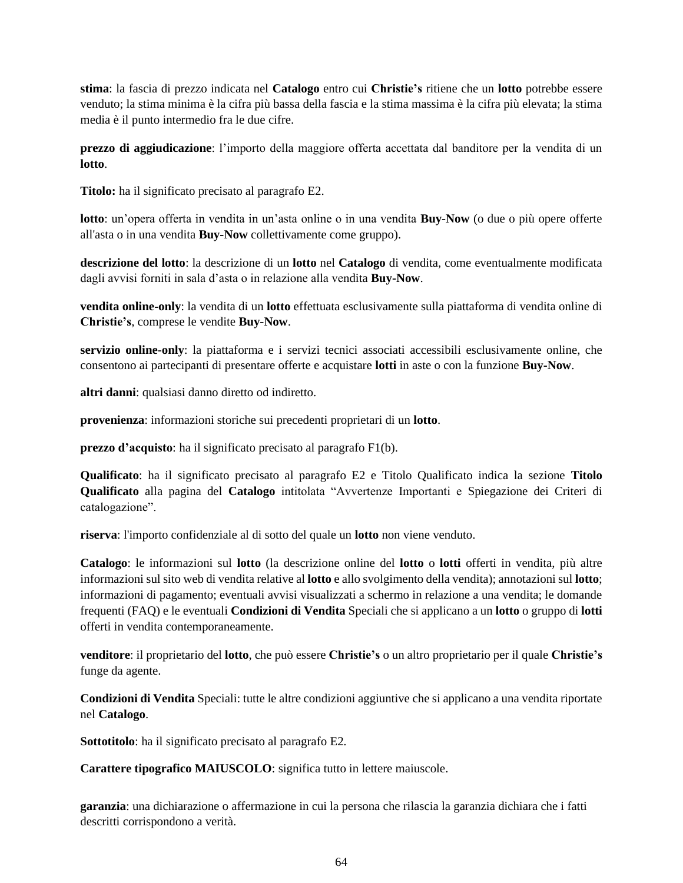**stima**: la fascia di prezzo indicata nel **Catalogo** entro cui **Christie's** ritiene che un **lotto** potrebbe essere venduto; la stima minima è la cifra più bassa della fascia e la stima massima è la cifra più elevata; la stima media è il punto intermedio fra le due cifre.

**prezzo di aggiudicazione**: l'importo della maggiore offerta accettata dal banditore per la vendita di un **lotto**.

**Titolo:** ha il significato precisato al paragrafo E2.

**lotto**: un'opera offerta in vendita in un'asta online o in una vendita **Buy-Now** (o due o più opere offerte all'asta o in una vendita **Buy-Now** collettivamente come gruppo).

**descrizione del lotto**: la descrizione di un **lotto** nel **Catalogo** di vendita, come eventualmente modificata dagli avvisi forniti in sala d'asta o in relazione alla vendita **Buy-Now**.

**vendita online-only**: la vendita di un **lotto** effettuata esclusivamente sulla piattaforma di vendita online di **Christie's**, comprese le vendite **Buy-Now**.

**servizio online-only**: la piattaforma e i servizi tecnici associati accessibili esclusivamente online, che consentono ai partecipanti di presentare offerte e acquistare **lotti** in aste o con la funzione **Buy-Now**.

**altri danni**: qualsiasi danno diretto od indiretto.

**provenienza**: informazioni storiche sui precedenti proprietari di un **lotto**.

**prezzo d'acquisto**: ha il significato precisato al paragrafo F1(b).

**Qualificato**: ha il significato precisato al paragrafo E2 e Titolo Qualificato indica la sezione **Titolo Qualificato** alla pagina del **Catalogo** intitolata "Avvertenze Importanti e Spiegazione dei Criteri di catalogazione".

**riserva**: l'importo confidenziale al di sotto del quale un **lotto** non viene venduto.

**Catalogo**: le informazioni sul **lotto** (la descrizione online del **lotto** o **lotti** offerti in vendita, più altre informazioni sul sito web di vendita relative al **lotto** e allo svolgimento della vendita); annotazioni sul **lotto**; informazioni di pagamento; eventuali avvisi visualizzati a schermo in relazione a una vendita; le domande frequenti (FAQ) e le eventuali **Condizioni di Vendita** Speciali che si applicano a un **lotto** o gruppo di **lotti** offerti in vendita contemporaneamente.

**venditore**: il proprietario del **lotto**, che può essere **Christie's** o un altro proprietario per il quale **Christie's**  funge da agente.

**Condizioni di Vendita** Speciali: tutte le altre condizioni aggiuntive che si applicano a una vendita riportate nel **Catalogo**.

**Sottotitolo**: ha il significato precisato al paragrafo E2.

**Carattere tipografico MAIUSCOLO**: significa tutto in lettere maiuscole.

**garanzia**: una dichiarazione o affermazione in cui la persona che rilascia la garanzia dichiara che i fatti descritti corrispondono a verità.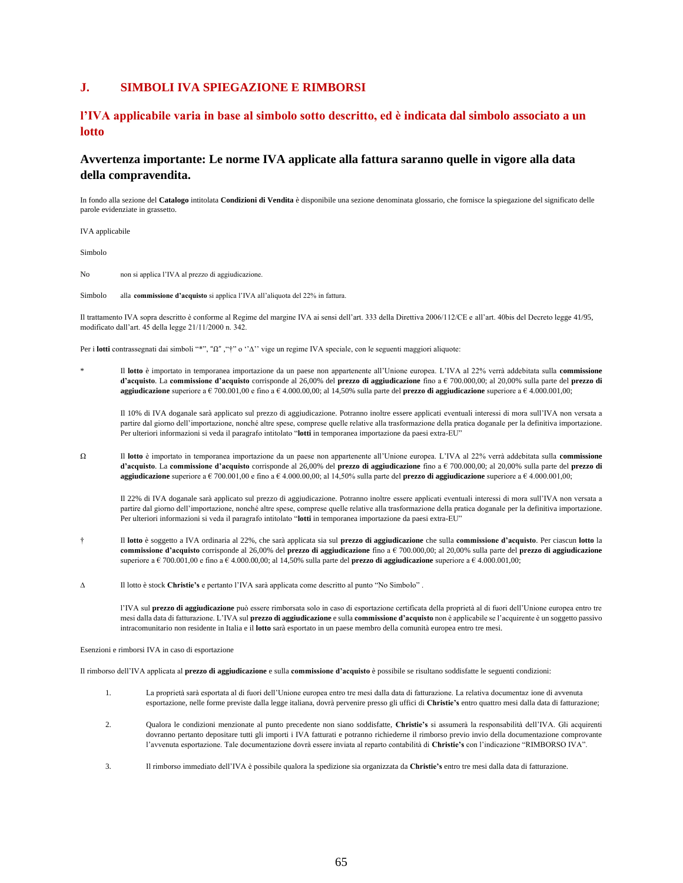#### **J. SIMBOLI IVA SPIEGAZIONE E RIMBORSI**

#### **l'IVA applicabile varia in base al simbolo sotto descritto, ed è indicata dal simbolo associato a un lotto**

### **Avvertenza importante: Le norme IVA applicate alla fattura saranno quelle in vigore alla data della compravendita.**

In fondo alla sezione del **Catalogo** intitolata **Condizioni di Vendita** è disponibile una sezione denominata glossario, che fornisce la spiegazione del significato delle parole evidenziate in grassetto.

IVA applicabile

Simbolo

- No non si applica l'IVA al prezzo di aggiudicazione.
- Simbolo alla **commissione d'acquisto** si applica l'IVA all'aliquota del 22% in fattura.

Il trattamento IVA sopra descritto è conforme al Regime del margine IVA ai sensi dell'art. 333 della Direttiva 2006/112/CE e all'art. 40bis del Decreto legge 41/95, modificato dall'art. 45 della legge 21/11/2000 n. 342.

Per i **lotti** contrassegnati dai simboli "\*", "Ω", "†" o ''∆'' vige un regime IVA speciale, con le seguenti maggiori aliquote:

\* Il **lotto** è importato in temporanea importazione da un paese non appartenente all'Unione europea. L'IVA al 22% verrà addebitata sulla **commissione d'acquisto**. La **commissione d'acquisto** corrisponde al 26,00% del **prezzo di aggiudicazione** fino a € 700.000,00; al 20,00% sulla parte del **prezzo di aggiudicazione** superiore a € 700.001,00 e fino a € 4.000.00,00; al 14,50% sulla parte del **prezzo di aggiudicazione** superiore a € 4.000.001,00;

Il 10% di IVA doganale sarà applicato sul prezzo di aggiudicazione. Potranno inoltre essere applicati eventuali interessi di mora sull'IVA non versata a partire dal giorno dell'importazione, nonché altre spese, comprese quelle relative alla trasformazione della pratica doganale per la definitiva importazione. Per ulteriori informazioni si veda il paragrafo intitolato "**lotti** in temporanea importazione da paesi extra-EU"

Ω Il **lotto** è importato in temporanea importazione da un paese non appartenente all'Unione europea. L'IVA al 22% verrà addebitata sulla **commissione d'acquisto**. La **commissione d'acquisto** corrisponde al 26,00% del **prezzo di aggiudicazione** fino a € 700.000,00; al 20,00% sulla parte del **prezzo di aggiudicazione** superiore a € 700.001,00 e fino a € 4.000.00,00; al 14,50% sulla parte del **prezzo di aggiudicazione** superiore a € 4.000.001,00;

Il 22% di IVA doganale sarà applicato sul prezzo di aggiudicazione. Potranno inoltre essere applicati eventuali interessi di mora sull'IVA non versata a partire dal giorno dell'importazione, nonché altre spese, comprese quelle relative alla trasformazione della pratica doganale per la definitiva importazione. Per ulteriori informazioni si veda il paragrafo intitolato "**lotti** in temporanea importazione da paesi extra-EU"

- † Il **lotto** è soggetto a IVA ordinaria al 22%, che sarà applicata sia sul **prezzo di aggiudicazione** che sulla **commissione d'acquisto**. Per ciascun **lotto** la **commissione d'acquisto** corrisponde al 26,00% del **prezzo di aggiudicazione** fino a € 700.000,00; al 20,00% sulla parte del **prezzo di aggiudicazione**  superiore a € 700.001,00 e fino a € 4.000.00,00; al 14,50% sulla parte del **prezzo di aggiudicazione** superiore a € 4.000.001,00;
- ∆ Il lotto è stock **Christie's** e pertanto l'IVA sarà applicata come descritto al punto "No Simbolo" .

l'IVA sul **prezzo di aggiudicazione** può essere rimborsata solo in caso di esportazione certificata della proprietà al di fuori dell'Unione europea entro tre mesi dalla data di fatturazione. L'IVA sul **prezzo di aggiudicazione** e sulla **commissione d'acquisto** non è applicabile se l'acquirente è un soggetto passivo intracomunitario non residente in Italia e il **lotto** sarà esportato in un paese membro della comunità europea entro tre mesi.

Esenzioni e rimborsi IVA in caso di esportazione

Il rimborso dell'IVA applicata al **prezzo di aggiudicazione** e sulla **commissione d'acquisto** è possibile se risultano soddisfatte le seguenti condizioni:

- 1. La proprietà sarà esportata al di fuori dell'Unione europea entro tre mesi dalla data di fatturazione. La relativa documentaz ione di avvenuta esportazione, nelle forme previste dalla legge italiana, dovrà pervenire presso gli uffici di **Christie's** entro quattro mesi dalla data di fatturazione;
- 2. Qualora le condizioni menzionate al punto precedente non siano soddisfatte, **Christie's** si assumerà la responsabilità dell'IVA. Gli acquirenti dovranno pertanto depositare tutti gli importi i IVA fatturati e potranno richiederne il rimborso previo invio della documentazione comprovante l'avvenuta esportazione. Tale documentazione dovrà essere inviata al reparto contabilità di **Christie's** con l'indicazione "RIMBORSO IVA".
- 3. Il rimborso immediato dell'IVA è possibile qualora la spedizione sia organizzata da **Christie's** entro tre mesi dalla data di fatturazione.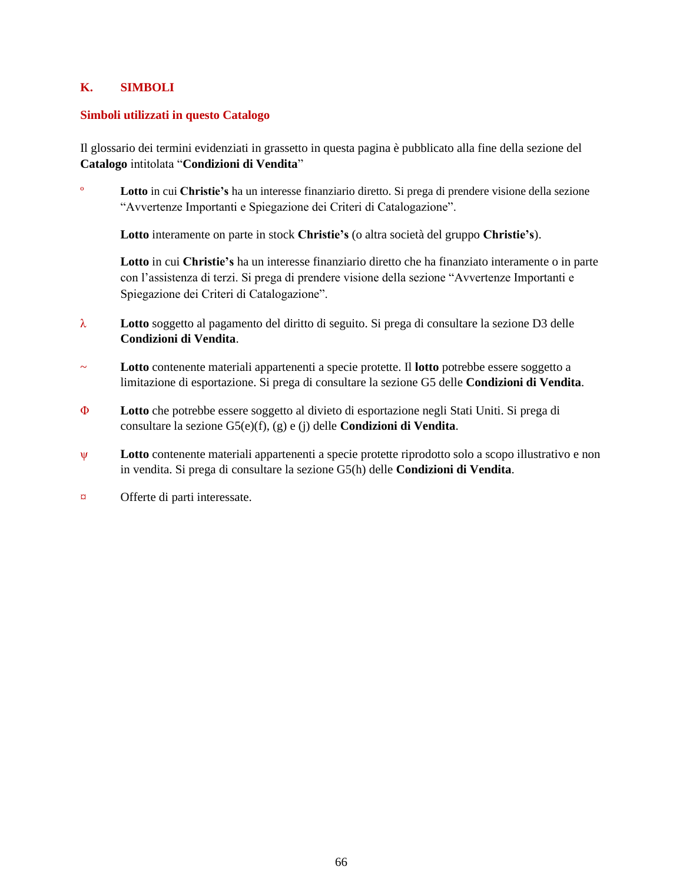# **K. SIMBOLI**

### **Simboli utilizzati in questo Catalogo**

Il glossario dei termini evidenziati in grassetto in questa pagina è pubblicato alla fine della sezione del **Catalogo** intitolata "**Condizioni di Vendita**"

º **Lotto** in cui **Christie's** ha un interesse finanziario diretto. Si prega di prendere visione della sezione "Avvertenze Importanti e Spiegazione dei Criteri di Catalogazione".

**Lotto** interamente on parte in stock **Christie's** (o altra società del gruppo **Christie's**).

**Lotto** in cui **Christie's** ha un interesse finanziario diretto che ha finanziato interamente o in parte con l'assistenza di terzi. Si prega di prendere visione della sezione "Avvertenze Importanti e Spiegazione dei Criteri di Catalogazione".

- λ **Lotto** soggetto al pagamento del diritto di seguito. Si prega di consultare la sezione D3 delle **Condizioni di Vendita**.
- ~ **Lotto** contenente materiali appartenenti a specie protette. Il **lotto** potrebbe essere soggetto a limitazione di esportazione. Si prega di consultare la sezione G5 delle **Condizioni di Vendita**.
- Φ **Lotto** che potrebbe essere soggetto al divieto di esportazione negli Stati Uniti. Si prega di consultare la sezione G5(e)(f), (g) e (j) delle **Condizioni di Vendita**.
- ψ **Lotto** contenente materiali appartenenti a specie protette riprodotto solo a scopo illustrativo e non in vendita. Si prega di consultare la sezione G5(h) delle **Condizioni di Vendita**.
- ¤ Offerte di parti interessate.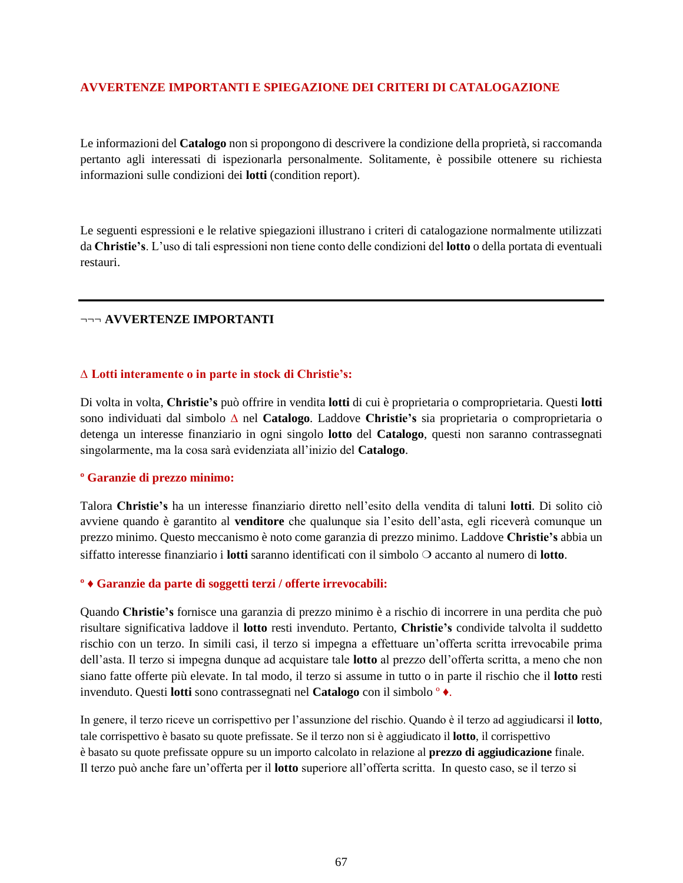### **AVVERTENZE IMPORTANTI E SPIEGAZIONE DEI CRITERI DI CATALOGAZIONE**

Le informazioni del **Catalogo** non si propongono di descrivere la condizione della proprietà, si raccomanda pertanto agli interessati di ispezionarla personalmente. Solitamente, è possibile ottenere su richiesta informazioni sulle condizioni dei **lotti** (condition report).

Le seguenti espressioni e le relative spiegazioni illustrano i criteri di catalogazione normalmente utilizzati da **Christie's**. L'uso di tali espressioni non tiene conto delle condizioni del **lotto** o della portata di eventuali restauri.

### ¬¬¬ **AVVERTENZE IMPORTANTI**

### ∆ **Lotti interamente o in parte in stock di Christie's:**

Di volta in volta, **Christie's** può offrire in vendita **lotti** di cui è proprietaria o comproprietaria. Questi **lotti** sono individuati dal simbolo ∆ nel **Catalogo**. Laddove **Christie's** sia proprietaria o comproprietaria o detenga un interesse finanziario in ogni singolo **lotto** del **Catalogo**, questi non saranno contrassegnati singolarmente, ma la cosa sarà evidenziata all'inizio del **Catalogo**.

### **º Garanzie di prezzo minimo:**

Talora **Christie's** ha un interesse finanziario diretto nell'esito della vendita di taluni **lotti**. Di solito ciò avviene quando è garantito al **venditore** che qualunque sia l'esito dell'asta, egli riceverà comunque un prezzo minimo. Questo meccanismo è noto come garanzia di prezzo minimo. Laddove **Christie's** abbia un siffatto interesse finanziario i **lotti** saranno identificati con il simbolo ❍ accanto al numero di **lotto**.

### **º ♦ Garanzie da parte di soggetti terzi / offerte irrevocabili:**

Quando **Christie's** fornisce una garanzia di prezzo minimo è a rischio di incorrere in una perdita che può risultare significativa laddove il **lotto** resti invenduto. Pertanto, **Christie's** condivide talvolta il suddetto rischio con un terzo. In simili casi, il terzo si impegna a effettuare un'offerta scritta irrevocabile prima dell'asta. Il terzo si impegna dunque ad acquistare tale **lotto** al prezzo dell'offerta scritta, a meno che non siano fatte offerte più elevate. In tal modo, il terzo si assume in tutto o in parte il rischio che il **lotto** resti invenduto. Questi **lotti** sono contrassegnati nel **Catalogo** con il simbolo º ♦.

In genere, il terzo riceve un corrispettivo per l'assunzione del rischio. Quando è il terzo ad aggiudicarsi il **lotto**, tale corrispettivo è basato su quote prefissate. Se il terzo non si è aggiudicato il **lotto**, il corrispettivo è basato su quote prefissate oppure su un importo calcolato in relazione al **prezzo di aggiudicazione** finale. Il terzo può anche fare un'offerta per il **lotto** superiore all'offerta scritta. In questo caso, se il terzo si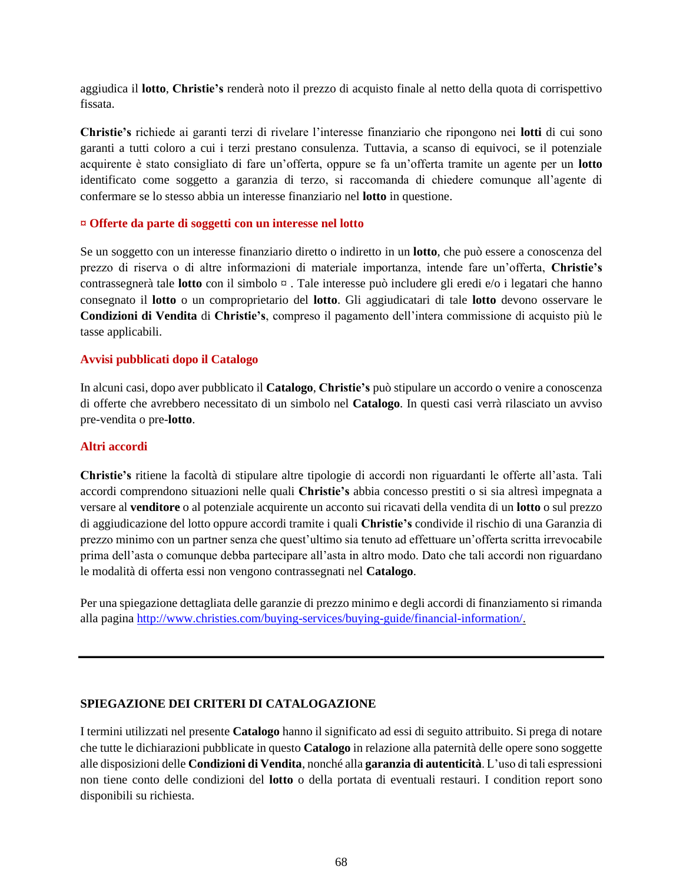aggiudica il **lotto**, **Christie's** renderà noto il prezzo di acquisto finale al netto della quota di corrispettivo fissata.

**Christie's** richiede ai garanti terzi di rivelare l'interesse finanziario che ripongono nei **lotti** di cui sono garanti a tutti coloro a cui i terzi prestano consulenza. Tuttavia, a scanso di equivoci, se il potenziale acquirente è stato consigliato di fare un'offerta, oppure se fa un'offerta tramite un agente per un **lotto** identificato come soggetto a garanzia di terzo, si raccomanda di chiedere comunque all'agente di confermare se lo stesso abbia un interesse finanziario nel **lotto** in questione.

#### **¤ Offerte da parte di soggetti con un interesse nel lotto**

Se un soggetto con un interesse finanziario diretto o indiretto in un **lotto**, che può essere a conoscenza del prezzo di riserva o di altre informazioni di materiale importanza, intende fare un'offerta, **Christie's** contrassegnerà tale **lotto** con il simbolo ¤ . Tale interesse può includere gli eredi e/o i legatari che hanno consegnato il **lotto** o un comproprietario del **lotto**. Gli aggiudicatari di tale **lotto** devono osservare le **Condizioni di Vendita** di **Christie's**, compreso il pagamento dell'intera commissione di acquisto più le tasse applicabili.

### **Avvisi pubblicati dopo il Catalogo**

In alcuni casi, dopo aver pubblicato il **Catalogo**, **Christie's** può stipulare un accordo o venire a conoscenza di offerte che avrebbero necessitato di un simbolo nel **Catalogo**. In questi casi verrà rilasciato un avviso pre-vendita o pre-**lotto**.

### **Altri accordi**

**Christie's** ritiene la facoltà di stipulare altre tipologie di accordi non riguardanti le offerte all'asta. Tali accordi comprendono situazioni nelle quali **Christie's** abbia concesso prestiti o si sia altresì impegnata a versare al **venditore** o al potenziale acquirente un acconto sui ricavati della vendita di un **lotto** o sul prezzo di aggiudicazione del lotto oppure accordi tramite i quali **Christie's** condivide il rischio di una Garanzia di prezzo minimo con un partner senza che quest'ultimo sia tenuto ad effettuare un'offerta scritta irrevocabile prima dell'asta o comunque debba partecipare all'asta in altro modo. Dato che tali accordi non riguardano le modalità di offerta essi non vengono contrassegnati nel **Catalogo**.

Per una spiegazione dettagliata delle garanzie di prezzo minimo e degli accordi di finanziamento si rimanda alla pagin[a http://www.christies.com/buying-services/buying-guide/financial-information/.](http://www.christies.com/buying-services/buying-guide/financial-information/)

### **SPIEGAZIONE DEI CRITERI DI CATALOGAZIONE**

I termini utilizzati nel presente **Catalogo** hanno il significato ad essi di seguito attribuito. Si prega di notare che tutte le dichiarazioni pubblicate in questo **Catalogo** in relazione alla paternità delle opere sono soggette alle disposizioni delle **Condizioni di Vendita**, nonché alla **garanzia di autenticità**. L'uso di tali espressioni non tiene conto delle condizioni del **lotto** o della portata di eventuali restauri. I condition report sono disponibili su richiesta.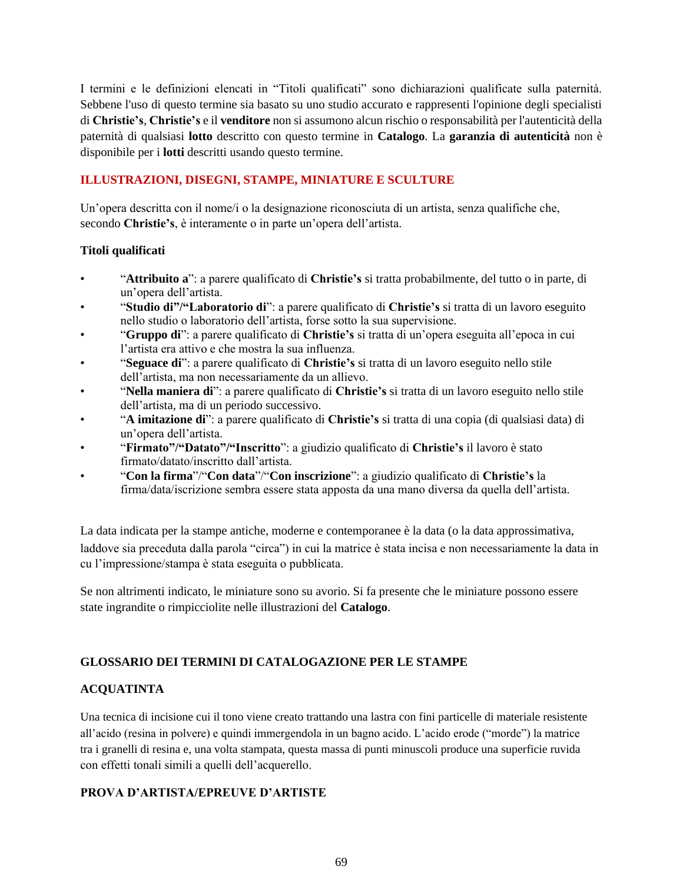I termini e le definizioni elencati in "Titoli qualificati" sono dichiarazioni qualificate sulla paternità. Sebbene l'uso di questo termine sia basato su uno studio accurato e rappresenti l'opinione degli specialisti di **Christie's**, **Christie's** e il **venditore** non si assumono alcun rischio o responsabilità per l'autenticità della paternità di qualsiasi **lotto** descritto con questo termine in **Catalogo**. La **garanzia di autenticità** non è disponibile per i **lotti** descritti usando questo termine.

# **ILLUSTRAZIONI, DISEGNI, STAMPE, MINIATURE E SCULTURE**

Un'opera descritta con il nome/i o la designazione riconosciuta di un artista, senza qualifiche che, secondo **Christie's**, è interamente o in parte un'opera dell'artista.

## **Titoli qualificati**

- "**Attribuito a**": a parere qualificato di **Christie's** si tratta probabilmente, del tutto o in parte, di un'opera dell'artista.
- "**Studio di"/"Laboratorio di**": a parere qualificato di **Christie's** si tratta di un lavoro eseguito nello studio o laboratorio dell'artista, forse sotto la sua supervisione.
- "**Gruppo di**": a parere qualificato di **Christie's** si tratta di un'opera eseguita all'epoca in cui l'artista era attivo e che mostra la sua influenza.
- "**Seguace di**": a parere qualificato di **Christie's** si tratta di un lavoro eseguito nello stile dell'artista, ma non necessariamente da un allievo.
- "**Nella maniera di**": a parere qualificato di **Christie's** si tratta di un lavoro eseguito nello stile dell'artista, ma di un periodo successivo.
- "**A imitazione di**": a parere qualificato di **Christie's** si tratta di una copia (di qualsiasi data) di un'opera dell'artista.
- "**Firmato"/"Datato"/"Inscritto**": a giudizio qualificato di **Christie's** il lavoro è stato firmato/datato/inscritto dall'artista.
- "**Con la firma**"/"**Con data**"/"**Con inscrizione**": a giudizio qualificato di **Christie's** la firma/data/iscrizione sembra essere stata apposta da una mano diversa da quella dell'artista.

La data indicata per la stampe antiche, moderne e contemporanee è la data (o la data approssimativa, laddove sia preceduta dalla parola "circa") in cui la matrice è stata incisa e non necessariamente la data in cu l'impressione/stampa è stata eseguita o pubblicata.

Se non altrimenti indicato, le miniature sono su avorio. Si fa presente che le miniature possono essere state ingrandite o rimpicciolite nelle illustrazioni del **Catalogo**.

# **GLOSSARIO DEI TERMINI DI CATALOGAZIONE PER LE STAMPE**

# **ACQUATINTA**

Una tecnica di incisione cui il tono viene creato trattando una lastra con fini particelle di materiale resistente all'acido (resina in polvere) e quindi immergendola in un bagno acido. L'acido erode ("morde") la matrice tra i granelli di resina e, una volta stampata, questa massa di punti minuscoli produce una superficie ruvida con effetti tonali simili a quelli dell'acquerello.

### **PROVA D'ARTISTA/EPREUVE D'ARTISTE**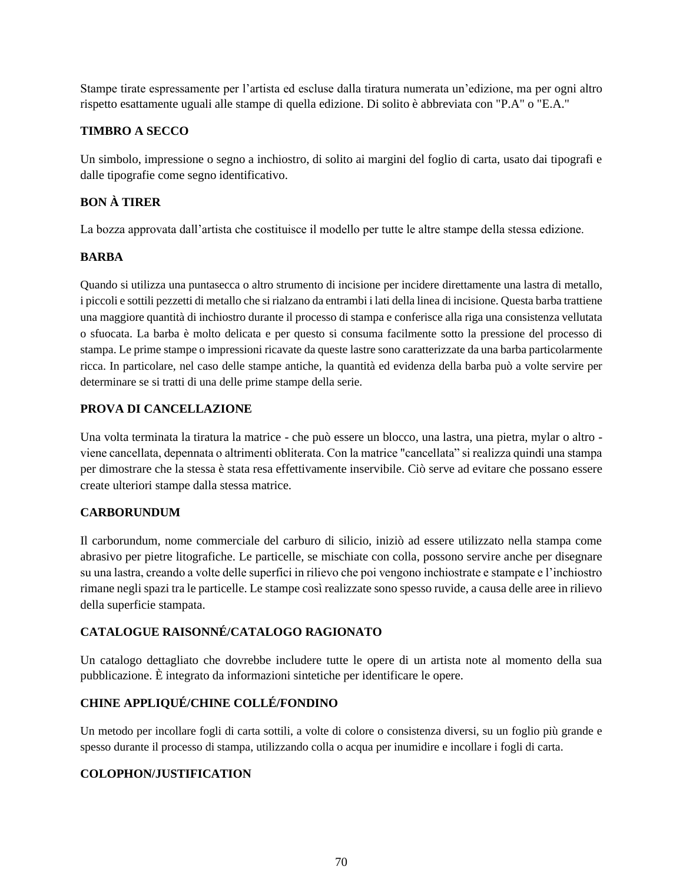Stampe tirate espressamente per l'artista ed escluse dalla tiratura numerata un'edizione, ma per ogni altro rispetto esattamente uguali alle stampe di quella edizione. Di solito è abbreviata con "P.A" o "E.A."

## **TIMBRO A SECCO**

Un simbolo, impressione o segno a inchiostro, di solito ai margini del foglio di carta, usato dai tipografi e dalle tipografie come segno identificativo.

# **BON À TIRER**

La bozza approvata dall'artista che costituisce il modello per tutte le altre stampe della stessa edizione.

## **BARBA**

Quando si utilizza una puntasecca o altro strumento di incisione per incidere direttamente una lastra di metallo, i piccoli e sottili pezzetti di metallo che si rialzano da entrambi i lati della linea di incisione. Questa barba trattiene una maggiore quantità di inchiostro durante il processo di stampa e conferisce alla riga una consistenza vellutata o sfuocata. La barba è molto delicata e per questo si consuma facilmente sotto la pressione del processo di stampa. Le prime stampe o impressioni ricavate da queste lastre sono caratterizzate da una barba particolarmente ricca. In particolare, nel caso delle stampe antiche, la quantità ed evidenza della barba può a volte servire per determinare se si tratti di una delle prime stampe della serie.

## **PROVA DI CANCELLAZIONE**

Una volta terminata la tiratura la matrice - che può essere un blocco, una lastra, una pietra, mylar o altro viene cancellata, depennata o altrimenti obliterata. Con la matrice "cancellata" si realizza quindi una stampa per dimostrare che la stessa è stata resa effettivamente inservibile. Ciò serve ad evitare che possano essere create ulteriori stampe dalla stessa matrice.

### **CARBORUNDUM**

Il carborundum, nome commerciale del carburo di silicio, iniziò ad essere utilizzato nella stampa come abrasivo per pietre litografiche. Le particelle, se mischiate con colla, possono servire anche per disegnare su una lastra, creando a volte delle superfici in rilievo che poi vengono inchiostrate e stampate e l'inchiostro rimane negli spazi tra le particelle. Le stampe così realizzate sono spesso ruvide, a causa delle aree in rilievo della superficie stampata.

# **CATALOGUE RAISONNÉ/CATALOGO RAGIONATO**

Un catalogo dettagliato che dovrebbe includere tutte le opere di un artista note al momento della sua pubblicazione. È integrato da informazioni sintetiche per identificare le opere.

# **CHINE APPLIQUÉ/CHINE COLLÉ/FONDINO**

Un metodo per incollare fogli di carta sottili, a volte di colore o consistenza diversi, su un foglio più grande e spesso durante il processo di stampa, utilizzando colla o acqua per inumidire e incollare i fogli di carta.

### **COLOPHON/JUSTIFICATION**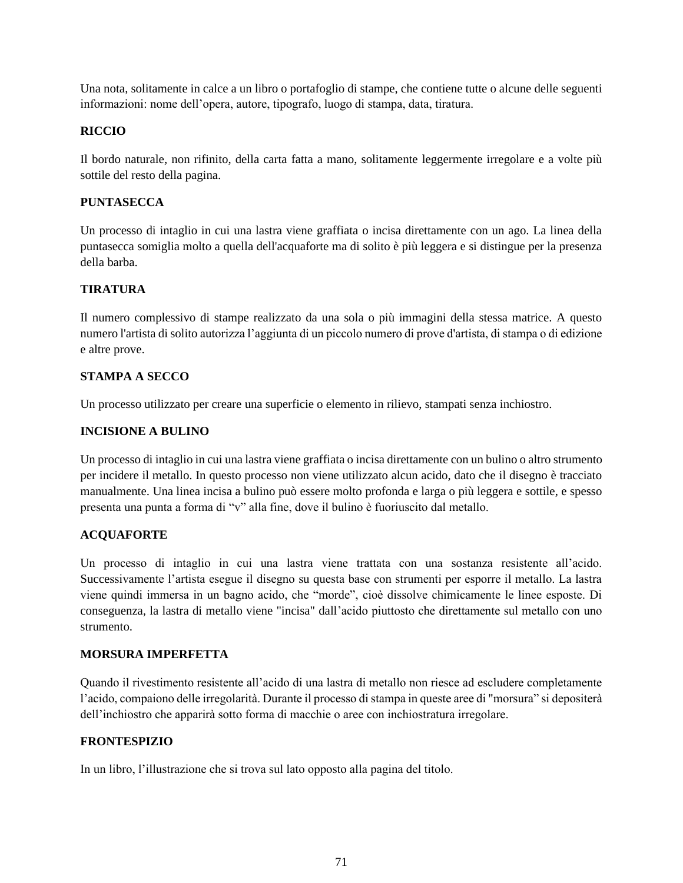Una nota, solitamente in calce a un libro o portafoglio di stampe, che contiene tutte o alcune delle seguenti informazioni: nome dell'opera, autore, tipografo, luogo di stampa, data, tiratura.

### **RICCIO**

Il bordo naturale, non rifinito, della carta fatta a mano, solitamente leggermente irregolare e a volte più sottile del resto della pagina.

### **PUNTASECCA**

Un processo di intaglio in cui una lastra viene graffiata o incisa direttamente con un ago. La linea della puntasecca somiglia molto a quella dell'acquaforte ma di solito è più leggera e si distingue per la presenza della barba.

## **TIRATURA**

Il numero complessivo di stampe realizzato da una sola o più immagini della stessa matrice. A questo numero l'artista di solito autorizza l'aggiunta di un piccolo numero di prove d'artista, di stampa o di edizione e altre prove.

## **STAMPA A SECCO**

Un processo utilizzato per creare una superficie o elemento in rilievo, stampati senza inchiostro.

### **INCISIONE A BULINO**

Un processo di intaglio in cui una lastra viene graffiata o incisa direttamente con un bulino o altro strumento per incidere il metallo. In questo processo non viene utilizzato alcun acido, dato che il disegno è tracciato manualmente. Una linea incisa a bulino può essere molto profonda e larga o più leggera e sottile, e spesso presenta una punta a forma di "v" alla fine, dove il bulino è fuoriuscito dal metallo.

### **ACQUAFORTE**

Un processo di intaglio in cui una lastra viene trattata con una sostanza resistente all'acido. Successivamente l'artista esegue il disegno su questa base con strumenti per esporre il metallo. La lastra viene quindi immersa in un bagno acido, che "morde", cioè dissolve chimicamente le linee esposte. Di conseguenza, la lastra di metallo viene "incisa" dall'acido piuttosto che direttamente sul metallo con uno strumento.

### **MORSURA IMPERFETTA**

Quando il rivestimento resistente all'acido di una lastra di metallo non riesce ad escludere completamente l'acido, compaiono delle irregolarità. Durante il processo di stampa in queste aree di "morsura" si depositerà dell'inchiostro che apparirà sotto forma di macchie o aree con inchiostratura irregolare.

### **FRONTESPIZIO**

In un libro, l'illustrazione che si trova sul lato opposto alla pagina del titolo.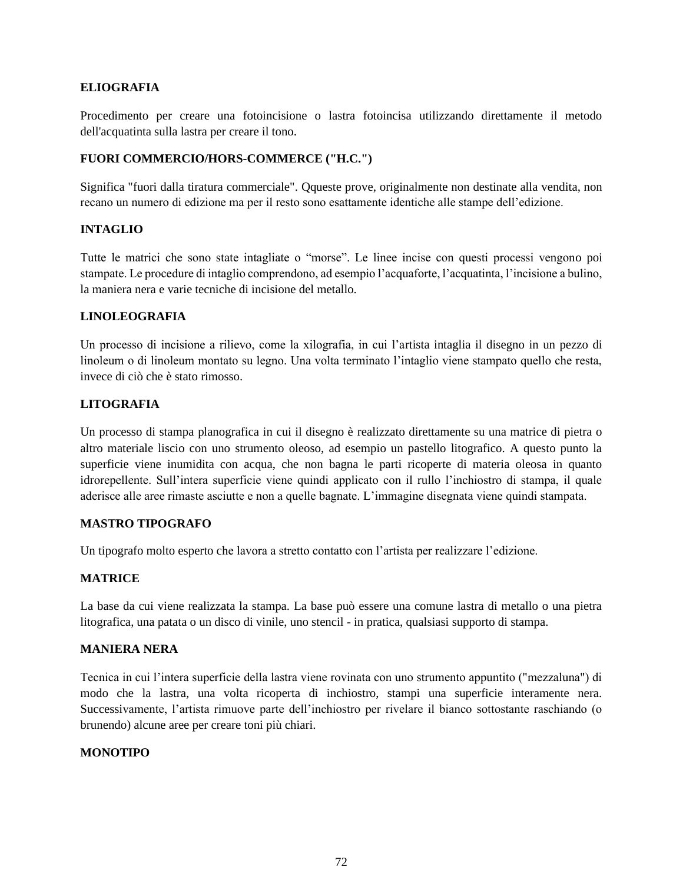### **ELIOGRAFIA**

Procedimento per creare una fotoincisione o lastra fotoincisa utilizzando direttamente il metodo dell'acquatinta sulla lastra per creare il tono.

### **FUORI COMMERCIO/HORS-COMMERCE ("H.C.")**

Significa "fuori dalla tiratura commerciale". Qqueste prove, originalmente non destinate alla vendita, non recano un numero di edizione ma per il resto sono esattamente identiche alle stampe dell'edizione.

### **INTAGLIO**

Tutte le matrici che sono state intagliate o "morse". Le linee incise con questi processi vengono poi stampate. Le procedure di intaglio comprendono, ad esempio l'acquaforte, l'acquatinta, l'incisione a bulino, la maniera nera e varie tecniche di incisione del metallo.

### **LINOLEOGRAFIA**

Un processo di incisione a rilievo, come la xilografia, in cui l'artista intaglia il disegno in un pezzo di linoleum o di linoleum montato su legno. Una volta terminato l'intaglio viene stampato quello che resta, invece di ciò che è stato rimosso.

### **LITOGRAFIA**

Un processo di stampa planografica in cui il disegno è realizzato direttamente su una matrice di pietra o altro materiale liscio con uno strumento oleoso, ad esempio un pastello litografico. A questo punto la superficie viene inumidita con acqua, che non bagna le parti ricoperte di materia oleosa in quanto idrorepellente. Sull'intera superficie viene quindi applicato con il rullo l'inchiostro di stampa, il quale aderisce alle aree rimaste asciutte e non a quelle bagnate. L'immagine disegnata viene quindi stampata.

### **MASTRO TIPOGRAFO**

Un tipografo molto esperto che lavora a stretto contatto con l'artista per realizzare l'edizione.

### **MATRICE**

La base da cui viene realizzata la stampa. La base può essere una comune lastra di metallo o una pietra litografica, una patata o un disco di vinile, uno stencil - in pratica, qualsiasi supporto di stampa.

#### **MANIERA NERA**

Tecnica in cui l'intera superficie della lastra viene rovinata con uno strumento appuntito ("mezzaluna") di modo che la lastra, una volta ricoperta di inchiostro, stampi una superficie interamente nera. Successivamente, l'artista rimuove parte dell'inchiostro per rivelare il bianco sottostante raschiando (o brunendo) alcune aree per creare toni più chiari.

#### **MONOTIPO**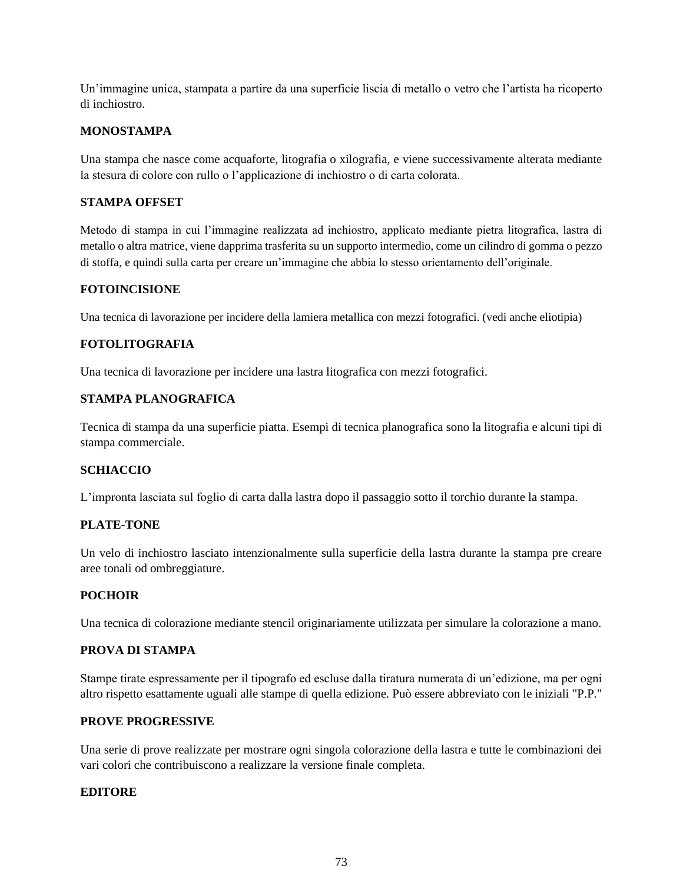Un'immagine unica, stampata a partire da una superficie liscia di metallo o vetro che l'artista ha ricoperto di inchiostro.

## **MONOSTAMPA**

Una stampa che nasce come acquaforte, litografia o xilografia, e viene successivamente alterata mediante la stesura di colore con rullo o l'applicazione di inchiostro o di carta colorata.

# **STAMPA OFFSET**

Metodo di stampa in cui l'immagine realizzata ad inchiostro, applicato mediante pietra litografica, lastra di metallo o altra matrice, viene dapprima trasferita su un supporto intermedio, come un cilindro di gomma o pezzo di stoffa, e quindi sulla carta per creare un'immagine che abbia lo stesso orientamento dell'originale.

## **FOTOINCISIONE**

Una tecnica di lavorazione per incidere della lamiera metallica con mezzi fotografici. (vedi anche eliotipia)

## **FOTOLITOGRAFIA**

Una tecnica di lavorazione per incidere una lastra litografica con mezzi fotografici.

# **STAMPA PLANOGRAFICA**

Tecnica di stampa da una superficie piatta. Esempi di tecnica planografica sono la litografia e alcuni tipi di stampa commerciale.

#### **SCHIACCIO**

L'impronta lasciata sul foglio di carta dalla lastra dopo il passaggio sotto il torchio durante la stampa.

# **PLATE-TONE**

Un velo di inchiostro lasciato intenzionalmente sulla superficie della lastra durante la stampa pre creare aree tonali od ombreggiature.

#### **POCHOIR**

Una tecnica di colorazione mediante stencil originariamente utilizzata per simulare la colorazione a mano.

#### **PROVA DI STAMPA**

Stampe tirate espressamente per il tipografo ed escluse dalla tiratura numerata di un'edizione, ma per ogni altro rispetto esattamente uguali alle stampe di quella edizione. Può essere abbreviato con le iniziali "P.P."

## **PROVE PROGRESSIVE**

Una serie di prove realizzate per mostrare ogni singola colorazione della lastra e tutte le combinazioni dei vari colori che contribuiscono a realizzare la versione finale completa.

#### **EDITORE**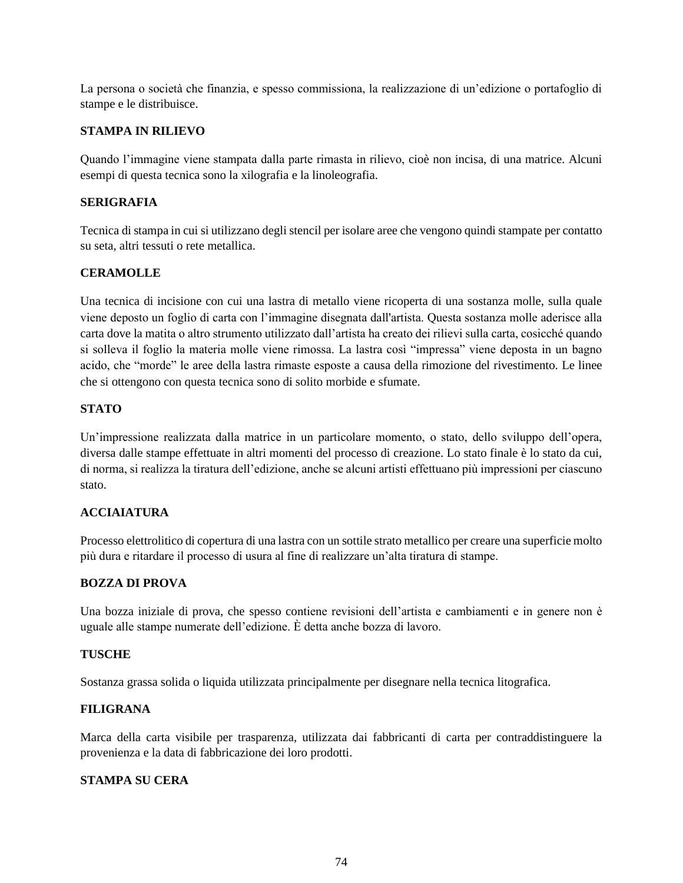La persona o società che finanzia, e spesso commissiona, la realizzazione di un'edizione o portafoglio di stampe e le distribuisce.

### **STAMPA IN RILIEVO**

Quando l'immagine viene stampata dalla parte rimasta in rilievo, cioè non incisa, di una matrice. Alcuni esempi di questa tecnica sono la xilografia e la linoleografia.

# **SERIGRAFIA**

Tecnica di stampa in cui si utilizzano degli stencil per isolare aree che vengono quindi stampate per contatto su seta, altri tessuti o rete metallica.

## **CERAMOLLE**

Una tecnica di incisione con cui una lastra di metallo viene ricoperta di una sostanza molle, sulla quale viene deposto un foglio di carta con l'immagine disegnata dall'artista. Questa sostanza molle aderisce alla carta dove la matita o altro strumento utilizzato dall'artista ha creato dei rilievi sulla carta, cosicché quando si solleva il foglio la materia molle viene rimossa. La lastra così "impressa" viene deposta in un bagno acido, che "morde" le aree della lastra rimaste esposte a causa della rimozione del rivestimento. Le linee che si ottengono con questa tecnica sono di solito morbide e sfumate.

## **STATO**

Un'impressione realizzata dalla matrice in un particolare momento, o stato, dello sviluppo dell'opera, diversa dalle stampe effettuate in altri momenti del processo di creazione. Lo stato finale è lo stato da cui, di norma, si realizza la tiratura dell'edizione, anche se alcuni artisti effettuano più impressioni per ciascuno stato.

# **ACCIAIATURA**

Processo elettrolitico di copertura di una lastra con un sottile strato metallico per creare una superficie molto più dura e ritardare il processo di usura al fine di realizzare un'alta tiratura di stampe.

# **BOZZA DI PROVA**

Una bozza iniziale di prova, che spesso contiene revisioni dell'artista e cambiamenti e in genere non è uguale alle stampe numerate dell'edizione. È detta anche bozza di lavoro.

#### **TUSCHE**

Sostanza grassa solida o liquida utilizzata principalmente per disegnare nella tecnica litografica.

#### **FILIGRANA**

Marca della carta visibile per trasparenza, utilizzata dai fabbricanti di carta per contraddistinguere la provenienza e la data di fabbricazione dei loro prodotti.

## **STAMPA SU CERA**